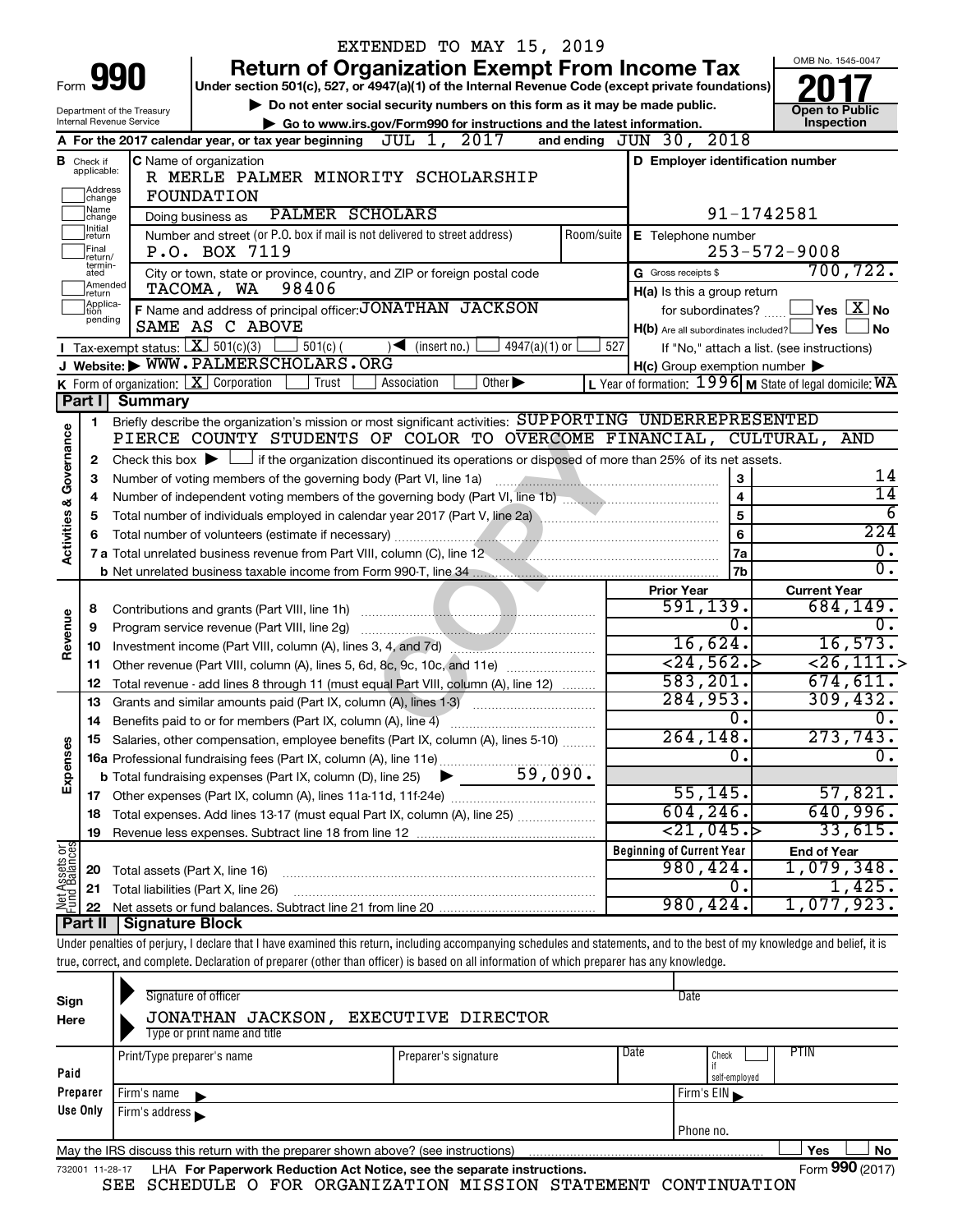|                         |                               |                            |                                                                                                                                                                            | EXTENDED TO MAY 15, 2019                                                    |                     |           |                                                     |               |                                                                        |  |
|-------------------------|-------------------------------|----------------------------|----------------------------------------------------------------------------------------------------------------------------------------------------------------------------|-----------------------------------------------------------------------------|---------------------|-----------|-----------------------------------------------------|---------------|------------------------------------------------------------------------|--|
|                         |                               |                            |                                                                                                                                                                            | <b>Return of Organization Exempt From Income Tax</b>                        |                     |           |                                                     |               | OMB No. 1545-0047                                                      |  |
| Form                    |                               | 990                        | Under section 501(c), 527, or 4947(a)(1) of the Internal Revenue Code (except private foundations)                                                                         |                                                                             |                     |           |                                                     |               |                                                                        |  |
|                         |                               | Department of the Treasury |                                                                                                                                                                            | Do not enter social security numbers on this form as it may be made public. |                     |           |                                                     |               | <b>Open to Public</b>                                                  |  |
|                         |                               | Internal Revenue Service   |                                                                                                                                                                            | Go to www.irs.gov/Form990 for instructions and the latest information.      |                     |           |                                                     |               | Inspection                                                             |  |
|                         |                               |                            | A For the 2017 calendar year, or tax year beginning $JUL$ $1, 2017$                                                                                                        |                                                                             |                     |           | and ending $JUN$ 30, $2018$                         |               |                                                                        |  |
|                         | <b>B</b> Check if applicable: |                            | C Name of organization                                                                                                                                                     |                                                                             |                     |           |                                                     |               | D Employer identification number                                       |  |
|                         | Address                       |                            | R MERLE PALMER MINORITY SCHOLARSHIP                                                                                                                                        |                                                                             |                     |           |                                                     |               |                                                                        |  |
|                         | change<br> Name               |                            | FOUNDATION<br>PALMER SCHOLARS                                                                                                                                              |                                                                             |                     |           |                                                     |               |                                                                        |  |
|                         | change<br>]Initial<br>]return |                            | Doing business as                                                                                                                                                          | 91-1742581<br>Room/suite                                                    |                     |           |                                                     |               |                                                                        |  |
|                         | Final                         |                            | Number and street (or P.O. box if mail is not delivered to street address)<br>P.O. BOX 7119                                                                                |                                                                             | E Telephone number  |           | $253 - 572 - 9008$                                  |               |                                                                        |  |
|                         | return/<br>termin-            |                            | City or town, state or province, country, and ZIP or foreign postal code                                                                                                   |                                                                             | G Gross receipts \$ |           | 700, 722.                                           |               |                                                                        |  |
|                         | ated<br>Amended               |                            | TACOMA, WA 98406                                                                                                                                                           |                                                                             |                     |           | H(a) Is this a group return                         |               |                                                                        |  |
|                         | Ireturn<br>Applica-<br>tion   |                            | F Name and address of principal officer: JONATHAN JACKSON                                                                                                                  |                                                                             |                     |           | for subordinates?                                   |               | $\sqrt{}$ Yes $\sqrt{ \ \ }$ No                                        |  |
|                         | pending                       |                            | SAME AS C ABOVE                                                                                                                                                            |                                                                             |                     |           |                                                     |               | $H(b)$ Are all subordinates included? $\Box$ Yes<br>No                 |  |
|                         |                               |                            | Tax-exempt status: $X \over 301(c)(3)$<br>$\rfloor$ 501(c) (                                                                                                               | $4947(a)(1)$ or<br>$\sqrt{\frac{1}{1}}$ (insert no.)                        | 527                 |           |                                                     |               | If "No," attach a list. (see instructions)                             |  |
|                         |                               |                            | J Website: WWW.PALMERSCHOLARS.ORG                                                                                                                                          |                                                                             |                     |           | $H(c)$ Group exemption number $\blacktriangleright$ |               |                                                                        |  |
|                         |                               |                            | K Form of organization: $X$ Corporation<br>Trust                                                                                                                           | Association<br>Other $\blacktriangleright$                                  |                     |           |                                                     |               | L Year of formation: $1996$ M State of legal domicile: $\overline{WA}$ |  |
|                         | Part I                        | <b>Summary</b>             |                                                                                                                                                                            |                                                                             |                     |           |                                                     |               |                                                                        |  |
|                         | 1                             |                            | Briefly describe the organization's mission or most significant activities: SUPPORTING UNDERREPRESENTED                                                                    |                                                                             |                     |           |                                                     |               |                                                                        |  |
| Governance              |                               |                            | PIERCE COUNTY STUDENTS OF COLOR TO OVERCOME FINANCIAL, CULTURAL,                                                                                                           |                                                                             |                     |           |                                                     |               | AND                                                                    |  |
|                         | 2                             |                            | Check this box $\blacktriangleright \Box$ if the organization discontinued its operations or disposed of more than 25% of its net assets.                                  |                                                                             |                     |           |                                                     |               |                                                                        |  |
|                         | З                             |                            | Number of voting members of the governing body (Part VI, line 1a)                                                                                                          |                                                                             |                     |           |                                                     | 3             | 14                                                                     |  |
|                         | 4                             |                            |                                                                                                                                                                            | $\overline{\mathbf{4}}$                                                     | 14                  |           |                                                     |               |                                                                        |  |
| <b>Activities &amp;</b> | 5                             |                            | 5                                                                                                                                                                          | 6                                                                           |                     |           |                                                     |               |                                                                        |  |
|                         |                               |                            |                                                                                                                                                                            |                                                                             |                     |           |                                                     | 6             | 224                                                                    |  |
|                         |                               |                            | 7 a Total unrelated business revenue from Part VIII, column (C), line 12                                                                                                   |                                                                             |                     |           |                                                     | 7a            | $\overline{0}$ .<br>$\overline{0}$ .                                   |  |
|                         |                               |                            |                                                                                                                                                                            |                                                                             |                     |           |                                                     | 7b            |                                                                        |  |
|                         |                               |                            |                                                                                                                                                                            |                                                                             |                     |           | <b>Prior Year</b><br>591, 139.                      |               | <b>Current Year</b><br>684, 149.                                       |  |
| Revenue                 | 8<br>9                        |                            | Program service revenue (Part VIII, line 2g)                                                                                                                               |                                                                             |                     |           |                                                     | 0.            | Ο.                                                                     |  |
|                         | 10                            |                            | Investment income (Part VIII, column (A), lines 3, 4, and 7d)                                                                                                              |                                                                             |                     |           | 16,624.                                             |               | 16,573.                                                                |  |
|                         | 11                            |                            | Other revenue (Part VIII, column (A), lines 5, 6d, 8c, 9c, 10c, and 11e)                                                                                                   |                                                                             |                     |           | $\overline{24,562.}$                                |               | $\overline{$ 26, 111.}                                                 |  |
|                         | 12                            |                            | Total revenue - add lines 8 through 11 (must equal Part VIII, column (A), line 12)                                                                                         |                                                                             |                     | 583, 201. |                                                     | 674, 611.     |                                                                        |  |
|                         | 13                            |                            | Grants and similar amounts paid (Part IX, column (A), lines 1-3)                                                                                                           |                                                                             |                     |           | 284,953.                                            |               | 309, 432.                                                              |  |
|                         | 14                            |                            | Benefits paid to or for members (Part IX, column (A), line 4)                                                                                                              |                                                                             |                     |           |                                                     | 0.            | 0.                                                                     |  |
|                         |                               |                            | 15 Salaries, other compensation, employee benefits (Part IX, column (A), lines 5-10)                                                                                       |                                                                             |                     | 264, 148. |                                                     | 273,743.      |                                                                        |  |
| Expenses                |                               |                            |                                                                                                                                                                            |                                                                             |                     | 0.        |                                                     |               |                                                                        |  |
|                         |                               |                            |                                                                                                                                                                            |                                                                             |                     |           |                                                     |               |                                                                        |  |
|                         |                               |                            |                                                                                                                                                                            |                                                                             |                     |           | 55, 145.                                            |               | 57,821.                                                                |  |
|                         | 18                            |                            | Total expenses. Add lines 13-17 (must equal Part IX, column (A), line 25)                                                                                                  |                                                                             |                     |           | 604, 246.                                           |               | 640,996.                                                               |  |
|                         | 19                            |                            |                                                                                                                                                                            |                                                                             |                     |           | $\langle 21, 045. \rangle$                          |               | 33,615.                                                                |  |
| Net Assets or           |                               |                            |                                                                                                                                                                            |                                                                             |                     |           | <b>Beginning of Current Year</b>                    |               | <b>End of Year</b>                                                     |  |
|                         | 20                            |                            | Total assets (Part X, line 16)                                                                                                                                             |                                                                             |                     |           | 980,424.                                            |               | 1,079,348.                                                             |  |
|                         | 21                            |                            | Total liabilities (Part X, line 26)                                                                                                                                        |                                                                             |                     |           | 980,424.                                            | 0.            | 1,425.<br>1,077,923.                                                   |  |
|                         | 22<br>Part II                 | Signature Block            |                                                                                                                                                                            |                                                                             |                     |           |                                                     |               |                                                                        |  |
|                         |                               |                            | Under penalties of perjury, I declare that I have examined this return, including accompanying schedules and statements, and to the best of my knowledge and belief, it is |                                                                             |                     |           |                                                     |               |                                                                        |  |
|                         |                               |                            | true, correct, and complete. Declaration of preparer (other than officer) is based on all information of which preparer has any knowledge.                                 |                                                                             |                     |           |                                                     |               |                                                                        |  |
|                         |                               |                            |                                                                                                                                                                            |                                                                             |                     |           |                                                     |               |                                                                        |  |
| Sign                    |                               |                            | Signature of officer                                                                                                                                                       |                                                                             |                     |           | Date                                                |               |                                                                        |  |
| Here                    |                               |                            | JONATHAN JACKSON, EXECUTIVE DIRECTOR                                                                                                                                       |                                                                             |                     |           |                                                     |               |                                                                        |  |
|                         |                               |                            | Type or print name and title                                                                                                                                               |                                                                             |                     |           |                                                     |               |                                                                        |  |
|                         |                               | Print/Type preparer's name |                                                                                                                                                                            | Preparer's signature                                                        |                     | Date      | Check                                               |               | <b>PTIN</b>                                                            |  |
| Paid                    |                               |                            |                                                                                                                                                                            |                                                                             |                     |           |                                                     | self-employed |                                                                        |  |
|                         | Preparer                      | Firm's name                |                                                                                                                                                                            |                                                                             |                     |           | Firm's EIN                                          |               |                                                                        |  |
|                         | Use Only                      | Firm's address             |                                                                                                                                                                            |                                                                             |                     |           |                                                     |               |                                                                        |  |
|                         |                               |                            |                                                                                                                                                                            |                                                                             |                     |           | Phone no.                                           |               |                                                                        |  |

|--|

732001 11-28-17 **For Paperwork Reduction Act Notice, see the separate instructions.** LHA Form (2017)

**No** Form **990** (2017)

SEE SCHEDULE O FOR ORGANIZATION MISSION STATEMENT CONTINUATION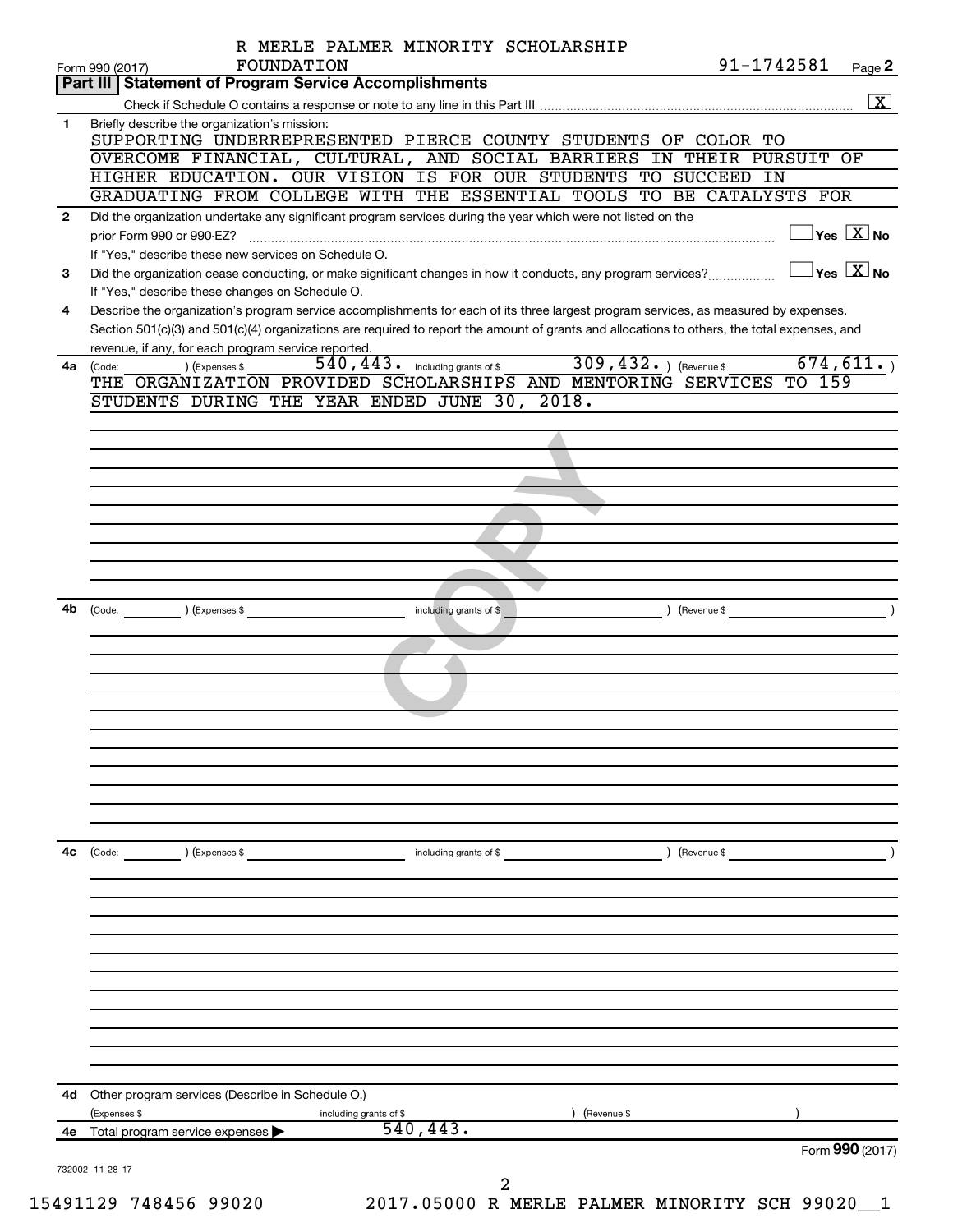|              | FOUNDATION<br>Form 990 (2017)                                                                                                                                                           | R MERLE PALMER MINORITY SCHOLARSHIP     | 91-1742581                | Page 2                                  |
|--------------|-----------------------------------------------------------------------------------------------------------------------------------------------------------------------------------------|-----------------------------------------|---------------------------|-----------------------------------------|
|              | Part III   Statement of Program Service Accomplishments                                                                                                                                 |                                         |                           |                                         |
|              |                                                                                                                                                                                         |                                         |                           | $\overline{\mathbf{X}}$                 |
| 1.           | Briefly describe the organization's mission:<br>SUPPORTING UNDERREPRESENTED PIERCE COUNTY STUDENTS OF COLOR TO                                                                          |                                         |                           |                                         |
|              | OVERCOME FINANCIAL, CULTURAL, AND SOCIAL BARRIERS IN THEIR PURSUIT OF                                                                                                                   |                                         |                           |                                         |
|              | HIGHER EDUCATION. OUR VISION IS FOR OUR STUDENTS TO SUCCEED IN                                                                                                                          |                                         |                           |                                         |
|              | GRADUATING FROM COLLEGE WITH THE ESSENTIAL TOOLS TO BE CATALYSTS FOR                                                                                                                    |                                         |                           |                                         |
| $\mathbf{2}$ | Did the organization undertake any significant program services during the year which were not listed on the<br>prior Form 990 or 990-EZ?                                               |                                         |                           | $\Box$ Yes $[\overline{\mathrm{X}}]$ No |
| З            | If "Yes," describe these new services on Schedule O.<br>Did the organization cease conducting, or make significant changes in how it conducts, any program services?                    |                                         |                           | $\Box$ Yes $[\overline{\mathrm{X}}]$ No |
| 4            | If "Yes," describe these changes on Schedule O.<br>Describe the organization's program service accomplishments for each of its three largest program services, as measured by expenses. |                                         |                           |                                         |
|              | Section 501(c)(3) and 501(c)(4) organizations are required to report the amount of grants and allocations to others, the total expenses, and                                            |                                         |                           |                                         |
|              | revenue, if any, for each program service reported.                                                                                                                                     | $540$ , $443$ or including grants of \$ | 309, $432.$ ) (Revenue \$ | 674, 611.                               |
| 4a           | ) (Expenses \$<br>(Code:<br>THE ORGANIZATION PROVIDED SCHOLARSHIPS AND MENTORING SERVICES TO 159                                                                                        |                                         |                           |                                         |
|              | STUDENTS DURING THE YEAR ENDED JUNE 30, 2018.                                                                                                                                           |                                         |                           |                                         |
|              |                                                                                                                                                                                         |                                         |                           |                                         |
|              |                                                                                                                                                                                         |                                         |                           |                                         |
|              |                                                                                                                                                                                         |                                         |                           |                                         |
|              |                                                                                                                                                                                         |                                         |                           |                                         |
|              |                                                                                                                                                                                         |                                         |                           |                                         |
|              |                                                                                                                                                                                         |                                         |                           |                                         |
|              |                                                                                                                                                                                         |                                         |                           |                                         |
|              |                                                                                                                                                                                         |                                         |                           |                                         |
|              | 4b (Code: ) (Expenses \$                                                                                                                                                                | including grants of \$                  | $\left($ Revenue \$       |                                         |
|              |                                                                                                                                                                                         |                                         |                           |                                         |
|              |                                                                                                                                                                                         |                                         |                           |                                         |
|              |                                                                                                                                                                                         |                                         |                           |                                         |
|              |                                                                                                                                                                                         |                                         |                           |                                         |
|              |                                                                                                                                                                                         |                                         |                           |                                         |
|              |                                                                                                                                                                                         |                                         |                           |                                         |
|              |                                                                                                                                                                                         |                                         |                           |                                         |
|              |                                                                                                                                                                                         |                                         |                           |                                         |
|              |                                                                                                                                                                                         |                                         |                           |                                         |
|              |                                                                                                                                                                                         |                                         |                           |                                         |
| 4c           | (Code: ) (Expenses \$                                                                                                                                                                   | including grants of \$                  | ) (Revenue \$             |                                         |
|              |                                                                                                                                                                                         |                                         |                           |                                         |
|              |                                                                                                                                                                                         |                                         |                           |                                         |
|              |                                                                                                                                                                                         |                                         |                           |                                         |
|              |                                                                                                                                                                                         |                                         |                           |                                         |
|              |                                                                                                                                                                                         |                                         |                           |                                         |
|              |                                                                                                                                                                                         |                                         |                           |                                         |
|              |                                                                                                                                                                                         |                                         |                           |                                         |
|              |                                                                                                                                                                                         |                                         |                           |                                         |
|              |                                                                                                                                                                                         |                                         |                           |                                         |
| 4d -         | Other program services (Describe in Schedule O.)<br>(Expenses \$<br>including grants of \$                                                                                              |                                         | Revenue \$                |                                         |
|              |                                                                                                                                                                                         |                                         |                           |                                         |
| 4е           | Total program service expenses                                                                                                                                                          | 540, 443.                               |                           |                                         |
|              |                                                                                                                                                                                         |                                         |                           | Form 990 (2017)                         |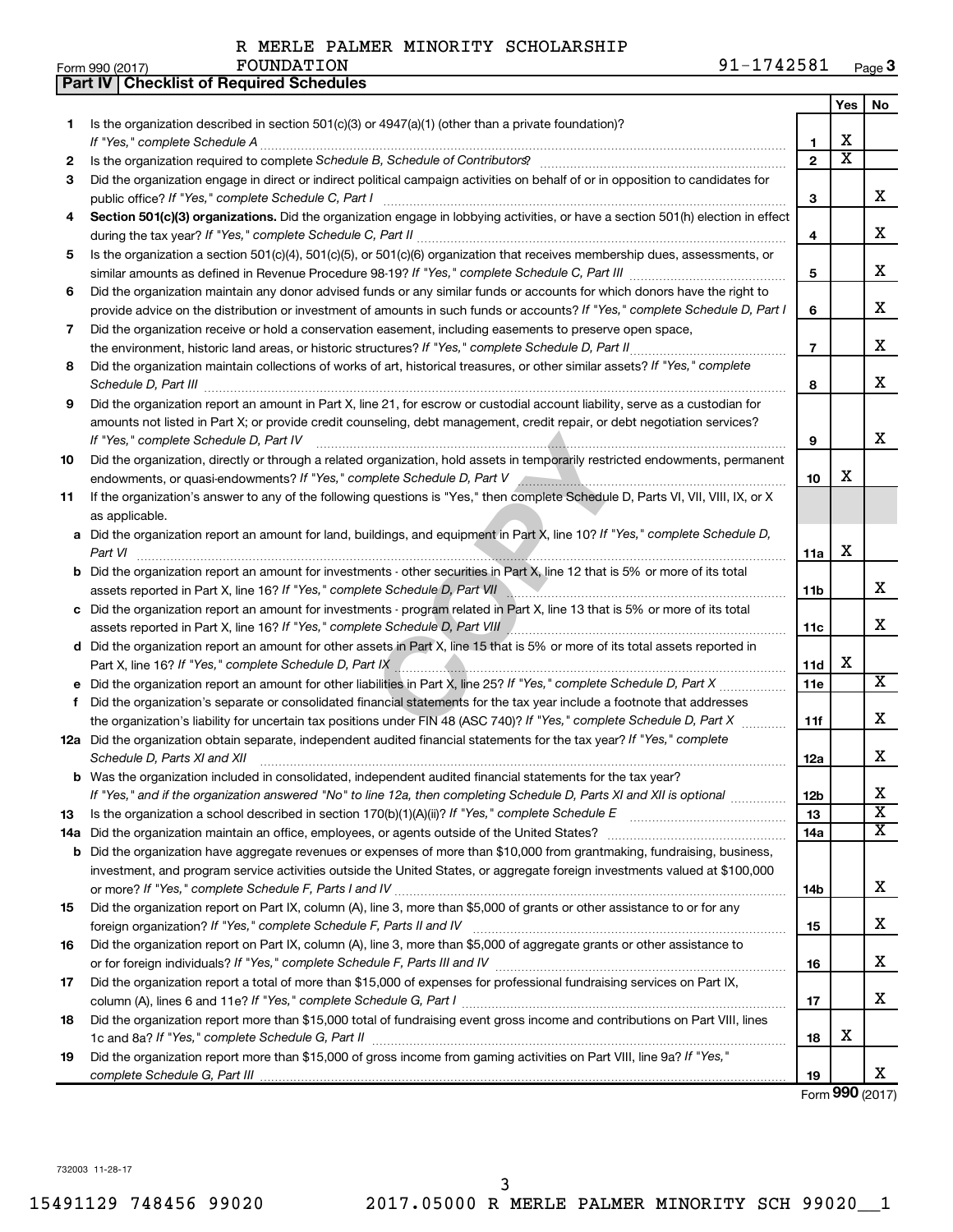|    | Part IV   Checklist of Required Schedules                                                                                                                                                                                           |                |                         |                         |
|----|-------------------------------------------------------------------------------------------------------------------------------------------------------------------------------------------------------------------------------------|----------------|-------------------------|-------------------------|
|    |                                                                                                                                                                                                                                     |                | Yes                     | No.                     |
| 1  | Is the organization described in section $501(c)(3)$ or $4947(a)(1)$ (other than a private foundation)?                                                                                                                             |                |                         |                         |
|    |                                                                                                                                                                                                                                     | 1              | X                       |                         |
| 2  | Is the organization required to complete Schedule B, Schedule of Contributors? [111] [12] the organization required to complete Schedule B, Schedule of Contributors? [11] [12] [12] the organization required to complete Sch      | $\overline{2}$ | $\overline{\texttt{x}}$ |                         |
| З  | Did the organization engage in direct or indirect political campaign activities on behalf of or in opposition to candidates for                                                                                                     |                |                         |                         |
|    |                                                                                                                                                                                                                                     | 3              |                         | х                       |
| 4  | Section 501(c)(3) organizations. Did the organization engage in lobbying activities, or have a section 501(h) election in effect                                                                                                    |                |                         |                         |
|    |                                                                                                                                                                                                                                     | 4              |                         | х                       |
| 5  | Is the organization a section 501(c)(4), 501(c)(5), or 501(c)(6) organization that receives membership dues, assessments, or                                                                                                        |                |                         |                         |
|    |                                                                                                                                                                                                                                     | 5              |                         | х                       |
| 6  | Did the organization maintain any donor advised funds or any similar funds or accounts for which donors have the right to                                                                                                           |                |                         |                         |
|    | provide advice on the distribution or investment of amounts in such funds or accounts? If "Yes," complete Schedule D, Part I                                                                                                        | 6              |                         | х                       |
| 7  | Did the organization receive or hold a conservation easement, including easements to preserve open space,                                                                                                                           |                |                         |                         |
|    | the environment, historic land areas, or historic structures? If "Yes," complete Schedule D, Part II                                                                                                                                | $\overline{7}$ |                         | х                       |
|    |                                                                                                                                                                                                                                     |                |                         |                         |
| 8  | Did the organization maintain collections of works of art, historical treasures, or other similar assets? If "Yes," complete                                                                                                        |                |                         | х                       |
|    | Schedule D, Part III <b>Marting Community</b> Construction of the Construction of the Construction of the Construction of the Construction of the Construction of the Construction of the Construction of the Construction of the C | 8              |                         |                         |
| 9  | Did the organization report an amount in Part X, line 21, for escrow or custodial account liability, serve as a custodian for                                                                                                       |                |                         |                         |
|    | amounts not listed in Part X; or provide credit counseling, debt management, credit repair, or debt negotiation services?                                                                                                           |                |                         | х                       |
|    | If "Yes." complete Schedule D, Part IV                                                                                                                                                                                              | 9              |                         |                         |
| 10 | Did the organization, directly or through a related organization, hold assets in temporarily restricted endowments, permanent                                                                                                       |                |                         |                         |
|    | endowments, or quasi-endowments? If "Yes," complete Schedule D, Part V Annumer Communication contents and the                                                                                                                       | 10             | X                       |                         |
| 11 | If the organization's answer to any of the following questions is "Yes," then complete Schedule D, Parts VI, VII, VIII, IX, or X                                                                                                    |                |                         |                         |
|    | as applicable.                                                                                                                                                                                                                      |                |                         |                         |
|    | a Did the organization report an amount for land, buildings, and equipment in Part X, line 10? If "Yes," complete Schedule D,                                                                                                       |                |                         |                         |
|    | Part VI                                                                                                                                                                                                                             | 11a            | X                       |                         |
|    | <b>b</b> Did the organization report an amount for investments - other securities in Part X, line 12 that is 5% or more of its total                                                                                                |                |                         |                         |
|    | assets reported in Part X, line 16? If "Yes," complete Schedule D, Part VII [1999] [1999] [1999] [1999] [1999] [1999] [1999] [1999] [1999] [1999] [1999] [1999] [1999] [1999] [1999] [1999] [1999] [1999] [1999] [1999] [1999]      | 11b            |                         | х                       |
|    | c Did the organization report an amount for investments - program related in Part X, line 13 that is 5% or more of its total                                                                                                        |                |                         |                         |
|    | assets reported in Part X, line 16? If "Yes," complete Schedule D, Part VIII [[[[[[[[[[[[[[[[[[[[[[[[[[[[[[[[                                                                                                                       | 11c            |                         | х                       |
|    | d Did the organization report an amount for other assets in Part X, line 15 that is 5% or more of its total assets reported in                                                                                                      |                |                         |                         |
|    |                                                                                                                                                                                                                                     | 11d            | X                       |                         |
|    |                                                                                                                                                                                                                                     | 11e            |                         | $\overline{\text{X}}$   |
| f  | Did the organization's separate or consolidated financial statements for the tax year include a footnote that addresses                                                                                                             |                |                         |                         |
|    | the organization's liability for uncertain tax positions under FIN 48 (ASC 740)? If "Yes," complete Schedule D, Part X                                                                                                              | 11f            |                         | х                       |
|    | 12a Did the organization obtain separate, independent audited financial statements for the tax year? If "Yes," complete                                                                                                             |                |                         |                         |
|    | Schedule D, Parts XI and XII <b>continuum continuum continuum continuum continuum continuum continuum continuum</b> continuum continuum continuum continuum continuum continuum continuum continuum continuum continuum continuum c | 12a            |                         | x                       |
|    | b Was the organization included in consolidated, independent audited financial statements for the tax year?                                                                                                                         |                |                         |                         |
|    | If "Yes," and if the organization answered "No" to line 12a, then completing Schedule D, Parts XI and XII is optional                                                                                                               | 12b            |                         | х                       |
| 13 |                                                                                                                                                                                                                                     | 13             |                         | $\overline{\textbf{X}}$ |
|    |                                                                                                                                                                                                                                     | 14a            |                         | x                       |
|    | <b>b</b> Did the organization have aggregate revenues or expenses of more than \$10,000 from grantmaking, fundraising, business,                                                                                                    |                |                         |                         |
|    | investment, and program service activities outside the United States, or aggregate foreign investments valued at \$100,000                                                                                                          |                |                         |                         |
|    |                                                                                                                                                                                                                                     | 14b            |                         | х                       |
| 15 | Did the organization report on Part IX, column (A), line 3, more than \$5,000 of grants or other assistance to or for any                                                                                                           |                |                         |                         |
|    |                                                                                                                                                                                                                                     | 15             |                         | х                       |
| 16 | Did the organization report on Part IX, column (A), line 3, more than \$5,000 of aggregate grants or other assistance to                                                                                                            |                |                         |                         |
|    |                                                                                                                                                                                                                                     | 16             |                         | х                       |
| 17 | Did the organization report a total of more than \$15,000 of expenses for professional fundraising services on Part IX,                                                                                                             |                |                         |                         |
|    |                                                                                                                                                                                                                                     | 17             |                         | х                       |
| 18 | Did the organization report more than \$15,000 total of fundraising event gross income and contributions on Part VIII, lines                                                                                                        |                |                         |                         |
|    |                                                                                                                                                                                                                                     | 18             | х                       |                         |
| 19 | Did the organization report more than \$15,000 of gross income from gaming activities on Part VIII, line 9a? If "Yes,"                                                                                                              |                |                         |                         |
|    |                                                                                                                                                                                                                                     | 19             |                         | x                       |

Form (2017) **990**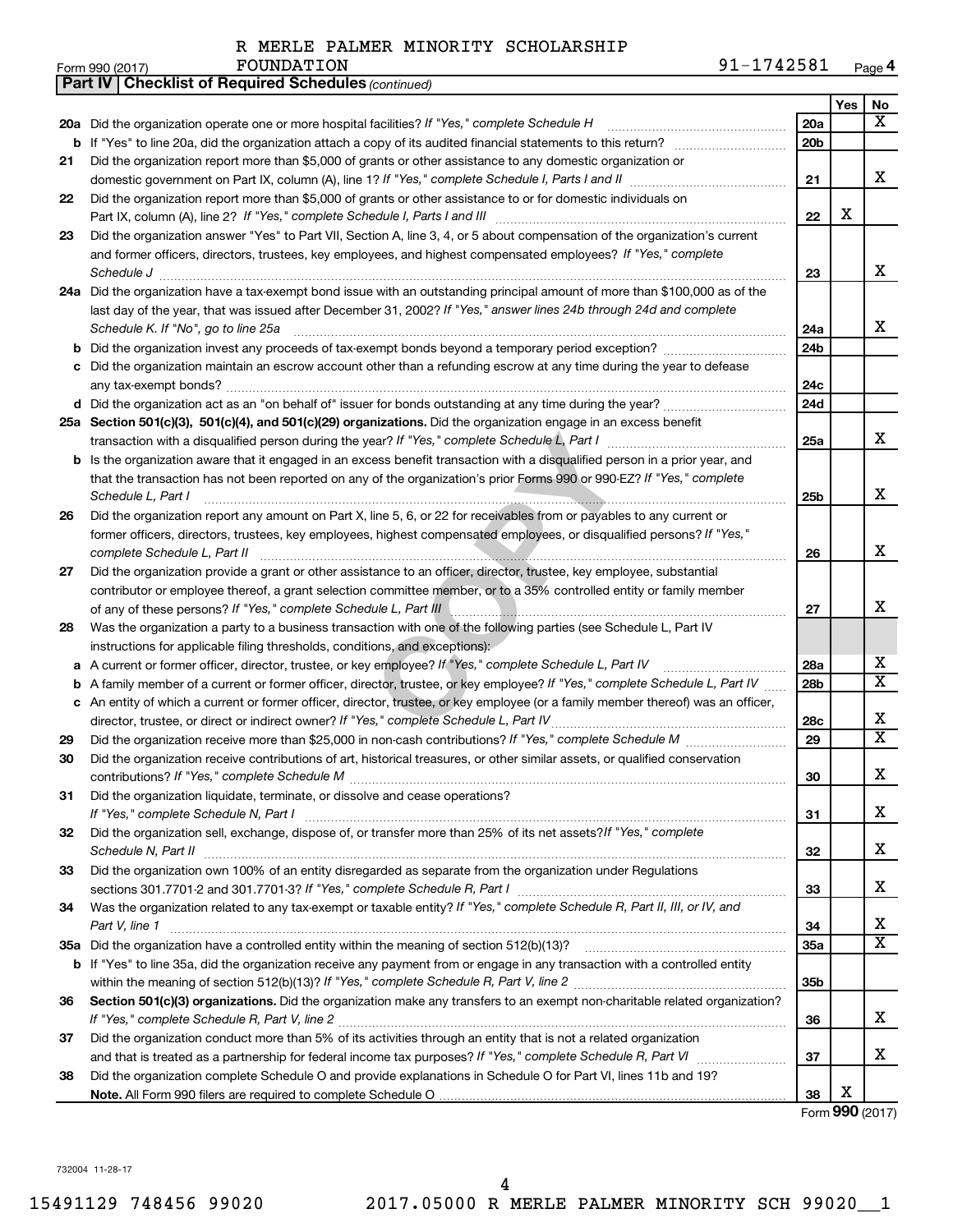|    | 91-1742581<br>FOUNDATION<br>Form 990 (2017)                                                                                                                                                    |                 |     | Page 4                  |
|----|------------------------------------------------------------------------------------------------------------------------------------------------------------------------------------------------|-----------------|-----|-------------------------|
|    | Part IV   Checklist of Required Schedules (continued)                                                                                                                                          |                 |     |                         |
|    |                                                                                                                                                                                                |                 | Yes | No                      |
|    | 20a Did the organization operate one or more hospital facilities? If "Yes," complete Schedule H                                                                                                | 20a             |     | х                       |
|    |                                                                                                                                                                                                | 20 <sub>b</sub> |     |                         |
| 21 | Did the organization report more than \$5,000 of grants or other assistance to any domestic organization or                                                                                    |                 |     |                         |
|    | domestic government on Part IX, column (A), line 1? If "Yes," complete Schedule I, Parts I and II manufactured with the set                                                                    | 21              |     | x                       |
| 22 | Did the organization report more than \$5,000 of grants or other assistance to or for domestic individuals on                                                                                  |                 |     |                         |
|    | Part IX, column (A), line 2? If "Yes," complete Schedule I, Parts I and III [11]] [11]] [11] [11] [11] [11] [1                                                                                 | 22              | X   |                         |
| 23 | Did the organization answer "Yes" to Part VII, Section A, line 3, 4, or 5 about compensation of the organization's current                                                                     |                 |     |                         |
|    | and former officers, directors, trustees, key employees, and highest compensated employees? If "Yes," complete                                                                                 |                 |     |                         |
|    | Schedule J <b>Execute Schedule J Execute Schedule J Execute Schedule J Execute Schedule J</b>                                                                                                  | 23              |     | x                       |
|    | 24a Did the organization have a tax-exempt bond issue with an outstanding principal amount of more than \$100,000 as of the                                                                    |                 |     |                         |
|    | last day of the year, that was issued after December 31, 2002? If "Yes," answer lines 24b through 24d and complete                                                                             |                 |     |                         |
|    | Schedule K. If "No", go to line 25a                                                                                                                                                            | 24a             |     | x                       |
|    |                                                                                                                                                                                                | 24 <sub>b</sub> |     |                         |
|    | c Did the organization maintain an escrow account other than a refunding escrow at any time during the year to defease                                                                         |                 |     |                         |
|    |                                                                                                                                                                                                | 24c             |     |                         |
|    |                                                                                                                                                                                                | 24d             |     |                         |
|    | 25a Section 501(c)(3), 501(c)(4), and 501(c)(29) organizations. Did the organization engage in an excess benefit                                                                               |                 |     |                         |
|    | transaction with a disqualified person during the year? If "Yes," complete Schedule L, Part I manual content of the disqualified person during the year? If "Yes," complete Schedule L, Part I | 25a             |     | x                       |
|    | <b>b</b> Is the organization aware that it engaged in an excess benefit transaction with a disqualified person in a prior year, and                                                            |                 |     |                         |
|    | that the transaction has not been reported on any of the organization's prior Forms 990 or 990-EZ? If "Yes," complete                                                                          |                 |     |                         |
|    | Schedule L, Part I                                                                                                                                                                             | 25b             |     | x                       |
| 26 | Did the organization report any amount on Part X, line 5, 6, or 22 for receivables from or payables to any current or                                                                          |                 |     |                         |
|    | former officers, directors, trustees, key employees, highest compensated employees, or disqualified persons? If "Yes,"                                                                         |                 |     |                         |
|    | complete Schedule L, Part II                                                                                                                                                                   | 26              |     | x                       |
| 27 | Did the organization provide a grant or other assistance to an officer, director, trustee, key employee, substantial                                                                           |                 |     |                         |
|    | contributor or employee thereof, a grant selection committee member, or to a 35% controlled entity or family member                                                                            |                 |     |                         |
|    |                                                                                                                                                                                                | 27              |     | x                       |
| 28 | Was the organization a party to a business transaction with one of the following parties (see Schedule L, Part IV                                                                              |                 |     |                         |
|    | instructions for applicable filing thresholds, conditions, and exceptions):                                                                                                                    |                 |     |                         |
|    | a A current or former officer, director, trustee, or key employee? If "Yes," complete Schedule L, Part IV                                                                                      | 28a             |     | x                       |
|    | <b>b</b> A family member of a current or former officer, director, trustee, or key employee? If "Yes," complete Schedule L, Part IV                                                            | 28 <sub>b</sub> |     | $\overline{\mathtt{x}}$ |
|    | c An entity of which a current or former officer, director, trustee, or key employee (or a family member thereof) was an officer,                                                              |                 |     |                         |
|    | director, trustee, or direct or indirect owner? If "Yes," complete Schedule L, Part IV                                                                                                         | 28c             |     | х                       |
| 29 |                                                                                                                                                                                                | 29              |     | $\overline{\mathtt{x}}$ |
| 30 | Did the organization receive contributions of art, historical treasures, or other similar assets, or qualified conservation                                                                    |                 |     |                         |
|    |                                                                                                                                                                                                | 30              |     | х                       |
| 31 | Did the organization liquidate, terminate, or dissolve and cease operations?                                                                                                                   |                 |     |                         |
|    |                                                                                                                                                                                                | 31              |     | х                       |
| 32 | Did the organization sell, exchange, dispose of, or transfer more than 25% of its net assets? If "Yes," complete                                                                               |                 |     |                         |
|    |                                                                                                                                                                                                | 32              |     | х                       |
| 33 | Did the organization own 100% of an entity disregarded as separate from the organization under Regulations                                                                                     |                 |     | х                       |
|    | sections 301.7701-2 and 301.7701-3? If "Yes," complete Schedule R, Part I [1] [1] [1] [1] [1] [1] sections 301.7701-2 and 301.7701-3? If "Yes," complete Schedule R, Part I                    | 33              |     |                         |
| 34 | Was the organization related to any tax-exempt or taxable entity? If "Yes," complete Schedule R, Part II, III, or IV, and                                                                      |                 |     | x                       |
|    | Part V, line 1                                                                                                                                                                                 | 34              |     | $\overline{\text{x}}$   |
|    |                                                                                                                                                                                                | 35a             |     |                         |
|    | <b>b</b> If "Yes" to line 35a, did the organization receive any payment from or engage in any transaction with a controlled entity                                                             |                 |     |                         |
|    |                                                                                                                                                                                                | 35b             |     |                         |
| 36 | Section 501(c)(3) organizations. Did the organization make any transfers to an exempt non-charitable related organization?                                                                     |                 |     | x                       |
|    |                                                                                                                                                                                                | 36              |     |                         |
| 37 | Did the organization conduct more than 5% of its activities through an entity that is not a related organization                                                                               | 37              |     | х                       |
| 38 | Did the organization complete Schedule O and provide explanations in Schedule O for Part VI, lines 11b and 19?                                                                                 |                 |     |                         |
|    |                                                                                                                                                                                                | 38              | х   |                         |
|    |                                                                                                                                                                                                |                 |     | Form 990 (2017)         |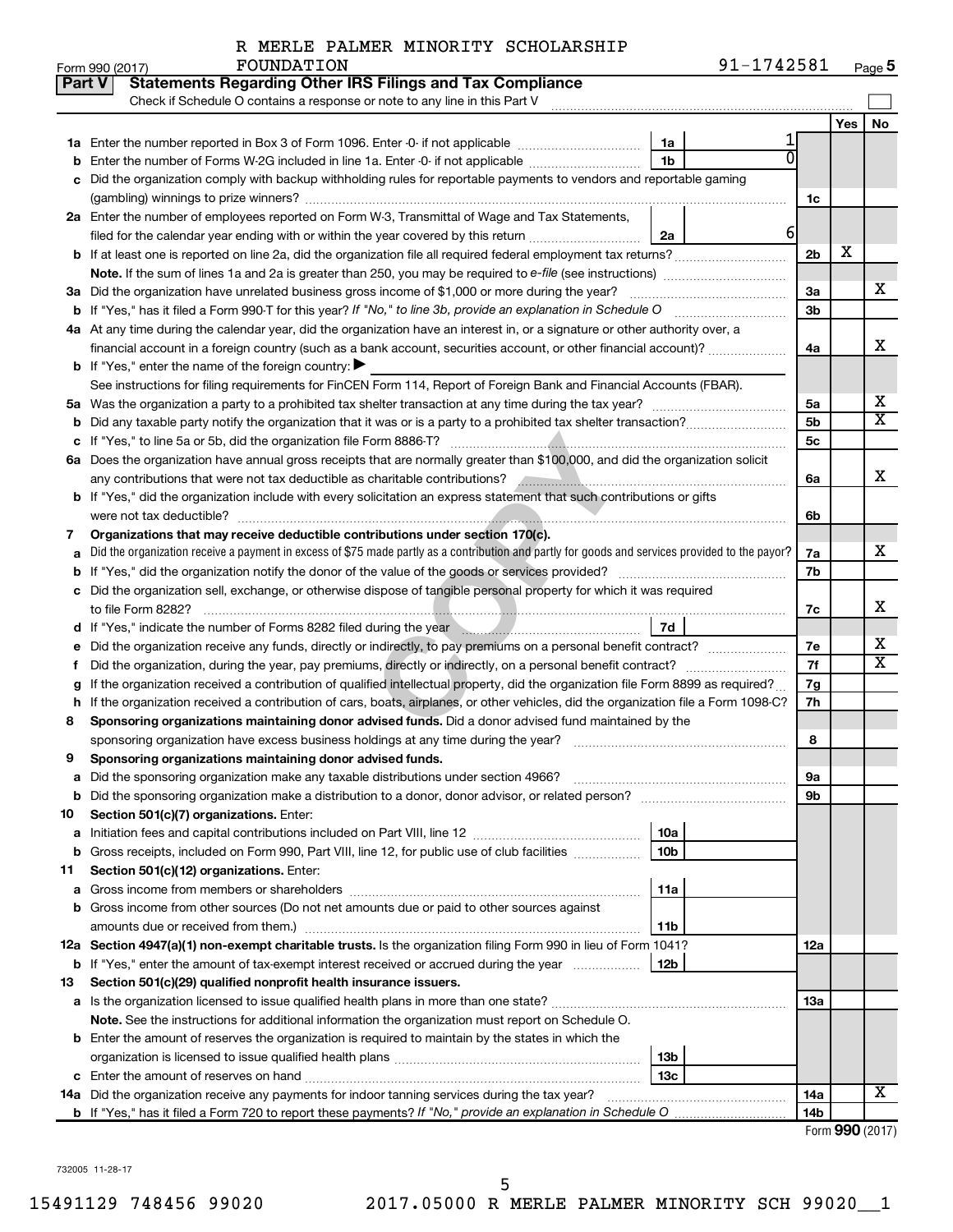| R MERLE PALMER MINORITY SCHOLARSHIP |  |
|-------------------------------------|--|
|-------------------------------------|--|

| <b>Part V</b> | <b>Statements Regarding Other IRS Filings and Tax Compliance</b>                                                                                                                                                                     |                |       |    |  |  |  |  |  |  |
|---------------|--------------------------------------------------------------------------------------------------------------------------------------------------------------------------------------------------------------------------------------|----------------|-------|----|--|--|--|--|--|--|
|               | Check if Schedule O contains a response or note to any line in this Part V                                                                                                                                                           |                |       |    |  |  |  |  |  |  |
|               |                                                                                                                                                                                                                                      |                | Yes I | No |  |  |  |  |  |  |
|               | 1a Enter the number reported in Box 3 of Form 1096. Enter -0- if not applicable<br>1a                                                                                                                                                |                |       |    |  |  |  |  |  |  |
|               | 1 <sub>b</sub><br><b>b</b> Enter the number of Forms W-2G included in line 1a. Enter -0- if not applicable <i>manumerane</i> on                                                                                                      |                |       |    |  |  |  |  |  |  |
|               | c Did the organization comply with backup withholding rules for reportable payments to vendors and reportable gaming                                                                                                                 |                |       |    |  |  |  |  |  |  |
|               |                                                                                                                                                                                                                                      | 1c             |       |    |  |  |  |  |  |  |
|               | 2a Enter the number of employees reported on Form W-3, Transmittal of Wage and Tax Statements,                                                                                                                                       |                |       |    |  |  |  |  |  |  |
|               | filed for the calendar year ending with or within the year covered by this return<br>2a                                                                                                                                              | 6              |       |    |  |  |  |  |  |  |
|               |                                                                                                                                                                                                                                      | 2 <sub>b</sub> | x     |    |  |  |  |  |  |  |
|               |                                                                                                                                                                                                                                      |                |       |    |  |  |  |  |  |  |
|               | 3a Did the organization have unrelated business gross income of \$1,000 or more during the year?                                                                                                                                     | За             |       | x  |  |  |  |  |  |  |
|               |                                                                                                                                                                                                                                      | 3b             |       |    |  |  |  |  |  |  |
|               | 4a At any time during the calendar year, did the organization have an interest in, or a signature or other authority over, a                                                                                                         |                |       |    |  |  |  |  |  |  |
|               | financial account in a foreign country (such as a bank account, securities account, or other financial account)?                                                                                                                     | 4a             |       | x  |  |  |  |  |  |  |
|               | <b>b</b> If "Yes," enter the name of the foreign country: $\blacktriangleright$                                                                                                                                                      |                |       |    |  |  |  |  |  |  |
|               | See instructions for filing requirements for FinCEN Form 114, Report of Foreign Bank and Financial Accounts (FBAR).                                                                                                                  |                |       |    |  |  |  |  |  |  |
|               |                                                                                                                                                                                                                                      | 5a             |       | х  |  |  |  |  |  |  |
|               |                                                                                                                                                                                                                                      | 5 <sub>b</sub> |       | x  |  |  |  |  |  |  |
|               |                                                                                                                                                                                                                                      | 5 <sub>c</sub> |       |    |  |  |  |  |  |  |
|               | 6a Does the organization have annual gross receipts that are normally greater than \$100,000, and did the organization solicit                                                                                                       |                |       |    |  |  |  |  |  |  |
|               | any contributions that were not tax deductible as charitable contributions? Annumeration and contributions that were not tax deductible as charitable contributions?                                                                 | 6а             |       | x  |  |  |  |  |  |  |
|               | b If "Yes," did the organization include with every solicitation an express statement that such contributions or gifts                                                                                                               |                |       |    |  |  |  |  |  |  |
|               | were not tax deductible?                                                                                                                                                                                                             | 6b             |       |    |  |  |  |  |  |  |
| 7             | Organizations that may receive deductible contributions under section 170(c).                                                                                                                                                        | 7a             |       | x  |  |  |  |  |  |  |
|               | Did the organization receive a payment in excess of \$75 made partly as a contribution and partly for goods and services provided to the payor?                                                                                      |                |       |    |  |  |  |  |  |  |
|               |                                                                                                                                                                                                                                      | 7b             |       |    |  |  |  |  |  |  |
|               | c Did the organization sell, exchange, or otherwise dispose of tangible personal property for which it was required<br>to file Form 8282?                                                                                            |                |       | x  |  |  |  |  |  |  |
|               | 7d<br>d If "Yes," indicate the number of Forms 8282 filed during the year manufactured in the second of the number of Forms 8282 filed during the year manufactured in the second of the second of the Second Internal second in the | 7c             |       |    |  |  |  |  |  |  |
|               | e Did the organization receive any funds, directly or indirectly, to pay premiums on a personal benefit contract?                                                                                                                    | 7е             |       | х  |  |  |  |  |  |  |
| f             |                                                                                                                                                                                                                                      | 7f             |       | х  |  |  |  |  |  |  |
|               | g If the organization received a contribution of qualified intellectual property, did the organization file Form 8899 as required?                                                                                                   | 7g             |       |    |  |  |  |  |  |  |
|               | h If the organization received a contribution of cars, boats, airplanes, or other vehicles, did the organization file a Form 1098-C?                                                                                                 | 7h             |       |    |  |  |  |  |  |  |
| 8             | Sponsoring organizations maintaining donor advised funds. Did a donor advised fund maintained by the                                                                                                                                 |                |       |    |  |  |  |  |  |  |
|               | sponsoring organization have excess business holdings at any time during the year?                                                                                                                                                   | 8              |       |    |  |  |  |  |  |  |
| 9             | Sponsoring organizations maintaining donor advised funds.                                                                                                                                                                            |                |       |    |  |  |  |  |  |  |
|               | a Did the sponsoring organization make any taxable distributions under section 4966?                                                                                                                                                 | 9а             |       |    |  |  |  |  |  |  |
|               |                                                                                                                                                                                                                                      | 9b             |       |    |  |  |  |  |  |  |
| 10            | Section 501(c)(7) organizations. Enter:                                                                                                                                                                                              |                |       |    |  |  |  |  |  |  |
|               | 10a<br><b>a</b> Initiation fees and capital contributions included on Part VIII, line 12                                                                                                                                             |                |       |    |  |  |  |  |  |  |
|               | <b>b</b> Gross receipts, included on Form 990, Part VIII, line 12, for public use of club facilities <i>manument</i><br>10 <sub>b</sub>                                                                                              |                |       |    |  |  |  |  |  |  |
| 11            | Section 501(c)(12) organizations. Enter:                                                                                                                                                                                             |                |       |    |  |  |  |  |  |  |
|               | 11a                                                                                                                                                                                                                                  |                |       |    |  |  |  |  |  |  |
|               | <b>b</b> Gross income from other sources (Do not net amounts due or paid to other sources against                                                                                                                                    |                |       |    |  |  |  |  |  |  |
|               | amounts due or received from them.)<br>11b                                                                                                                                                                                           |                |       |    |  |  |  |  |  |  |
|               | 12a Section 4947(a)(1) non-exempt charitable trusts. Is the organization filing Form 990 in lieu of Form 1041?                                                                                                                       | 12a            |       |    |  |  |  |  |  |  |
|               | <b>b</b> If "Yes," enter the amount of tax-exempt interest received or accrued during the year<br>12b                                                                                                                                |                |       |    |  |  |  |  |  |  |
| 13            | Section 501(c)(29) qualified nonprofit health insurance issuers.                                                                                                                                                                     |                |       |    |  |  |  |  |  |  |
|               |                                                                                                                                                                                                                                      | 1За            |       |    |  |  |  |  |  |  |
|               | Note. See the instructions for additional information the organization must report on Schedule O.                                                                                                                                    |                |       |    |  |  |  |  |  |  |
|               | <b>b</b> Enter the amount of reserves the organization is required to maintain by the states in which the                                                                                                                            |                |       |    |  |  |  |  |  |  |
|               | 13 <sub>b</sub>                                                                                                                                                                                                                      |                |       |    |  |  |  |  |  |  |
|               | 13c                                                                                                                                                                                                                                  |                |       |    |  |  |  |  |  |  |
|               | 14a Did the organization receive any payments for indoor tanning services during the tax year?                                                                                                                                       | 14a            |       | x  |  |  |  |  |  |  |
|               |                                                                                                                                                                                                                                      | 14b            |       |    |  |  |  |  |  |  |

Form (2017) **990**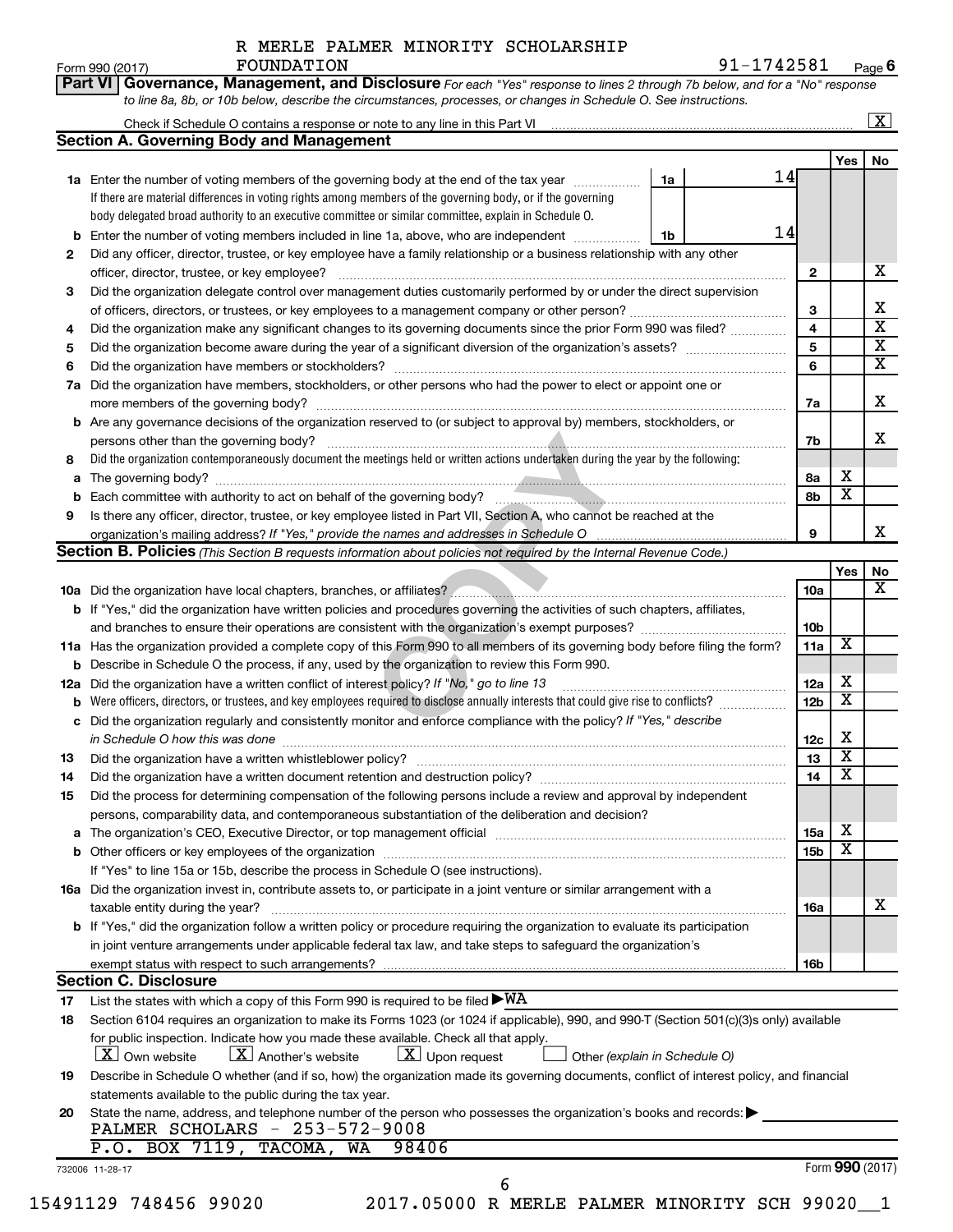**Part VI** Governance, Management, and Disclosure For each "Yes" response to lines 2 through 7b below, and for a "No" response

Form 990 (2017)  ${\bf F}$ OUNDATION  $91-1742581$   $_{\rm Page}$ **6**

|                | <b>Section A. Governing Body and Management</b>                                                                                           |                 |                         |                         |  |  |  |  |
|----------------|-------------------------------------------------------------------------------------------------------------------------------------------|-----------------|-------------------------|-------------------------|--|--|--|--|
|                |                                                                                                                                           |                 | Yes                     | No                      |  |  |  |  |
|                | 14<br>1a Enter the number of voting members of the governing body at the end of the tax year<br>1a                                        |                 |                         |                         |  |  |  |  |
|                | If there are material differences in voting rights among members of the governing body, or if the governing                               |                 |                         |                         |  |  |  |  |
|                | body delegated broad authority to an executive committee or similar committee, explain in Schedule O.                                     |                 |                         |                         |  |  |  |  |
|                | 14<br>Enter the number of voting members included in line 1a, above, who are independent<br>1b                                            |                 |                         |                         |  |  |  |  |
| 2              | Did any officer, director, trustee, or key employee have a family relationship or a business relationship with any other                  |                 |                         |                         |  |  |  |  |
|                |                                                                                                                                           | $\mathbf{2}$    |                         | Х                       |  |  |  |  |
| З              | Did the organization delegate control over management duties customarily performed by or under the direct supervision                     |                 |                         |                         |  |  |  |  |
|                |                                                                                                                                           | 3               |                         | Х                       |  |  |  |  |
| 4              | Did the organization make any significant changes to its governing documents since the prior Form 990 was filed?                          | 4               |                         | $\overline{\mathbf{X}}$ |  |  |  |  |
| 5              |                                                                                                                                           | 5               |                         | $\overline{\mathbf{X}}$ |  |  |  |  |
| 6              |                                                                                                                                           | 6               |                         | $\overline{\mathbf{X}}$ |  |  |  |  |
| 7a             | Did the organization have members, stockholders, or other persons who had the power to elect or appoint one or                            |                 |                         |                         |  |  |  |  |
|                |                                                                                                                                           | 7a              |                         | X                       |  |  |  |  |
|                | <b>b</b> Are any governance decisions of the organization reserved to (or subject to approval by) members, stockholders, or               |                 |                         |                         |  |  |  |  |
|                |                                                                                                                                           | 7b              |                         | x                       |  |  |  |  |
| 8              | Did the organization contemporaneously document the meetings held or written actions undertaken during the year by the following:         |                 |                         |                         |  |  |  |  |
| a              |                                                                                                                                           | 8а              | х                       |                         |  |  |  |  |
|                |                                                                                                                                           | 8b              | $\overline{\textbf{x}}$ |                         |  |  |  |  |
| 9              | Is there any officer, director, trustee, or key employee listed in Part VII, Section A, who cannot be reached at the                      |                 |                         |                         |  |  |  |  |
|                |                                                                                                                                           | 9               |                         | x                       |  |  |  |  |
|                | <b>Section B. Policies</b> (This Section B requests information about policies not required by the Internal Revenue Code.)                |                 |                         |                         |  |  |  |  |
|                |                                                                                                                                           |                 | Yes                     | No                      |  |  |  |  |
|                |                                                                                                                                           | 10a             |                         | х                       |  |  |  |  |
|                | b If "Yes," did the organization have written policies and procedures governing the activities of such chapters, affiliates,              |                 |                         |                         |  |  |  |  |
|                |                                                                                                                                           | 10b             |                         |                         |  |  |  |  |
|                | 11a Has the organization provided a complete copy of this Form 990 to all members of its governing body before filing the form?           | 11a             | $\overline{\textbf{x}}$ |                         |  |  |  |  |
|                | <b>b</b> Describe in Schedule O the process, if any, used by the organization to review this Form 990.                                    |                 |                         |                         |  |  |  |  |
| 12a            | Did the organization have a written conflict of interest policy? If "No," go to line 13                                                   |                 |                         |                         |  |  |  |  |
|                |                                                                                                                                           |                 |                         |                         |  |  |  |  |
| с              | Did the organization regularly and consistently monitor and enforce compliance with the policy? If "Yes," describe                        |                 |                         |                         |  |  |  |  |
|                | in Schedule O how this was done manufactured and continuum and contract the state of the state of the state of                            | 12c             | х                       |                         |  |  |  |  |
| 13             |                                                                                                                                           | 13              | $\overline{\mathbf{x}}$ |                         |  |  |  |  |
| 14             |                                                                                                                                           | 14              | $\overline{\mathbf{x}}$ |                         |  |  |  |  |
|                | Did the process for determining compensation of the following persons include a review and approval by independent                        |                 |                         |                         |  |  |  |  |
|                |                                                                                                                                           |                 |                         |                         |  |  |  |  |
|                | persons, comparability data, and contemporaneous substantiation of the deliberation and decision?                                         |                 |                         |                         |  |  |  |  |
|                |                                                                                                                                           | 15a             | х                       |                         |  |  |  |  |
|                |                                                                                                                                           | 15 <sub>b</sub> | $\overline{\textbf{x}}$ |                         |  |  |  |  |
|                | If "Yes" to line 15a or 15b, describe the process in Schedule O (see instructions).                                                       |                 |                         |                         |  |  |  |  |
|                | 16a Did the organization invest in, contribute assets to, or participate in a joint venture or similar arrangement with a                 |                 |                         |                         |  |  |  |  |
|                | taxable entity during the year?                                                                                                           | 16a             |                         |                         |  |  |  |  |
|                | b If "Yes," did the organization follow a written policy or procedure requiring the organization to evaluate its participation            |                 |                         |                         |  |  |  |  |
|                | in joint venture arrangements under applicable federal tax law, and take steps to safeguard the organization's                            |                 |                         |                         |  |  |  |  |
|                | exempt status with respect to such arrangements?                                                                                          | 16b             |                         |                         |  |  |  |  |
|                | <b>Section C. Disclosure</b>                                                                                                              |                 |                         |                         |  |  |  |  |
|                | List the states with which a copy of this Form 990 is required to be filed $\blacktriangleright\texttt{WA}$                               |                 |                         |                         |  |  |  |  |
| 15<br>17<br>18 | Section 6104 requires an organization to make its Forms 1023 (or 1024 if applicable), 990, and 990-T (Section 501(c)(3)s only) available  |                 |                         |                         |  |  |  |  |
|                | for public inspection. Indicate how you made these available. Check all that apply.                                                       |                 |                         |                         |  |  |  |  |
|                | $\lfloor x \rfloor$ Another's website<br>$\lfloor x \rfloor$ Upon request<br>$ X $ Own website<br>Other (explain in Schedule O)           |                 |                         |                         |  |  |  |  |
|                | Describe in Schedule O whether (and if so, how) the organization made its governing documents, conflict of interest policy, and financial |                 |                         |                         |  |  |  |  |
| 19             | statements available to the public during the tax year.                                                                                   |                 |                         |                         |  |  |  |  |
| 20             | State the name, address, and telephone number of the person who possesses the organization's books and records:                           |                 |                         | х                       |  |  |  |  |
|                | PALMER SCHOLARS - 253-572-9008                                                                                                            |                 |                         |                         |  |  |  |  |
|                | $P.O.$ BOX 7119, TACOMA,<br>WA<br>98406                                                                                                   |                 | Form 990 (2017)         |                         |  |  |  |  |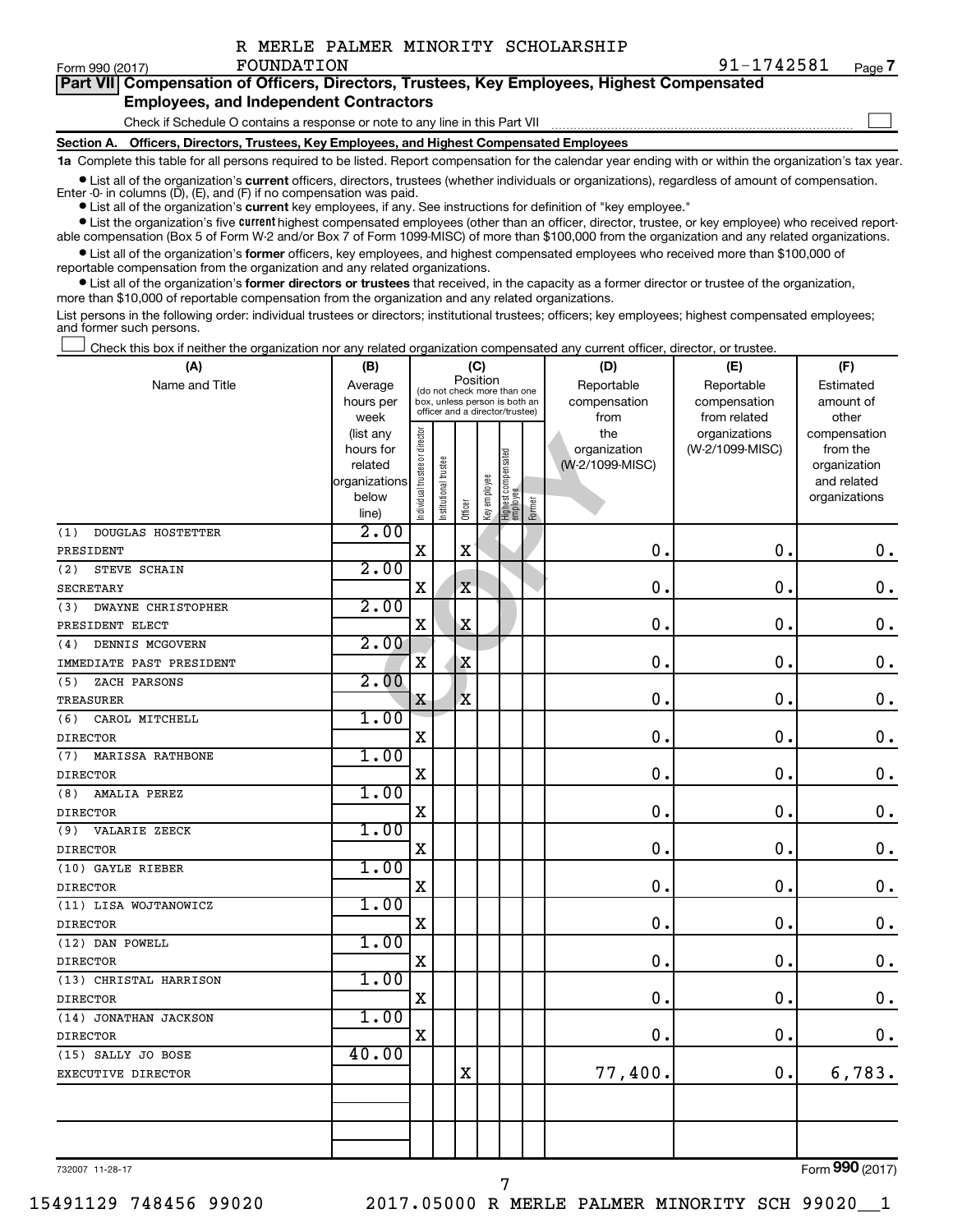|  |  |  |  |  | R MERLE PALMER MINORITY SCHOLARSHIP |
|--|--|--|--|--|-------------------------------------|
|--|--|--|--|--|-------------------------------------|

 $\Box$ 

| Part VII Compensation of Officers, Directors, Trustees, Key Employees, Highest Compensated |
|--------------------------------------------------------------------------------------------|
| <b>Employees, and Independent Contractors</b>                                              |

Check if Schedule O contains a response or note to any line in this Part VII

FOUNDATION

**Section A. Officers, Directors, Trustees, Key Employees, and Highest Compensated Employees**

**1a**  Complete this table for all persons required to be listed. Report compensation for the calendar year ending with or within the organization's tax year.

**•** List all of the organization's current officers, directors, trustees (whether individuals or organizations), regardless of amount of compensation. Enter -0- in columns  $(D)$ ,  $(E)$ , and  $(F)$  if no compensation was paid.

**•** List all of the organization's **current** key employees, if any. See instructions for definition of "key employee."

**•** List the organization's five current highest compensated employees (other than an officer, director, trustee, or key employee) who received reportable compensation (Box 5 of Form W-2 and/or Box 7 of Form 1099-MISC) of more than \$100,000 from the organization and any related organizations.

**•** List all of the organization's former officers, key employees, and highest compensated employees who received more than \$100,000 of reportable compensation from the organization and any related organizations.

**•** List all of the organization's former directors or trustees that received, in the capacity as a former director or trustee of the organization, more than \$10,000 of reportable compensation from the organization and any related organizations.

List persons in the following order: individual trustees or directors; institutional trustees; officers; key employees; highest compensated employees; and former such persons.

Check this box if neither the organization nor any related organization compensated any current officer, director, or trustee.  $\Box$ 

| (A)                              | (B)           |                                |                       |                                         | (C)          |                                 |        | (D)             | (E)             | (F)           |
|----------------------------------|---------------|--------------------------------|-----------------------|-----------------------------------------|--------------|---------------------------------|--------|-----------------|-----------------|---------------|
| Name and Title                   | Average       |                                |                       | Position<br>(do not check more than one |              |                                 |        | Reportable      | Reportable      | Estimated     |
|                                  | hours per     |                                |                       | box, unless person is both an           |              |                                 |        | compensation    | compensation    | amount of     |
|                                  | week          |                                |                       | officer and a director/trustee)         |              |                                 |        | from            | from related    | other         |
|                                  | (list any     |                                |                       |                                         |              |                                 |        | the             | organizations   | compensation  |
|                                  | hours for     |                                |                       |                                         |              |                                 |        | organization    | (W-2/1099-MISC) | from the      |
|                                  | related       |                                |                       |                                         |              |                                 |        | (W-2/1099-MISC) |                 | organization  |
|                                  | organizations |                                |                       |                                         |              |                                 |        |                 |                 | and related   |
|                                  | below         | Individual trustee or director | Institutional trustee | Officer                                 | Key employee | Highest compensated<br>employee | Former |                 |                 | organizations |
|                                  | line)<br>2.00 |                                |                       |                                         |              |                                 |        |                 |                 |               |
| <b>DOUGLAS HOSTETTER</b><br>(1)  |               | $\mathbf x$                    |                       | $\mathbf X$                             |              |                                 |        | 0.              | 0.              | $\mathbf 0$ . |
| PRESIDENT                        | 2.00          |                                |                       |                                         |              |                                 |        |                 |                 |               |
| (2)<br>STEVE SCHAIN              |               |                                |                       |                                         |              |                                 |        |                 |                 |               |
| <b>SECRETARY</b>                 |               | $\mathbf X$                    |                       | $\mathbf X$                             |              |                                 |        | 0.              | $\mathbf 0$ .   | $\mathbf 0$ . |
| <b>DWAYNE CHRISTOPHER</b><br>(3) | 2.00          |                                |                       |                                         |              |                                 |        |                 |                 |               |
| PRESIDENT ELECT                  |               | $\mathbf X$                    |                       | $\mathbf X$                             |              |                                 |        | 0.              | $\mathbf 0$ .   | $\mathbf 0$ . |
| DENNIS MCGOVERN<br>(4)           | 2.00          |                                |                       |                                         |              |                                 |        |                 |                 |               |
| IMMEDIATE PAST PRESIDENT         |               | $\overline{\mathbf{X}}$        |                       | $\mathbf X$                             |              |                                 |        | 0.              | $\mathbf 0$     | $\mathbf 0$ . |
| (5)<br>ZACH PARSONS              | 2.00          |                                |                       |                                         |              |                                 |        |                 |                 |               |
| TREASURER                        |               | X                              |                       | $\mathbf x$                             |              |                                 |        | 0.              | $\mathbf 0$ .   | $\mathbf 0$ . |
| CAROL MITCHELL<br>(6)            | 1.00          |                                |                       |                                         |              |                                 |        |                 |                 |               |
| <b>DIRECTOR</b>                  |               | X                              |                       |                                         |              |                                 |        | $\mathbf 0$     | $\mathbf 0$ .   | $\mathbf 0$ . |
| MARISSA RATHBONE<br>(7)          | 1.00          |                                |                       |                                         |              |                                 |        |                 |                 |               |
| <b>DIRECTOR</b>                  |               | $\mathbf X$                    |                       |                                         |              |                                 |        | $\mathbf 0$ .   | $\mathbf 0$ .   | $\mathbf 0$ . |
| AMALIA PEREZ<br>(8)              | 1.00          |                                |                       |                                         |              |                                 |        |                 |                 |               |
| <b>DIRECTOR</b>                  |               | $\mathbf X$                    |                       |                                         |              |                                 |        | 0.              | 0.              | $\mathbf 0$ . |
| (9)<br>VALARIE ZEECK             | 1.00          |                                |                       |                                         |              |                                 |        |                 |                 |               |
| <b>DIRECTOR</b>                  |               | $\mathbf X$                    |                       |                                         |              |                                 |        | 0.              | 0.              | $\mathbf 0$ . |
| (10) GAYLE RIEBER                | 1.00          |                                |                       |                                         |              |                                 |        |                 |                 |               |
| <b>DIRECTOR</b>                  |               | X                              |                       |                                         |              |                                 |        | $\mathbf 0$ .   | $\mathbf 0$     | $\mathbf 0$ . |
| (11) LISA WOJTANOWICZ            | 1.00          |                                |                       |                                         |              |                                 |        |                 |                 |               |
| <b>DIRECTOR</b>                  |               | X                              |                       |                                         |              |                                 |        | $\mathbf 0$     | $\mathbf 0$     | 0.            |
| (12) DAN POWELL                  | 1.00          |                                |                       |                                         |              |                                 |        |                 |                 |               |
| <b>DIRECTOR</b>                  |               | X                              |                       |                                         |              |                                 |        | $\mathbf 0$     | $\mathbf 0$     | $\mathbf 0$ . |
| (13) CHRISTAL HARRISON           | 1.00          |                                |                       |                                         |              |                                 |        |                 |                 |               |
| <b>DIRECTOR</b>                  |               | $\mathbf X$                    |                       |                                         |              |                                 |        | $\mathbf 0$     | $\mathbf 0$     | $\mathbf 0$ . |
| (14) JONATHAN JACKSON            | 1.00          |                                |                       |                                         |              |                                 |        |                 |                 |               |
| <b>DIRECTOR</b>                  |               | $\mathbf X$                    |                       |                                         |              |                                 |        | 0.              | $\mathbf 0$     | 0.            |
| (15) SALLY JO BOSE               | 40.00         |                                |                       |                                         |              |                                 |        |                 |                 |               |
| EXECUTIVE DIRECTOR               |               |                                |                       | $\mathbf X$                             |              |                                 |        | 77,400.         | 0.              | 6,783.        |
|                                  |               |                                |                       |                                         |              |                                 |        |                 |                 |               |
|                                  |               |                                |                       |                                         |              |                                 |        |                 |                 |               |
|                                  |               |                                |                       |                                         |              |                                 |        |                 |                 |               |
|                                  |               |                                |                       |                                         |              |                                 |        |                 |                 |               |

7

732007 11-28-17

Form (2017) **990**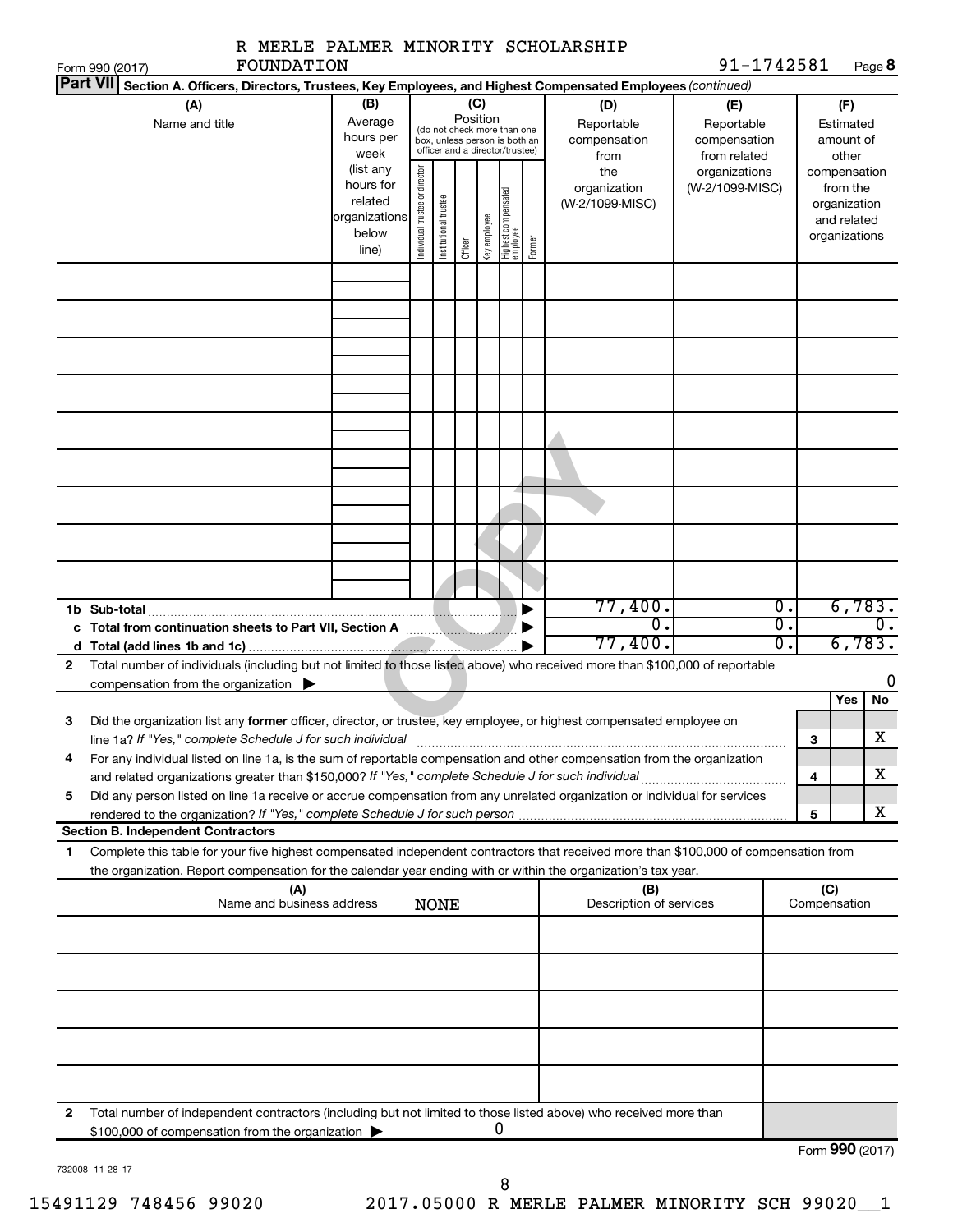|                                                                                                        |                                                                                                                                                                                                                                                        |  |  |             |                                                                                                                    |              |                                 |        | R MERLE PALMER MINORITY SCHOLARSHIP       |                                                   |   |                                                                          |                               |
|--------------------------------------------------------------------------------------------------------|--------------------------------------------------------------------------------------------------------------------------------------------------------------------------------------------------------------------------------------------------------|--|--|-------------|--------------------------------------------------------------------------------------------------------------------|--------------|---------------------------------|--------|-------------------------------------------|---------------------------------------------------|---|--------------------------------------------------------------------------|-------------------------------|
| Form 990 (2017)                                                                                        | FOUNDATION                                                                                                                                                                                                                                             |  |  |             |                                                                                                                    |              |                                 |        |                                           | 91-1742581                                        |   |                                                                          | Page 8                        |
| <b>Part VII</b>                                                                                        | Section A. Officers, Directors, Trustees, Key Employees, and Highest Compensated Employees (continued)                                                                                                                                                 |  |  |             |                                                                                                                    |              |                                 |        |                                           |                                                   |   |                                                                          |                               |
| (B)<br>(A)<br>Average<br>Name and title<br>hours per<br>week                                           |                                                                                                                                                                                                                                                        |  |  |             | (C)<br>Position<br>(do not check more than one<br>box, unless person is both an<br>officer and a director/trustee) |              |                                 |        | (D)<br>Reportable<br>compensation<br>from | (E)<br>Reportable<br>compensation<br>from related |   | (F)<br>Estimated<br>amount of<br>other                                   |                               |
| (list any<br>Individual trustee or director<br>hours for<br>related<br>organizations<br>below<br>line) |                                                                                                                                                                                                                                                        |  |  |             |                                                                                                                    | Key employee | Highest compensated<br>employee | Former | the<br>organization<br>(W-2/1099-MISC)    | organizations<br>(W-2/1099-MISC)                  |   | compensation<br>from the<br>organization<br>and related<br>organizations |                               |
|                                                                                                        |                                                                                                                                                                                                                                                        |  |  |             |                                                                                                                    |              |                                 |        |                                           |                                                   |   |                                                                          |                               |
|                                                                                                        |                                                                                                                                                                                                                                                        |  |  |             |                                                                                                                    |              |                                 |        |                                           |                                                   |   |                                                                          |                               |
|                                                                                                        |                                                                                                                                                                                                                                                        |  |  |             |                                                                                                                    |              |                                 |        |                                           |                                                   |   |                                                                          |                               |
|                                                                                                        |                                                                                                                                                                                                                                                        |  |  |             |                                                                                                                    |              |                                 |        |                                           |                                                   |   |                                                                          |                               |
|                                                                                                        |                                                                                                                                                                                                                                                        |  |  |             |                                                                                                                    |              |                                 |        |                                           |                                                   |   |                                                                          |                               |
|                                                                                                        |                                                                                                                                                                                                                                                        |  |  |             |                                                                                                                    |              |                                 |        |                                           |                                                   |   |                                                                          | 6,783.                        |
|                                                                                                        | 1b Sub-total                                                                                                                                                                                                                                           |  |  |             |                                                                                                                    |              |                                 |        | 77,400.<br>$\overline{0}$ .<br>77,400.    | 0.<br>Ο.<br>Ο.                                    |   |                                                                          | $0$ .<br>6,783.               |
| $\mathbf{2}$                                                                                           | Total number of individuals (including but not limited to those listed above) who received more than \$100,000 of reportable<br>compensation from the organization $\blacktriangleright$                                                               |  |  |             |                                                                                                                    |              |                                 |        |                                           |                                                   |   |                                                                          | 0                             |
| З                                                                                                      | Did the organization list any former officer, director, or trustee, key employee, or highest compensated employee on<br>line 1a? If "Yes," complete Schedule J for such individual                                                                     |  |  |             |                                                                                                                    |              |                                 |        |                                           |                                                   |   | Yes                                                                      | No<br>$\overline{\textbf{X}}$ |
| 4                                                                                                      | For any individual listed on line 1a, is the sum of reportable compensation and other compensation from the organization                                                                                                                               |  |  |             |                                                                                                                    |              |                                 |        |                                           |                                                   | з | 4                                                                        | х                             |
| 5                                                                                                      | Did any person listed on line 1a receive or accrue compensation from any unrelated organization or individual for services                                                                                                                             |  |  |             |                                                                                                                    |              |                                 |        |                                           |                                                   |   |                                                                          | х                             |
|                                                                                                        | rendered to the organization? If "Yes," complete Schedule J for such person<br><b>Section B. Independent Contractors</b>                                                                                                                               |  |  |             |                                                                                                                    |              |                                 |        |                                           |                                                   | 5 |                                                                          |                               |
| 1                                                                                                      | Complete this table for your five highest compensated independent contractors that received more than \$100,000 of compensation from<br>the organization. Report compensation for the calendar year ending with or within the organization's tax year. |  |  |             |                                                                                                                    |              |                                 |        |                                           |                                                   |   |                                                                          |                               |
|                                                                                                        | (A)<br>Name and business address                                                                                                                                                                                                                       |  |  | <b>NONE</b> |                                                                                                                    |              |                                 |        | (B)<br>Description of services            |                                                   |   | (C)<br>Compensation                                                      |                               |
|                                                                                                        |                                                                                                                                                                                                                                                        |  |  |             |                                                                                                                    |              |                                 |        |                                           |                                                   |   |                                                                          |                               |
|                                                                                                        |                                                                                                                                                                                                                                                        |  |  |             |                                                                                                                    |              |                                 |        |                                           |                                                   |   |                                                                          |                               |
|                                                                                                        |                                                                                                                                                                                                                                                        |  |  |             |                                                                                                                    |              |                                 |        |                                           |                                                   |   |                                                                          |                               |
|                                                                                                        |                                                                                                                                                                                                                                                        |  |  |             |                                                                                                                    |              |                                 |        |                                           |                                                   |   |                                                                          |                               |
| 2                                                                                                      | Total number of independent contractors (including but not limited to those listed above) who received more than<br>\$100,000 of compensation from the organization                                                                                    |  |  |             |                                                                                                                    |              |                                 |        |                                           |                                                   |   |                                                                          |                               |

|  |  | 732008 11-28-17 |
|--|--|-----------------|
|--|--|-----------------|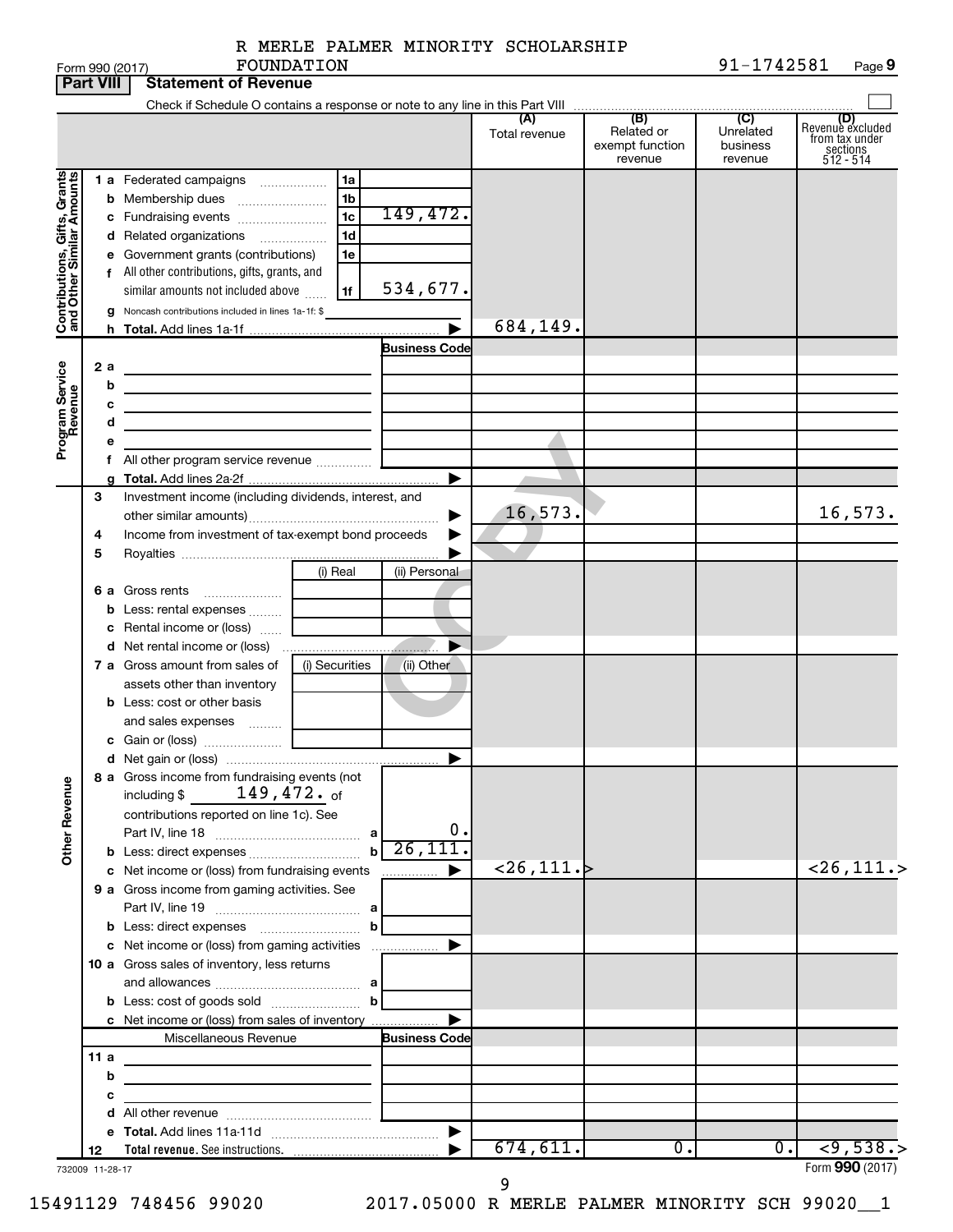|  |  | R MERLE PALMER MINORITY SCHOLARSHIP |
|--|--|-------------------------------------|
|  |  |                                     |

|                                                           | <b>Part VIII</b> | <b>Statement of Revenue</b>                                                                    |                |                      |                           |                                                 |                                                    |                                                                    |
|-----------------------------------------------------------|------------------|------------------------------------------------------------------------------------------------|----------------|----------------------|---------------------------|-------------------------------------------------|----------------------------------------------------|--------------------------------------------------------------------|
|                                                           |                  | Check if Schedule O contains a response or note to any line in this Part VIII                  |                |                      |                           |                                                 |                                                    |                                                                    |
|                                                           |                  |                                                                                                |                |                      | (A)<br>Total revenue      | (B)<br>Related or<br>exempt function<br>revenue | $\overline{C}$<br>Unrelated<br>business<br>revenue | (D)<br>Revenue excluded<br>from tax under<br>sections<br>512 - 514 |
|                                                           |                  | 1 a Federated campaigns                                                                        | 1a             |                      |                           |                                                 |                                                    |                                                                    |
|                                                           | b                | Membership dues                                                                                | 1 <sub>b</sub> |                      |                           |                                                 |                                                    |                                                                    |
|                                                           | c                | Fundraising events                                                                             | 1 <sub>c</sub> | 149,472.             |                           |                                                 |                                                    |                                                                    |
|                                                           | d                | Related organizations<br>$\overline{\phantom{a}}$                                              | 1 <sub>d</sub> |                      |                           |                                                 |                                                    |                                                                    |
| Contributions, Gifts, Grants<br>and Other Similar Amounts | е                | Government grants (contributions)                                                              | 1e             |                      |                           |                                                 |                                                    |                                                                    |
|                                                           | f                | All other contributions, gifts, grants, and                                                    |                |                      |                           |                                                 |                                                    |                                                                    |
|                                                           |                  | similar amounts not included above                                                             | 1f             | 534,677.             |                           |                                                 |                                                    |                                                                    |
|                                                           | g                | Noncash contributions included in lines 1a-1f: \$                                              |                |                      |                           |                                                 |                                                    |                                                                    |
|                                                           |                  |                                                                                                |                |                      | 684,149.                  |                                                 |                                                    |                                                                    |
|                                                           |                  |                                                                                                |                | <b>Business Code</b> |                           |                                                 |                                                    |                                                                    |
| Program Service<br>Revenue                                | 2a               | the control of the control of the control of the control of the control of                     |                |                      |                           |                                                 |                                                    |                                                                    |
|                                                           | b                |                                                                                                |                |                      |                           |                                                 |                                                    |                                                                    |
|                                                           | c                | the control of the control of the control of the control of the control of                     |                |                      |                           |                                                 |                                                    |                                                                    |
|                                                           | d                | the control of the control of the control of the control of                                    |                |                      |                           |                                                 |                                                    |                                                                    |
|                                                           |                  |                                                                                                |                |                      |                           |                                                 |                                                    |                                                                    |
|                                                           |                  |                                                                                                |                | ▶                    |                           |                                                 |                                                    |                                                                    |
|                                                           | 3                | Investment income (including dividends, interest, and                                          |                |                      |                           |                                                 |                                                    |                                                                    |
|                                                           |                  |                                                                                                |                |                      | 16,573.                   |                                                 |                                                    | 16, 573.                                                           |
|                                                           | 4                | Income from investment of tax-exempt bond proceeds                                             |                |                      |                           |                                                 |                                                    |                                                                    |
|                                                           | 5                |                                                                                                |                |                      |                           |                                                 |                                                    |                                                                    |
|                                                           |                  |                                                                                                | (i) Real       | (ii) Personal        |                           |                                                 |                                                    |                                                                    |
|                                                           | 6а               | Gross rents                                                                                    |                |                      |                           |                                                 |                                                    |                                                                    |
|                                                           | b                | Less: rental expenses                                                                          |                |                      |                           |                                                 |                                                    |                                                                    |
|                                                           | c                | Rental income or (loss)                                                                        |                |                      |                           |                                                 |                                                    |                                                                    |
|                                                           | d                |                                                                                                |                |                      |                           |                                                 |                                                    |                                                                    |
|                                                           |                  | 7 a Gross amount from sales of                                                                 | (i) Securities | (ii) Other           |                           |                                                 |                                                    |                                                                    |
|                                                           |                  | assets other than inventory                                                                    |                |                      |                           |                                                 |                                                    |                                                                    |
|                                                           |                  | <b>b</b> Less: cost or other basis                                                             |                |                      |                           |                                                 |                                                    |                                                                    |
|                                                           |                  | and sales expenses                                                                             |                |                      |                           |                                                 |                                                    |                                                                    |
|                                                           |                  |                                                                                                |                |                      |                           |                                                 |                                                    |                                                                    |
|                                                           |                  |                                                                                                |                |                      |                           |                                                 |                                                    |                                                                    |
|                                                           |                  | 8 a Gross income from fundraising events (not                                                  |                |                      |                           |                                                 |                                                    |                                                                    |
|                                                           |                  | $149$ ,472. $_{\sf of}$<br>including \$                                                        |                |                      |                           |                                                 |                                                    |                                                                    |
|                                                           |                  | contributions reported on line 1c). See                                                        |                |                      |                           |                                                 |                                                    |                                                                    |
| <b>Other Revenue</b>                                      |                  |                                                                                                | $\mathbf b$    | 0.<br>26, 111.       |                           |                                                 |                                                    |                                                                    |
|                                                           |                  |                                                                                                |                |                      | $\langle 26, 111.\rangle$ |                                                 |                                                    | $<$ 26,111.>                                                       |
|                                                           |                  | c Net income or (loss) from fundraising events<br>9 a Gross income from gaming activities. See |                | .                    |                           |                                                 |                                                    |                                                                    |
|                                                           |                  |                                                                                                |                |                      |                           |                                                 |                                                    |                                                                    |
|                                                           |                  |                                                                                                | b              |                      |                           |                                                 |                                                    |                                                                    |
|                                                           |                  |                                                                                                |                |                      |                           |                                                 |                                                    |                                                                    |
|                                                           |                  | 10 a Gross sales of inventory, less returns                                                    |                |                      |                           |                                                 |                                                    |                                                                    |
|                                                           |                  |                                                                                                |                |                      |                           |                                                 |                                                    |                                                                    |
|                                                           |                  |                                                                                                | b              |                      |                           |                                                 |                                                    |                                                                    |
|                                                           |                  | c Net income or (loss) from sales of inventory                                                 |                |                      |                           |                                                 |                                                    |                                                                    |
|                                                           |                  | Miscellaneous Revenue                                                                          |                | <b>Business Code</b> |                           |                                                 |                                                    |                                                                    |
|                                                           | 11 a             |                                                                                                |                |                      |                           |                                                 |                                                    |                                                                    |
|                                                           | b                | the control of the control of the control of the control of the control of                     |                |                      |                           |                                                 |                                                    |                                                                    |
|                                                           | с                | the control of the control of the control of the control of                                    |                |                      |                           |                                                 |                                                    |                                                                    |
|                                                           | d                |                                                                                                |                |                      |                           |                                                 |                                                    |                                                                    |
|                                                           |                  |                                                                                                |                |                      |                           |                                                 |                                                    |                                                                    |
|                                                           | 12               |                                                                                                |                |                      | 674, 611.                 | 0.                                              | 0.                                                 | $\overline{538.}$                                                  |
|                                                           | 732009 11-28-17  |                                                                                                |                |                      |                           |                                                 |                                                    | Form 990 (2017)                                                    |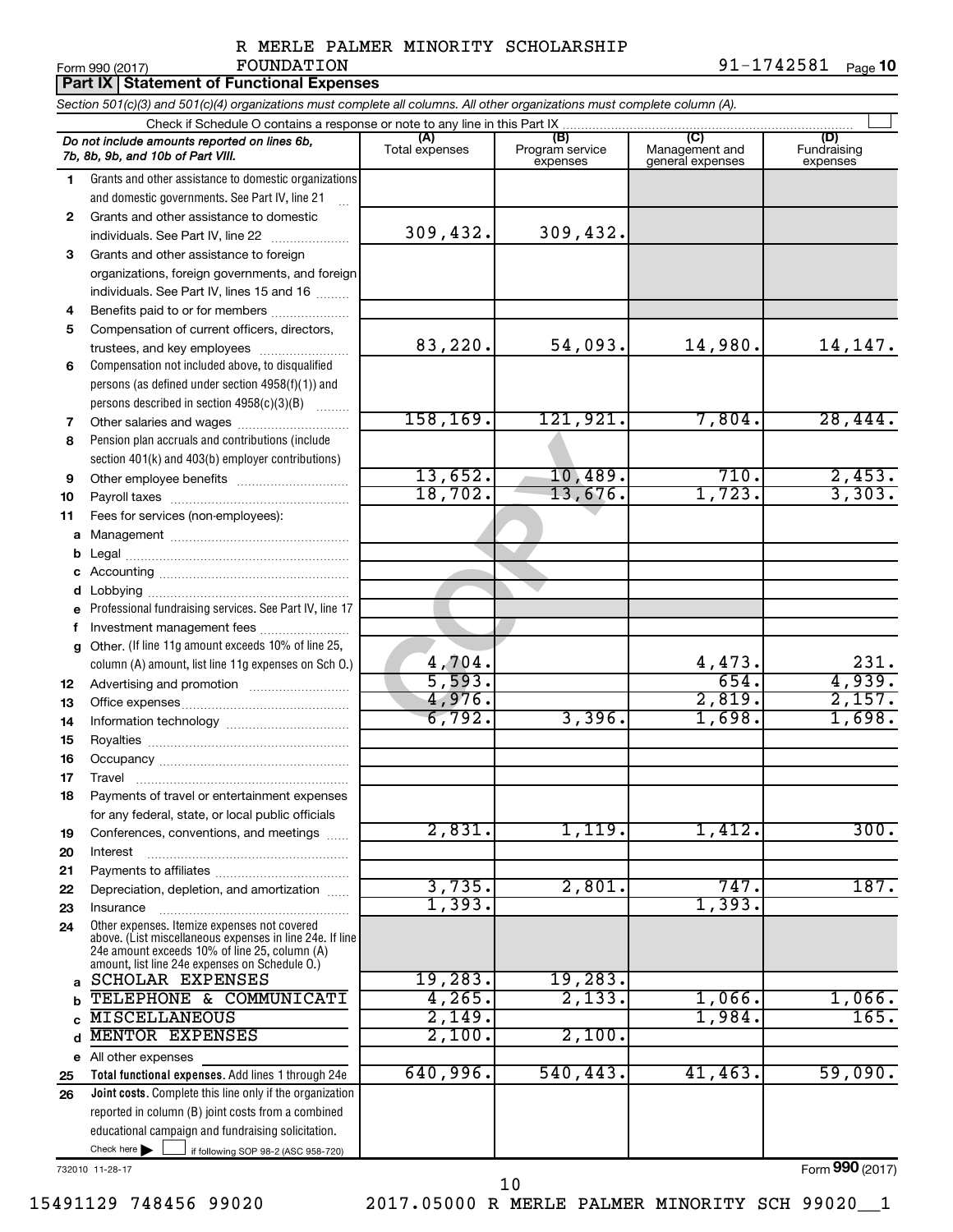<u>10</u> Page **10** 

 $\top$ 

| Form 990 (2017) | FOUNDATION                                                                                                                 | 91-1742581 |
|-----------------|----------------------------------------------------------------------------------------------------------------------------|------------|
|                 | <b>Part IX Statement of Functional Expenses</b>                                                                            |            |
|                 | Section 501(c)(3) and 501(c)(4) organizations must complete all columns. All other organizations must complete column (A). |            |

|              | Do not include amounts reported on lines 6b,<br>7b, 8b, 9b, and 10b of Part VIII.               | (A)<br>Total expenses | (B)<br>Program service<br>expenses | (C)<br>Management and<br>general expenses | (D)<br>Fundraising<br>expenses |
|--------------|-------------------------------------------------------------------------------------------------|-----------------------|------------------------------------|-------------------------------------------|--------------------------------|
| 1.           | Grants and other assistance to domestic organizations                                           |                       |                                    |                                           |                                |
|              | and domestic governments. See Part IV, line 21                                                  |                       |                                    |                                           |                                |
| $\mathbf{2}$ | Grants and other assistance to domestic                                                         |                       |                                    |                                           |                                |
|              | individuals. See Part IV, line 22                                                               | 309,432.              | 309,432.                           |                                           |                                |
| 3            | Grants and other assistance to foreign                                                          |                       |                                    |                                           |                                |
|              | organizations, foreign governments, and foreign                                                 |                       |                                    |                                           |                                |
|              | individuals. See Part IV, lines 15 and 16                                                       |                       |                                    |                                           |                                |
| 4            | Benefits paid to or for members                                                                 |                       |                                    |                                           |                                |
| 5            | Compensation of current officers, directors,                                                    |                       |                                    |                                           |                                |
|              | trustees, and key employees                                                                     | 83,220.               | 54,093.                            | 14,980.                                   | 14,147.                        |
| 6            | Compensation not included above, to disqualified                                                |                       |                                    |                                           |                                |
|              | persons (as defined under section 4958(f)(1)) and                                               |                       |                                    |                                           |                                |
|              | persons described in section 4958(c)(3)(B)<br>$\sim$                                            |                       |                                    |                                           |                                |
| 7            |                                                                                                 | 158, 169.             | 121,921.                           | 7,804.                                    | 28,444.                        |
| 8            | Pension plan accruals and contributions (include                                                |                       |                                    |                                           |                                |
|              | section 401(k) and 403(b) employer contributions)                                               |                       |                                    |                                           |                                |
| 9            |                                                                                                 | 13,652.               | 10,489.                            | 710.                                      | 2,453.                         |
| 10           |                                                                                                 | 18,702.               | 13,676.                            | 1,723.                                    | 3,303.                         |
| 11           | Fees for services (non-employees):                                                              |                       |                                    |                                           |                                |
|              |                                                                                                 |                       |                                    |                                           |                                |
| b            |                                                                                                 |                       |                                    |                                           |                                |
| c            |                                                                                                 |                       |                                    |                                           |                                |
| d            |                                                                                                 |                       |                                    |                                           |                                |
| е            | Professional fundraising services. See Part IV, line 17                                         |                       |                                    |                                           |                                |
| f            | Investment management fees                                                                      |                       |                                    |                                           |                                |
| g            | Other. (If line 11g amount exceeds 10% of line 25,                                              |                       |                                    |                                           |                                |
|              | column (A) amount, list line 11g expenses on Sch O.)                                            | 4,704.<br>5,593.      |                                    | $\frac{4,473.}{654.}$                     | 231.<br>4,939.                 |
| 12           |                                                                                                 | 4,976.                |                                    | 2,819.                                    | 2,157.                         |
| 13           |                                                                                                 | 6,792.                | 3,396.                             | 1,698.                                    | 1,698.                         |
| 14           |                                                                                                 |                       |                                    |                                           |                                |
| 15           |                                                                                                 |                       |                                    |                                           |                                |
| 16           |                                                                                                 |                       |                                    |                                           |                                |
| 17           |                                                                                                 |                       |                                    |                                           |                                |
| 18           | Payments of travel or entertainment expenses                                                    |                       |                                    |                                           |                                |
|              | for any federal, state, or local public officials                                               | 2,831.                | 1,119.                             | 1,412.                                    | 300.                           |
| 19<br>20     | Conferences, conventions, and meetings<br>Interest                                              |                       |                                    |                                           |                                |
| 21           |                                                                                                 |                       |                                    |                                           |                                |
| 22           | Depreciation, depletion, and amortization                                                       | 3,735.                | 2,801.                             | 747.                                      | 187.                           |
| 23           | Insurance                                                                                       | 1,393.                |                                    | 1,393.                                    |                                |
| 24           | Other expenses. Itemize expenses not covered                                                    |                       |                                    |                                           |                                |
|              | above. (List miscellaneous expenses in line 24e. If line                                        |                       |                                    |                                           |                                |
|              | 24e amount exceeds 10% of line 25, column (A)<br>amount, list line 24e expenses on Schedule O.) |                       |                                    |                                           |                                |
| a            | <b>SCHOLAR EXPENSES</b>                                                                         | 19,283.               | 19,283.                            |                                           |                                |
|              | TELEPHONE & COMMUNICATI                                                                         | 4,265.                | 2,133.                             | 1,066.                                    | 1,066.                         |
|              | <b>MISCELLANEOUS</b>                                                                            | 2,149.                |                                    | 1,984.                                    | 165.                           |
|              | MENTOR EXPENSES                                                                                 | 2,100.                | 2,100.                             |                                           |                                |
| е            | All other expenses                                                                              |                       |                                    |                                           |                                |
| 25           | Total functional expenses. Add lines 1 through 24e                                              | 640,996.              | 540, 443.                          | 41,463.                                   | 59,090.                        |
| 26           | Joint costs. Complete this line only if the organization                                        |                       |                                    |                                           |                                |
|              | reported in column (B) joint costs from a combined                                              |                       |                                    |                                           |                                |
|              | educational campaign and fundraising solicitation.                                              |                       |                                    |                                           |                                |
|              | Check here $\blacktriangleright$<br>if following SOP 98-2 (ASC 958-720)                         |                       |                                    |                                           |                                |
|              |                                                                                                 |                       |                                    |                                           |                                |

732010 11-28-17

Form (2017) **990**

10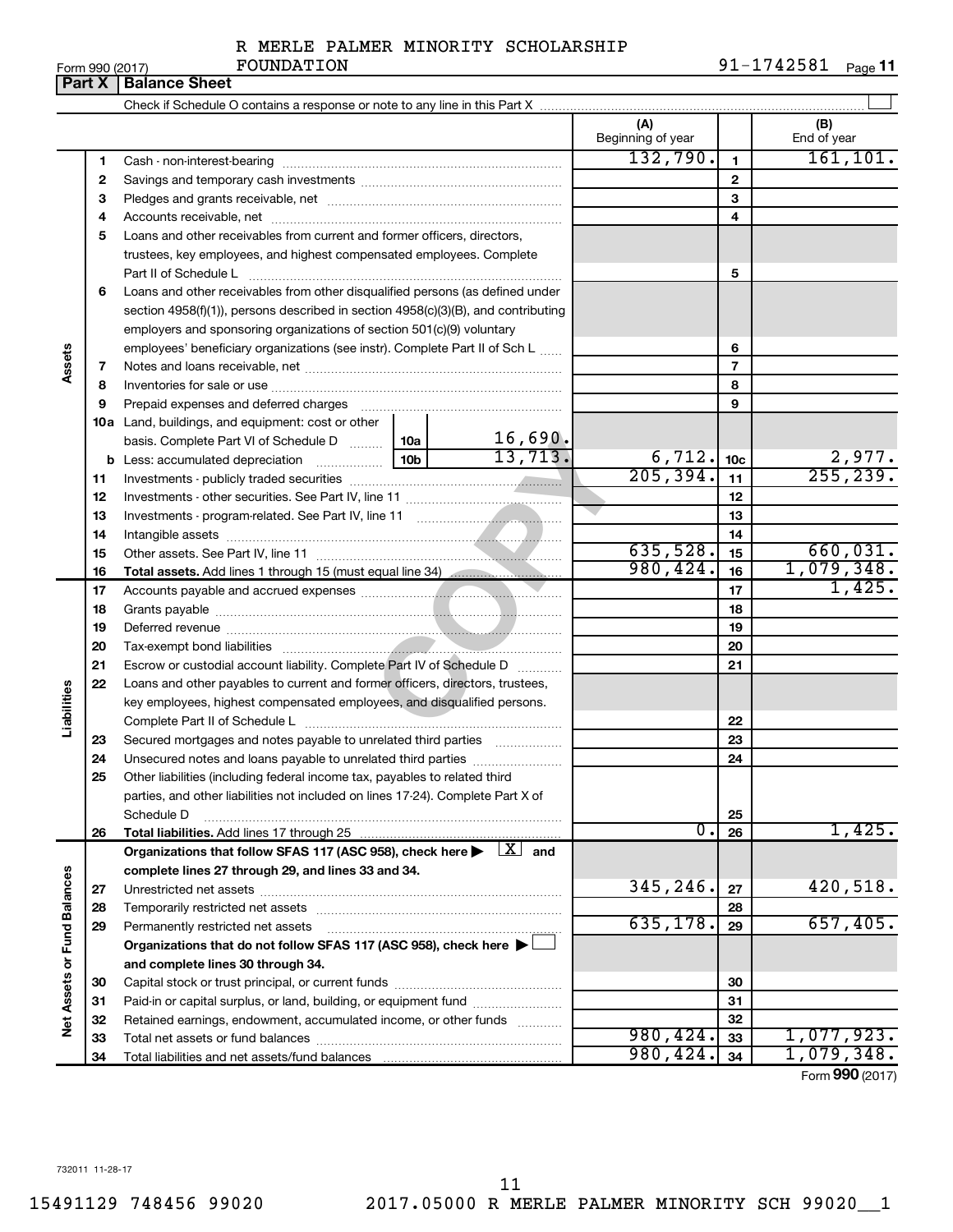|  | Form 990 (2017) |
|--|-----------------|
|  |                 |

Form 990 (2017) **FOUNDATION** 91-1742581 <sub>Page</sub> 11

| (A)<br>Beginning of year<br>132,790.<br>1<br>1.                                                                              | (B)<br>End of year<br>161, 101. |
|------------------------------------------------------------------------------------------------------------------------------|---------------------------------|
|                                                                                                                              |                                 |
|                                                                                                                              |                                 |
|                                                                                                                              |                                 |
| $\mathbf{2}$<br>2                                                                                                            |                                 |
| З<br>З                                                                                                                       |                                 |
| 4<br>4                                                                                                                       |                                 |
| Loans and other receivables from current and former officers, directors,<br>5                                                |                                 |
| trustees, key employees, and highest compensated employees. Complete                                                         |                                 |
| 5<br>Part II of Schedule L                                                                                                   |                                 |
| Loans and other receivables from other disqualified persons (as defined under<br>6                                           |                                 |
| section $4958(f)(1)$ , persons described in section $4958(c)(3)(B)$ , and contributing                                       |                                 |
| employers and sponsoring organizations of section 501(c)(9) voluntary                                                        |                                 |
| employees' beneficiary organizations (see instr). Complete Part II of Sch L<br>6                                             |                                 |
| Assets<br>7<br>7                                                                                                             |                                 |
| 8<br>8                                                                                                                       |                                 |
| 9<br>9                                                                                                                       |                                 |
| <b>10a</b> Land, buildings, and equipment: cost or other                                                                     |                                 |
| 16,690.<br>basis. Complete Part VI of Schedule D  10a<br>13,713.                                                             |                                 |
| $\frac{6,712}{205,394}.$<br>10 <sub>c</sub>                                                                                  | $\frac{2,977}{255,239}$         |
| 11<br>11                                                                                                                     |                                 |
| 12<br>12                                                                                                                     |                                 |
| 13<br>13                                                                                                                     |                                 |
| 14<br>14<br>635,528.                                                                                                         | 660,031.                        |
| 15<br>15<br>980, 424.                                                                                                        | 1,079,348.                      |
| 16<br>16<br>Total assets. Add lines 1 through 15 (must equal line 34) manuscription<br>17                                    | 1,425.                          |
| 17<br>18<br>18                                                                                                               |                                 |
| 19<br>19                                                                                                                     |                                 |
| 20<br>20                                                                                                                     |                                 |
| 21<br>Escrow or custodial account liability. Complete Part IV of Schedule D<br>21                                            |                                 |
| 22<br>Loans and other payables to current and former officers, directors, trustees,                                          |                                 |
| Liabilities<br>key employees, highest compensated employees, and disqualified persons.                                       |                                 |
| 22                                                                                                                           |                                 |
| Secured mortgages and notes payable to unrelated third parties<br>23<br>23                                                   |                                 |
| 24<br>Unsecured notes and loans payable to unrelated third parties<br>24                                                     |                                 |
| Other liabilities (including federal income tax, payables to related third<br>25                                             |                                 |
| parties, and other liabilities not included on lines 17-24). Complete Part X of                                              |                                 |
| Schedule D<br>25                                                                                                             |                                 |
| 0.<br>26<br>Total liabilities. Add lines 17 through 25<br>26                                                                 | 1,425.                          |
| Organizations that follow SFAS 117 (ASC 958), check here $\blacktriangleright \begin{array}{c} \boxed{X} \\ \end{array}$ and |                                 |
| complete lines 27 through 29, and lines 33 and 34.                                                                           |                                 |
| 345,246.<br>27<br>27                                                                                                         | 420,518.                        |
| <b>Fund Balances</b><br>28<br>28                                                                                             |                                 |
| 635,178.<br>29<br>29<br>Permanently restricted net assets                                                                    | 657,405.                        |
| Organizations that do not follow SFAS 117 (ASC 958), check here $\blacktriangleright$                                        |                                 |
| and complete lines 30 through 34.                                                                                            |                                 |
| 30<br>30                                                                                                                     |                                 |
| Paid-in or capital surplus, or land, building, or equipment fund<br>31<br>31                                                 |                                 |
| Net Assets or<br>32<br>32<br>Retained earnings, endowment, accumulated income, or other funds<br>980, 424.                   | 1,077,923.                      |
| 33<br>33<br>980, 424.<br>34                                                                                                  | 1,079,348.                      |
| 34                                                                                                                           | Form 990 (2017)                 |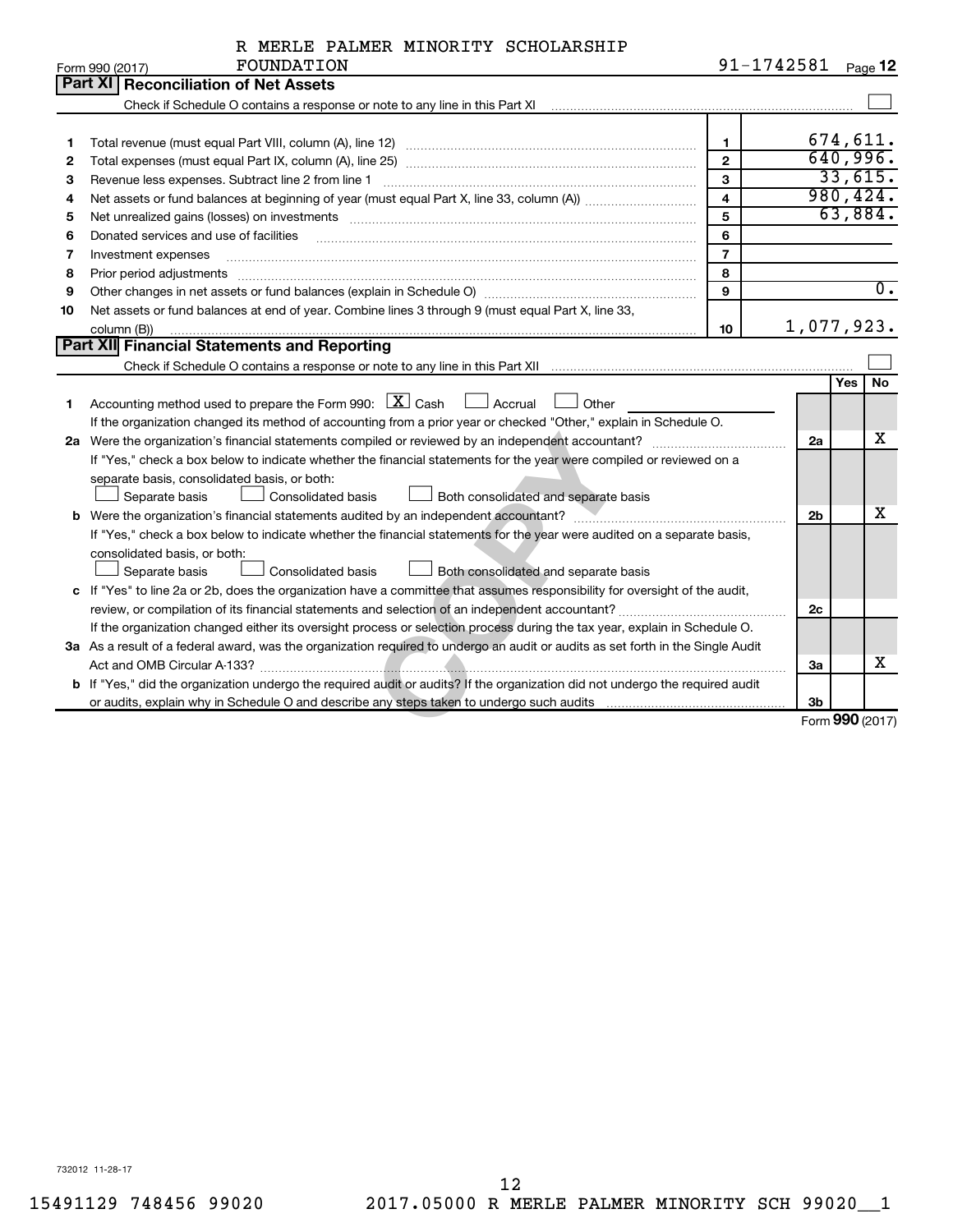| R MERLE PALMER MINORITY SCHOLARSHIP |  |  |  |  |  |
|-------------------------------------|--|--|--|--|--|
|-------------------------------------|--|--|--|--|--|

|    | FOUNDATION<br>Form 990 (2017)                                                                                                                                                                                                  |                | 91-1742581     | Page 12          |
|----|--------------------------------------------------------------------------------------------------------------------------------------------------------------------------------------------------------------------------------|----------------|----------------|------------------|
|    | <b>Part XI Reconciliation of Net Assets</b>                                                                                                                                                                                    |                |                |                  |
|    |                                                                                                                                                                                                                                |                |                |                  |
|    |                                                                                                                                                                                                                                |                |                |                  |
| 1  |                                                                                                                                                                                                                                | $\mathbf{1}$   |                | 674,611.         |
| 2  |                                                                                                                                                                                                                                | $\mathbf{2}$   |                | 640,996.         |
| З  |                                                                                                                                                                                                                                | $\mathbf{3}$   |                | 33,615.          |
| 4  |                                                                                                                                                                                                                                | $\overline{4}$ |                | 980, 424.        |
| 5  | Net unrealized gains (losses) on investments [11] matter than the control of the state of the state of the state of the state of the state of the state of the state of the state of the state of the state of the state of th | 5              |                | 63,884.          |
| 6  | Donated services and use of facilities                                                                                                                                                                                         | 6              |                |                  |
| 7  | Investment expenses                                                                                                                                                                                                            | $\overline{7}$ |                |                  |
| 8  | Prior period adjustments material contents and content and content and content and content and content and content and content and content and content and content and content and content and content and content and content | 8              |                |                  |
| 9  | Other changes in net assets or fund balances (explain in Schedule O) manufactured controller than growth of the                                                                                                                | 9              |                | $\overline{0}$ . |
| 10 | Net assets or fund balances at end of year. Combine lines 3 through 9 (must equal Part X, line 33,                                                                                                                             |                |                |                  |
|    | column (B))                                                                                                                                                                                                                    | 10             |                | 1,077,923.       |
|    | Part XII Financial Statements and Reporting                                                                                                                                                                                    |                |                |                  |
|    |                                                                                                                                                                                                                                |                |                |                  |
|    |                                                                                                                                                                                                                                |                |                | No<br>Yes        |
| 1  | Accounting method used to prepare the Form 990: $X \subset X$ Cash<br>$\Box$ Accrual<br>Other                                                                                                                                  |                |                |                  |
|    | If the organization changed its method of accounting from a prior year or checked "Other," explain in Schedule O.                                                                                                              |                |                |                  |
|    |                                                                                                                                                                                                                                |                | 2a             | х                |
|    | If "Yes," check a box below to indicate whether the financial statements for the year were compiled or reviewed on a                                                                                                           |                |                |                  |
|    | separate basis, consolidated basis, or both:                                                                                                                                                                                   |                |                |                  |
|    | Separate basis<br><b>Consolidated basis</b><br>Both consolidated and separate basis                                                                                                                                            |                |                |                  |
|    |                                                                                                                                                                                                                                |                | 2 <sub>b</sub> | x                |
|    | If "Yes," check a box below to indicate whether the financial statements for the year were audited on a separate basis,                                                                                                        |                |                |                  |
|    | consolidated basis, or both:                                                                                                                                                                                                   |                |                |                  |
|    | Separate basis<br>Consolidated basis<br>Both consolidated and separate basis                                                                                                                                                   |                |                |                  |
|    | c If "Yes" to line 2a or 2b, does the organization have a committee that assumes responsibility for oversight of the audit,                                                                                                    |                |                |                  |
|    |                                                                                                                                                                                                                                |                | 2c             |                  |
|    | If the organization changed either its oversight process or selection process during the tax year, explain in Schedule O.                                                                                                      |                |                |                  |
|    | 3a As a result of a federal award, was the organization required to undergo an audit or audits as set forth in the Single Audit                                                                                                |                |                |                  |
|    |                                                                                                                                                                                                                                |                | За             | x                |
|    | b If "Yes," did the organization undergo the required audit or audits? If the organization did not undergo the required audit                                                                                                  |                |                |                  |
|    |                                                                                                                                                                                                                                |                | 3 <sub>b</sub> |                  |
|    |                                                                                                                                                                                                                                |                |                | Form 990 (2017)  |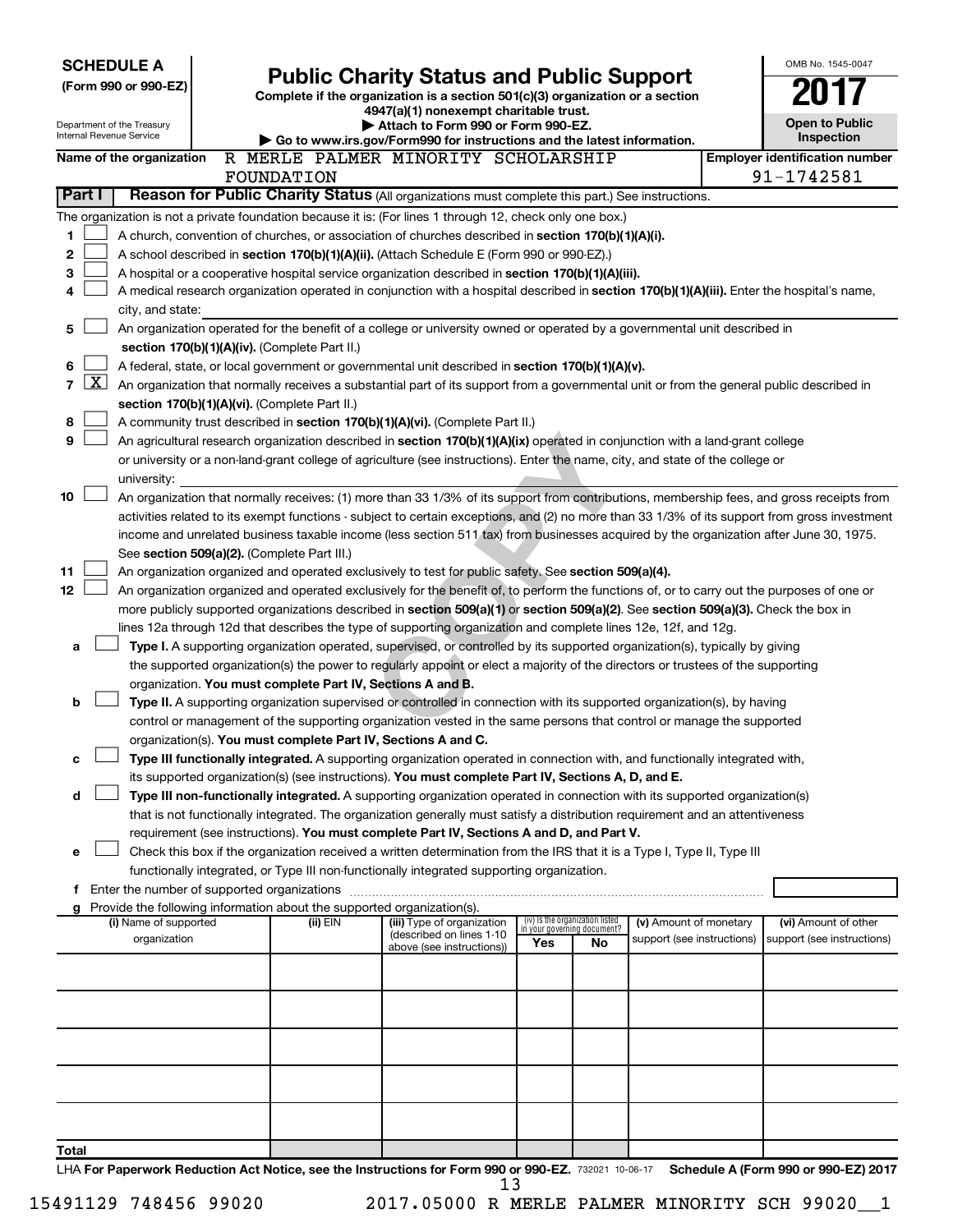| <b>SCHEDULE A</b><br><b>Public Charity Status and Public Support</b> |                                                                                                                                                                                                |  |                                                                        |                                                                                                                                                                                                                                                      |     |                                   | OMB No. 1545-0047          |  |                                       |
|----------------------------------------------------------------------|------------------------------------------------------------------------------------------------------------------------------------------------------------------------------------------------|--|------------------------------------------------------------------------|------------------------------------------------------------------------------------------------------------------------------------------------------------------------------------------------------------------------------------------------------|-----|-----------------------------------|----------------------------|--|---------------------------------------|
|                                                                      | (Form 990 or 990-EZ)                                                                                                                                                                           |  |                                                                        |                                                                                                                                                                                                                                                      |     |                                   |                            |  |                                       |
|                                                                      |                                                                                                                                                                                                |  |                                                                        | Complete if the organization is a section 501(c)(3) organization or a section<br>4947(a)(1) nonexempt charitable trust.                                                                                                                              |     |                                   |                            |  |                                       |
|                                                                      | Department of the Treasury                                                                                                                                                                     |  |                                                                        | Attach to Form 990 or Form 990-EZ.                                                                                                                                                                                                                   |     |                                   |                            |  | <b>Open to Public</b>                 |
|                                                                      | Internal Revenue Service                                                                                                                                                                       |  |                                                                        | $\triangleright$ Go to www.irs.gov/Form990 for instructions and the latest information.                                                                                                                                                              |     |                                   |                            |  | <b>Inspection</b>                     |
|                                                                      | Name of the organization                                                                                                                                                                       |  |                                                                        | R MERLE PALMER MINORITY SCHOLARSHIP                                                                                                                                                                                                                  |     |                                   |                            |  | <b>Employer identification number</b> |
|                                                                      |                                                                                                                                                                                                |  | FOUNDATION                                                             |                                                                                                                                                                                                                                                      |     |                                   |                            |  | 91-1742581                            |
| Part I                                                               |                                                                                                                                                                                                |  |                                                                        | Reason for Public Charity Status (All organizations must complete this part.) See instructions.                                                                                                                                                      |     |                                   |                            |  |                                       |
|                                                                      |                                                                                                                                                                                                |  |                                                                        | The organization is not a private foundation because it is: (For lines 1 through 12, check only one box.)                                                                                                                                            |     |                                   |                            |  |                                       |
| 1                                                                    | A church, convention of churches, or association of churches described in section 170(b)(1)(A)(i).                                                                                             |  |                                                                        |                                                                                                                                                                                                                                                      |     |                                   |                            |  |                                       |
| 2                                                                    | A school described in section 170(b)(1)(A)(ii). (Attach Schedule E (Form 990 or 990-EZ).)<br>A hospital or a cooperative hospital service organization described in section 170(b)(1)(A)(iii). |  |                                                                        |                                                                                                                                                                                                                                                      |     |                                   |                            |  |                                       |
| 3                                                                    | A medical research organization operated in conjunction with a hospital described in section 170(b)(1)(A)(iii). Enter the hospital's name,<br>4                                                |  |                                                                        |                                                                                                                                                                                                                                                      |     |                                   |                            |  |                                       |
|                                                                      | city, and state:                                                                                                                                                                               |  |                                                                        |                                                                                                                                                                                                                                                      |     |                                   |                            |  |                                       |
| 5                                                                    | An organization operated for the benefit of a college or university owned or operated by a governmental unit described in                                                                      |  |                                                                        |                                                                                                                                                                                                                                                      |     |                                   |                            |  |                                       |
|                                                                      | section 170(b)(1)(A)(iv). (Complete Part II.)                                                                                                                                                  |  |                                                                        |                                                                                                                                                                                                                                                      |     |                                   |                            |  |                                       |
| 6                                                                    |                                                                                                                                                                                                |  |                                                                        | A federal, state, or local government or governmental unit described in section 170(b)(1)(A)(v).                                                                                                                                                     |     |                                   |                            |  |                                       |
| $\overline{7}$                                                       | <u>x</u>                                                                                                                                                                                       |  |                                                                        | An organization that normally receives a substantial part of its support from a governmental unit or from the general public described in                                                                                                            |     |                                   |                            |  |                                       |
|                                                                      |                                                                                                                                                                                                |  | section 170(b)(1)(A)(vi). (Complete Part II.)                          |                                                                                                                                                                                                                                                      |     |                                   |                            |  |                                       |
| 8                                                                    |                                                                                                                                                                                                |  |                                                                        | A community trust described in section 170(b)(1)(A)(vi). (Complete Part II.)                                                                                                                                                                         |     |                                   |                            |  |                                       |
| 9                                                                    |                                                                                                                                                                                                |  |                                                                        | An agricultural research organization described in section 170(b)(1)(A)(ix) operated in conjunction with a land-grant college                                                                                                                        |     |                                   |                            |  |                                       |
|                                                                      |                                                                                                                                                                                                |  |                                                                        | or university or a non-land-grant college of agriculture (see instructions). Enter the name, city, and state of the college or                                                                                                                       |     |                                   |                            |  |                                       |
|                                                                      | university:                                                                                                                                                                                    |  |                                                                        |                                                                                                                                                                                                                                                      |     |                                   |                            |  |                                       |
| 10                                                                   |                                                                                                                                                                                                |  |                                                                        | An organization that normally receives: (1) more than 33 1/3% of its support from contributions, membership fees, and gross receipts from                                                                                                            |     |                                   |                            |  |                                       |
|                                                                      |                                                                                                                                                                                                |  |                                                                        | activities related to its exempt functions - subject to certain exceptions, and (2) no more than 33 1/3% of its support from gross investment                                                                                                        |     |                                   |                            |  |                                       |
|                                                                      |                                                                                                                                                                                                |  |                                                                        | income and unrelated business taxable income (less section 511 tax) from businesses acquired by the organization after June 30, 1975.                                                                                                                |     |                                   |                            |  |                                       |
|                                                                      |                                                                                                                                                                                                |  | See section 509(a)(2). (Complete Part III.)                            |                                                                                                                                                                                                                                                      |     |                                   |                            |  |                                       |
| 11                                                                   |                                                                                                                                                                                                |  |                                                                        | An organization organized and operated exclusively to test for public safety. See section 509(a)(4).                                                                                                                                                 |     |                                   |                            |  |                                       |
| 12                                                                   |                                                                                                                                                                                                |  |                                                                        | An organization organized and operated exclusively for the benefit of, to perform the functions of, or to carry out the purposes of one or                                                                                                           |     |                                   |                            |  |                                       |
|                                                                      |                                                                                                                                                                                                |  |                                                                        | more publicly supported organizations described in section 509(a)(1) or section 509(a)(2). See section 509(a)(3). Check the box in<br>lines 12a through 12d that describes the type of supporting organization and complete lines 12e, 12f, and 12g. |     |                                   |                            |  |                                       |
| a                                                                    |                                                                                                                                                                                                |  |                                                                        | Type I. A supporting organization operated, supervised, or controlled by its supported organization(s), typically by giving                                                                                                                          |     |                                   |                            |  |                                       |
|                                                                      |                                                                                                                                                                                                |  |                                                                        | the supported organization(s) the power to regularly appoint or elect a majority of the directors or trustees of the supporting                                                                                                                      |     |                                   |                            |  |                                       |
|                                                                      |                                                                                                                                                                                                |  | organization. You must complete Part IV, Sections A and B.             |                                                                                                                                                                                                                                                      |     |                                   |                            |  |                                       |
| b                                                                    |                                                                                                                                                                                                |  |                                                                        | Type II. A supporting organization supervised or controlled in connection with its supported organization(s), by having                                                                                                                              |     |                                   |                            |  |                                       |
|                                                                      |                                                                                                                                                                                                |  |                                                                        | control or management of the supporting organization vested in the same persons that control or manage the supported                                                                                                                                 |     |                                   |                            |  |                                       |
|                                                                      |                                                                                                                                                                                                |  | organization(s). You must complete Part IV, Sections A and C.          |                                                                                                                                                                                                                                                      |     |                                   |                            |  |                                       |
| с                                                                    |                                                                                                                                                                                                |  |                                                                        | Type III functionally integrated. A supporting organization operated in connection with, and functionally integrated with,                                                                                                                           |     |                                   |                            |  |                                       |
|                                                                      |                                                                                                                                                                                                |  |                                                                        | its supported organization(s) (see instructions). You must complete Part IV, Sections A, D, and E.                                                                                                                                                   |     |                                   |                            |  |                                       |
| d                                                                    |                                                                                                                                                                                                |  |                                                                        | Type III non-functionally integrated. A supporting organization operated in connection with its supported organization(s)                                                                                                                            |     |                                   |                            |  |                                       |
|                                                                      |                                                                                                                                                                                                |  |                                                                        | that is not functionally integrated. The organization generally must satisfy a distribution requirement and an attentiveness                                                                                                                         |     |                                   |                            |  |                                       |
|                                                                      |                                                                                                                                                                                                |  |                                                                        | requirement (see instructions). You must complete Part IV, Sections A and D, and Part V.                                                                                                                                                             |     |                                   |                            |  |                                       |
| e                                                                    |                                                                                                                                                                                                |  |                                                                        | Check this box if the organization received a written determination from the IRS that it is a Type I, Type II, Type III                                                                                                                              |     |                                   |                            |  |                                       |
|                                                                      |                                                                                                                                                                                                |  |                                                                        | functionally integrated, or Type III non-functionally integrated supporting organization.                                                                                                                                                            |     |                                   |                            |  |                                       |
|                                                                      | f Enter the number of supported organizations                                                                                                                                                  |  | Provide the following information about the supported organization(s). |                                                                                                                                                                                                                                                      |     |                                   |                            |  |                                       |
| g                                                                    | (i) Name of supported                                                                                                                                                                          |  | (ii) EIN                                                               | (iii) Type of organization                                                                                                                                                                                                                           |     | (iv) Is the organization listed   | (v) Amount of monetary     |  | (vi) Amount of other                  |
|                                                                      | organization                                                                                                                                                                                   |  |                                                                        | (described on lines 1-10<br>above (see instructions))                                                                                                                                                                                                | Yes | in your governing document?<br>No | support (see instructions) |  | support (see instructions)            |
|                                                                      |                                                                                                                                                                                                |  |                                                                        |                                                                                                                                                                                                                                                      |     |                                   |                            |  |                                       |
|                                                                      |                                                                                                                                                                                                |  |                                                                        |                                                                                                                                                                                                                                                      |     |                                   |                            |  |                                       |
|                                                                      |                                                                                                                                                                                                |  |                                                                        |                                                                                                                                                                                                                                                      |     |                                   |                            |  |                                       |
|                                                                      |                                                                                                                                                                                                |  |                                                                        |                                                                                                                                                                                                                                                      |     |                                   |                            |  |                                       |
|                                                                      |                                                                                                                                                                                                |  |                                                                        |                                                                                                                                                                                                                                                      |     |                                   |                            |  |                                       |
|                                                                      |                                                                                                                                                                                                |  |                                                                        |                                                                                                                                                                                                                                                      |     |                                   |                            |  |                                       |
|                                                                      |                                                                                                                                                                                                |  |                                                                        |                                                                                                                                                                                                                                                      |     |                                   |                            |  |                                       |
|                                                                      |                                                                                                                                                                                                |  |                                                                        |                                                                                                                                                                                                                                                      |     |                                   |                            |  |                                       |
|                                                                      |                                                                                                                                                                                                |  |                                                                        |                                                                                                                                                                                                                                                      |     |                                   |                            |  |                                       |
|                                                                      |                                                                                                                                                                                                |  |                                                                        |                                                                                                                                                                                                                                                      |     |                                   |                            |  |                                       |
| Total                                                                |                                                                                                                                                                                                |  |                                                                        | UA For Dopenuarly Peduction Act Notice, see the Instructions for Form 000 or 000 FZ, zeees to see T. Schodule A (Form 000 or 000 FZ) 2017                                                                                                            |     |                                   |                            |  |                                       |

732021 10-06-17 **For Paperwork Reduction Act Notice, see the Instructions for Form 990 or 990-EZ. Schedule A (Form 990 or 990-EZ) 2017** LHA For Paperwork Reduction Act Notice, see the Instructions for Form 9 13

15491129 748456 99020 2017.05000 R MERLE PALMER MINORITY SCH 99020\_\_1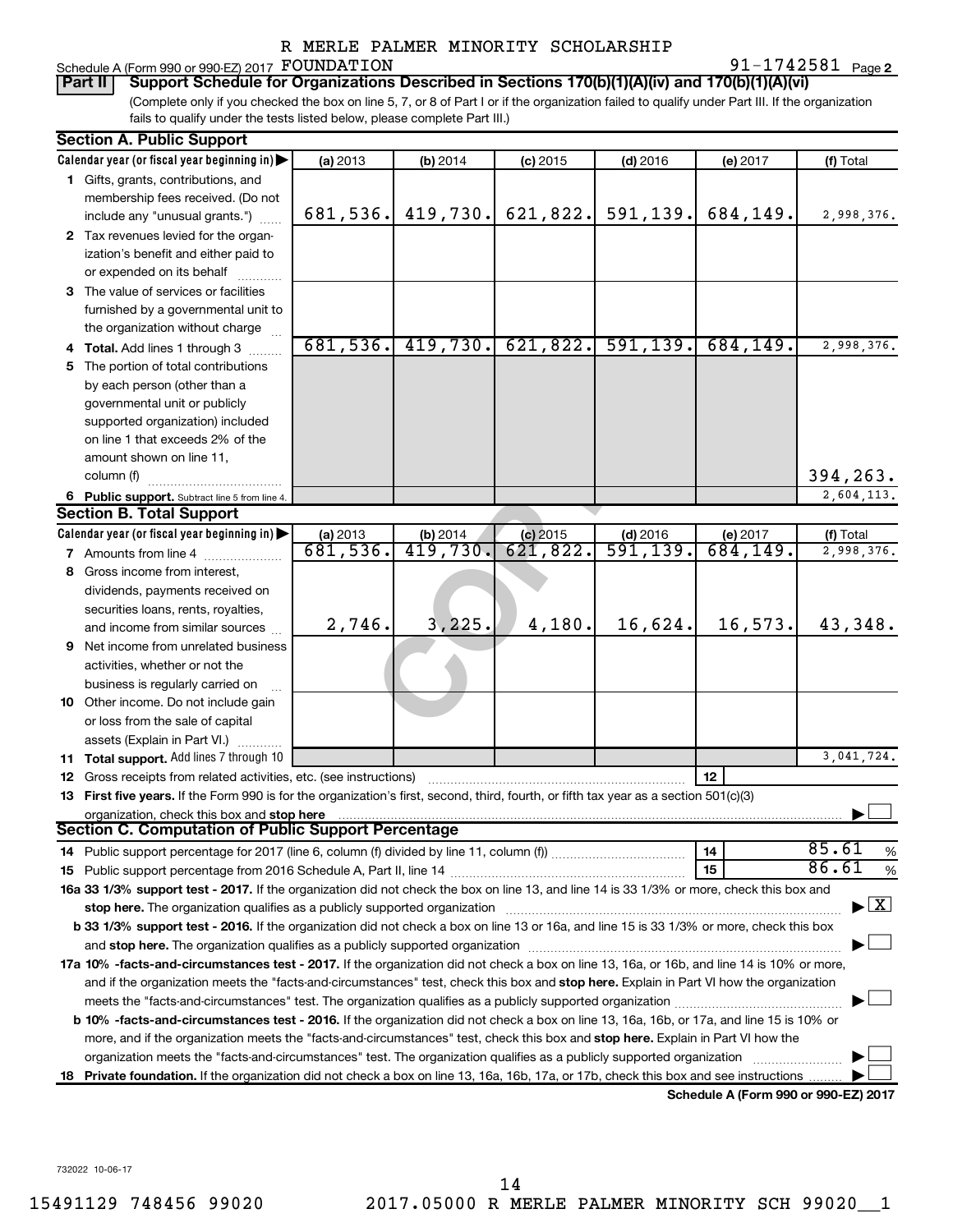## Schedule A (Form 990 or 990-EZ) 2017  ${\hbox{FOUNDATION}}$   $91-1742581$   ${\hbox{Page}}$

91-1742581 Page 2

(Complete only if you checked the box on line 5, 7, or 8 of Part I or if the organization failed to qualify under Part III. If the organization fails to qualify under the tests listed below, please complete Part III.) **Part II Support Schedule for Organizations Described in Sections 170(b)(1)(A)(iv) and 170(b)(1)(A)(vi)**

|    | <b>Section A. Public Support</b>                                                                                                           |                                |                         |            |                                |                                      |                                |
|----|--------------------------------------------------------------------------------------------------------------------------------------------|--------------------------------|-------------------------|------------|--------------------------------|--------------------------------------|--------------------------------|
|    | Calendar year (or fiscal year beginning in)                                                                                                | (a) 2013                       | (b) 2014                | $(c)$ 2015 | $(d)$ 2016                     | (e) 2017                             | (f) Total                      |
|    | 1 Gifts, grants, contributions, and                                                                                                        |                                |                         |            |                                |                                      |                                |
|    | membership fees received. (Do not                                                                                                          |                                |                         |            |                                |                                      |                                |
|    | include any "unusual grants.")                                                                                                             | 681,536.                       | 419,730.                | 621,822.   | 591,139.                       | 684,149.                             | 2,998,376.                     |
|    | 2 Tax revenues levied for the organ-                                                                                                       |                                |                         |            |                                |                                      |                                |
|    | ization's benefit and either paid to                                                                                                       |                                |                         |            |                                |                                      |                                |
|    | or expended on its behalf                                                                                                                  |                                |                         |            |                                |                                      |                                |
|    | 3 The value of services or facilities                                                                                                      |                                |                         |            |                                |                                      |                                |
|    | furnished by a governmental unit to                                                                                                        |                                |                         |            |                                |                                      |                                |
|    | the organization without charge                                                                                                            |                                |                         |            |                                |                                      |                                |
|    | 4 Total. Add lines 1 through 3                                                                                                             | 681,536.                       | 419,730.                | 621,822.   | 591, 139.                      | 684, 149.                            | 2,998,376.                     |
|    | 5 The portion of total contributions                                                                                                       |                                |                         |            |                                |                                      |                                |
|    | by each person (other than a                                                                                                               |                                |                         |            |                                |                                      |                                |
|    | governmental unit or publicly                                                                                                              |                                |                         |            |                                |                                      |                                |
|    | supported organization) included                                                                                                           |                                |                         |            |                                |                                      |                                |
|    | on line 1 that exceeds 2% of the                                                                                                           |                                |                         |            |                                |                                      |                                |
|    | amount shown on line 11,                                                                                                                   |                                |                         |            |                                |                                      |                                |
|    | column (f)                                                                                                                                 |                                |                         |            |                                |                                      | 394,263.                       |
|    | 6 Public support. Subtract line 5 from line 4.                                                                                             |                                |                         |            |                                |                                      | 2,604,113.                     |
|    | <b>Section B. Total Support</b>                                                                                                            |                                |                         |            |                                |                                      |                                |
|    | Calendar year (or fiscal year beginning in)                                                                                                | $\frac{$ (a) 2013<br>681, 536. | (b) $2014$<br>419, 730. | $(c)$ 2015 | $\frac{$ (d) 2016<br>591, 139. | (e) $2017$<br>684, 149.              | (f) Total                      |
|    | <b>7</b> Amounts from line 4                                                                                                               |                                |                         | 621,822.   |                                |                                      | 2,998,376.                     |
| 8  | Gross income from interest,                                                                                                                |                                |                         |            |                                |                                      |                                |
|    | dividends, payments received on                                                                                                            |                                |                         |            |                                |                                      |                                |
|    | securities loans, rents, royalties,                                                                                                        |                                |                         |            |                                |                                      |                                |
|    | and income from similar sources                                                                                                            | 2,746.                         | 3,225.                  | 4,180.     | 16,624.                        | 16,573.                              | 43,348.                        |
| 9. | Net income from unrelated business                                                                                                         |                                |                         |            |                                |                                      |                                |
|    | activities, whether or not the                                                                                                             |                                |                         |            |                                |                                      |                                |
|    | business is regularly carried on                                                                                                           |                                |                         |            |                                |                                      |                                |
|    | 10 Other income. Do not include gain                                                                                                       |                                |                         |            |                                |                                      |                                |
|    | or loss from the sale of capital                                                                                                           |                                |                         |            |                                |                                      |                                |
|    | assets (Explain in Part VI.)                                                                                                               |                                |                         |            |                                |                                      |                                |
|    | 11 Total support. Add lines 7 through 10                                                                                                   |                                |                         |            |                                |                                      | 3,041,724.                     |
|    | <b>12</b> Gross receipts from related activities, etc. (see instructions)                                                                  |                                |                         |            |                                | 12                                   |                                |
|    | 13 First five years. If the Form 990 is for the organization's first, second, third, fourth, or fifth tax year as a section 501(c)(3)      |                                |                         |            |                                |                                      |                                |
|    | organization, check this box and stop here                                                                                                 |                                |                         |            |                                |                                      |                                |
|    | Section C. Computation of Public Support Percentage                                                                                        |                                |                         |            |                                |                                      |                                |
|    | 14 Public support percentage for 2017 (line 6, column (f) divided by line 11, column (f) <i>mummumumum</i>                                 |                                |                         |            |                                | 14                                   | 85.61<br>$\%$                  |
|    |                                                                                                                                            |                                |                         |            |                                | 15                                   | 86.61<br>$\%$                  |
|    | 16a 33 1/3% support test - 2017. If the organization did not check the box on line 13, and line 14 is 33 1/3% or more, check this box and  |                                |                         |            |                                |                                      |                                |
|    |                                                                                                                                            |                                |                         |            |                                |                                      | $\blacktriangleright$ $\mid$ X |
|    | b 33 1/3% support test - 2016. If the organization did not check a box on line 13 or 16a, and line 15 is 33 1/3% or more, check this box   |                                |                         |            |                                |                                      |                                |
|    |                                                                                                                                            |                                |                         |            |                                |                                      |                                |
|    | 17a 10% -facts-and-circumstances test - 2017. If the organization did not check a box on line 13, 16a, or 16b, and line 14 is 10% or more, |                                |                         |            |                                |                                      |                                |
|    | and if the organization meets the "facts-and-circumstances" test, check this box and stop here. Explain in Part VI how the organization    |                                |                         |            |                                |                                      |                                |
|    |                                                                                                                                            |                                |                         |            |                                |                                      |                                |
|    | b 10% -facts-and-circumstances test - 2016. If the organization did not check a box on line 13, 16a, 16b, or 17a, and line 15 is 10% or    |                                |                         |            |                                |                                      |                                |
|    | more, and if the organization meets the "facts-and-circumstances" test, check this box and stop here. Explain in Part VI how the           |                                |                         |            |                                |                                      |                                |
|    | organization meets the "facts-and-circumstances" test. The organization qualifies as a publicly supported organization                     |                                |                         |            |                                |                                      |                                |
| 18 | Private foundation. If the organization did not check a box on line 13, 16a, 16b, 17a, or 17b, check this box and see instructions         |                                |                         |            |                                |                                      |                                |
|    |                                                                                                                                            |                                |                         |            |                                | Schedule A (Form 990 or 990-EZ) 2017 |                                |

732022 10-06-17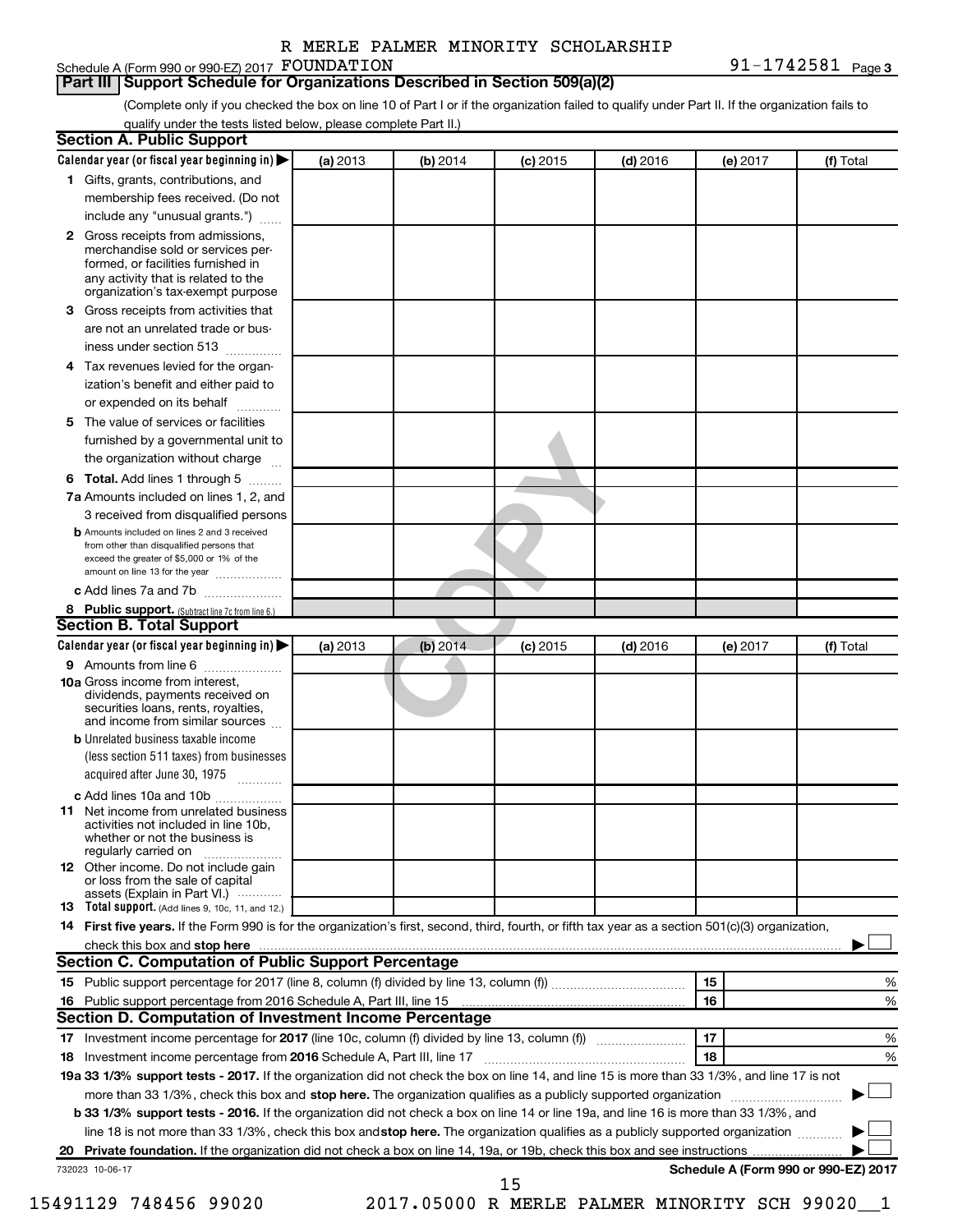## Schedule A (Form 990 or 990-EZ) 2017 FOUNDATION

**FOUNDATION** 91-1742581  $_{\text{Page 3}}$ 

### **Part III Support Schedule for Organizations Described in Section 509(a)(2)**

(Complete only if you checked the box on line 10 of Part I or if the organization failed to qualify under Part II. If the organization fails to qualify under the tests listed below, please complete Part II.)

| Calendar year (or fiscal year beginning in)                                                                                                                                                                                    | (a) 2013 | (b) 2014                                     | $(c)$ 2015 | $(d)$ 2016 | (e) 2017 | (f) Total                            |
|--------------------------------------------------------------------------------------------------------------------------------------------------------------------------------------------------------------------------------|----------|----------------------------------------------|------------|------------|----------|--------------------------------------|
| 1 Gifts, grants, contributions, and                                                                                                                                                                                            |          |                                              |            |            |          |                                      |
| membership fees received. (Do not                                                                                                                                                                                              |          |                                              |            |            |          |                                      |
| include any "unusual grants.")                                                                                                                                                                                                 |          |                                              |            |            |          |                                      |
| 2 Gross receipts from admissions,<br>merchandise sold or services per-<br>formed, or facilities furnished in<br>any activity that is related to the                                                                            |          |                                              |            |            |          |                                      |
| organization's tax-exempt purpose                                                                                                                                                                                              |          |                                              |            |            |          |                                      |
| Gross receipts from activities that<br>3.                                                                                                                                                                                      |          |                                              |            |            |          |                                      |
| are not an unrelated trade or bus-<br>iness under section 513                                                                                                                                                                  |          |                                              |            |            |          |                                      |
| Tax revenues levied for the organ-<br>4                                                                                                                                                                                        |          |                                              |            |            |          |                                      |
| ization's benefit and either paid to<br>or expended on its behalf<br>.                                                                                                                                                         |          |                                              |            |            |          |                                      |
| The value of services or facilities<br>5                                                                                                                                                                                       |          |                                              |            |            |          |                                      |
| furnished by a governmental unit to                                                                                                                                                                                            |          |                                              |            |            |          |                                      |
| the organization without charge                                                                                                                                                                                                |          |                                              |            |            |          |                                      |
| Total. Add lines 1 through 5<br>6                                                                                                                                                                                              |          |                                              |            |            |          |                                      |
| 7a Amounts included on lines 1, 2, and                                                                                                                                                                                         |          |                                              |            |            |          |                                      |
| 3 received from disqualified persons                                                                                                                                                                                           |          |                                              |            |            |          |                                      |
| <b>b</b> Amounts included on lines 2 and 3 received<br>from other than disqualified persons that<br>exceed the greater of \$5,000 or 1% of the<br>amount on line 13 for the year                                               |          |                                              |            |            |          |                                      |
| c Add lines 7a and 7b                                                                                                                                                                                                          |          |                                              |            |            |          |                                      |
| 8 Public support. (Subtract line 7c from line 6.)                                                                                                                                                                              |          |                                              |            |            |          |                                      |
| <b>Section B. Total Support</b>                                                                                                                                                                                                |          |                                              |            |            |          |                                      |
| Calendar year (or fiscal year beginning in)                                                                                                                                                                                    | (a) 2013 | (b) 2014                                     | $(c)$ 2015 | $(d)$ 2016 | (e) 2017 | (f) Total                            |
| <b>9</b> Amounts from line 6                                                                                                                                                                                                   |          |                                              |            |            |          |                                      |
| <b>10a</b> Gross income from interest,<br>dividends, payments received on<br>securities loans, rents, royalties,<br>and income from similar sources                                                                            |          |                                              |            |            |          |                                      |
| <b>b</b> Unrelated business taxable income                                                                                                                                                                                     |          |                                              |            |            |          |                                      |
| (less section 511 taxes) from businesses<br>acquired after June 30, 1975                                                                                                                                                       |          |                                              |            |            |          |                                      |
| c Add lines 10a and 10b                                                                                                                                                                                                        |          |                                              |            |            |          |                                      |
| Net income from unrelated business<br>11<br>activities not included in line 10b.<br>whether or not the business is<br>regularly carried on                                                                                     |          |                                              |            |            |          |                                      |
| <b>12</b> Other income. Do not include gain<br>or loss from the sale of capital<br>assets (Explain in Part VI.)                                                                                                                |          |                                              |            |            |          |                                      |
| <b>13</b> Total support. (Add lines 9, 10c, 11, and 12.)                                                                                                                                                                       |          |                                              |            |            |          |                                      |
| 14 First five years. If the Form 990 is for the organization's first, second, third, fourth, or fifth tax year as a section 501(c)(3) organization,                                                                            |          |                                              |            |            |          |                                      |
| check this box and stop here measurements and the contract of the state of the contract of the state of the contract of the contract of the contract of the contract of the contract of the contract of the contract of the co |          |                                              |            |            |          |                                      |
| <b>Section C. Computation of Public Support Percentage</b>                                                                                                                                                                     |          |                                              |            |            |          |                                      |
|                                                                                                                                                                                                                                |          |                                              |            |            | 15       | %                                    |
|                                                                                                                                                                                                                                |          |                                              |            |            | 16       | %                                    |
| Section D. Computation of Investment Income Percentage                                                                                                                                                                         |          |                                              |            |            |          |                                      |
|                                                                                                                                                                                                                                |          |                                              |            |            | 17       | %                                    |
| 18 Investment income percentage from 2016 Schedule A, Part III, line 17                                                                                                                                                        |          |                                              |            |            | 18       | %                                    |
| 19a 33 1/3% support tests - 2017. If the organization did not check the box on line 14, and line 15 is more than 33 1/3%, and line 17 is not                                                                                   |          |                                              |            |            |          |                                      |
| more than 33 1/3%, check this box and stop here. The organization qualifies as a publicly supported organization <i>marroummanness</i>                                                                                         |          |                                              |            |            |          |                                      |
| b 33 1/3% support tests - 2016. If the organization did not check a box on line 14 or line 19a, and line 16 is more than 33 1/3%, and                                                                                          |          |                                              |            |            |          |                                      |
| line 18 is not more than 33 1/3%, check this box and stop here. The organization qualifies as a publicly supported organization                                                                                                |          |                                              |            |            |          |                                      |
|                                                                                                                                                                                                                                |          |                                              |            |            |          |                                      |
| 732023 10-06-17                                                                                                                                                                                                                |          |                                              | 15         |            |          | Schedule A (Form 990 or 990-EZ) 2017 |
| 15491129 748456 99020                                                                                                                                                                                                          |          | 2017.05000 R MERLE PALMER MINORITY SCH 99020 |            |            |          |                                      |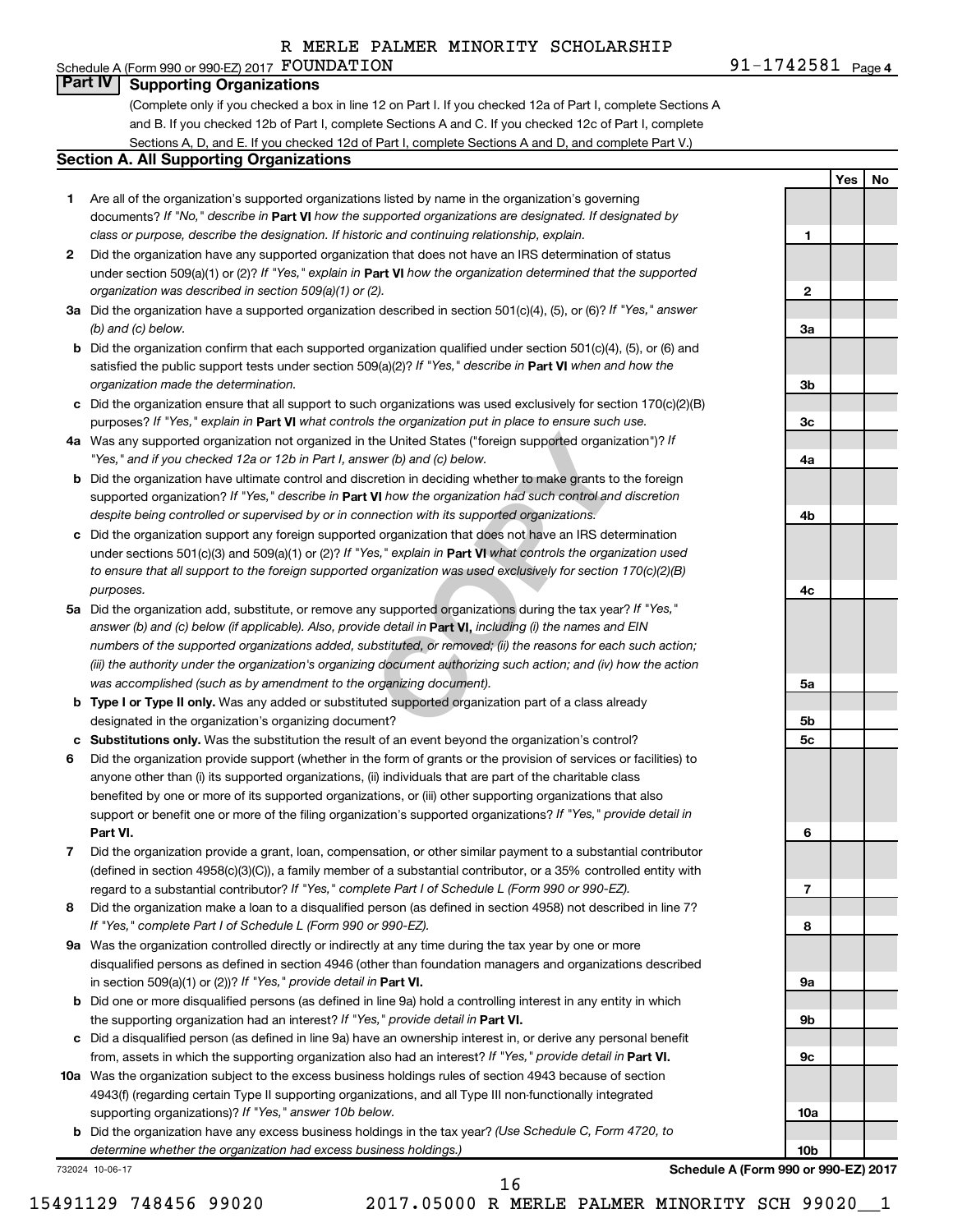### Schedule A (Form 990 or 990-EZ) 2017  ${\hbox{FOUNDATION}}$   $91-1742581$   ${\hbox{Page}}$ **Part IV Supporting Organizations**

(Complete only if you checked a box in line 12 on Part I. If you checked 12a of Part I, complete Sections A and B. If you checked 12b of Part I, complete Sections A and C. If you checked 12c of Part I, complete Sections A, D, and E. If you checked 12d of Part I, complete Sections A and D, and complete Part V.)

### **Section A. All Supporting Organizations**

- **1** Are all of the organization's supported organizations listed by name in the organization's governing documents? If "No," describe in Part VI how the supported organizations are designated. If designated by *class or purpose, describe the designation. If historic and continuing relationship, explain.*
- **2** Did the organization have any supported organization that does not have an IRS determination of status under section 509(a)(1) or (2)? If "Yes," explain in Part **VI** how the organization determined that the supported *organization was described in section 509(a)(1) or (2).*
- **3a** Did the organization have a supported organization described in section 501(c)(4), (5), or (6)? If "Yes," answer *(b) and (c) below.*
- **b** Did the organization confirm that each supported organization qualified under section 501(c)(4), (5), or (6) and satisfied the public support tests under section 509(a)(2)? If "Yes," describe in Part VI when and how the *organization made the determination.*
- **c** Did the organization ensure that all support to such organizations was used exclusively for section 170(c)(2)(B) purposes? If "Yes," explain in Part VI what controls the organization put in place to ensure such use.
- **4 a** *If* Was any supported organization not organized in the United States ("foreign supported organization")? *"Yes," and if you checked 12a or 12b in Part I, answer (b) and (c) below.*
- **b** Did the organization have ultimate control and discretion in deciding whether to make grants to the foreign supported organization? If "Yes," describe in Part VI how the organization had such control and discretion *despite being controlled or supervised by or in connection with its supported organizations.*
- **c** Did the organization support any foreign supported organization that does not have an IRS determination under sections 501(c)(3) and 509(a)(1) or (2)? If "Yes," explain in Part VI what controls the organization used *to ensure that all support to the foreign supported organization was used exclusively for section 170(c)(2)(B) purposes.*
- the United States ("foreign supported organization")? *I*<br>wer (b) and (c) below.<br>Correction in deciding whether to make grants to the foreignal to the foreign whether to make grants to the foreign<br>**VI** how the organization **5a** Did the organization add, substitute, or remove any supported organizations during the tax year? If "Yes," answer (b) and (c) below (if applicable). Also, provide detail in **Part VI,** including (i) the names and EIN *numbers of the supported organizations added, substituted, or removed; (ii) the reasons for each such action; (iii) the authority under the organization's organizing document authorizing such action; and (iv) how the action was accomplished (such as by amendment to the organizing document).*
- **b** Type I or Type II only. Was any added or substituted supported organization part of a class already designated in the organization's organizing document?
- **c Substitutions only.**  Was the substitution the result of an event beyond the organization's control?
- **6** Did the organization provide support (whether in the form of grants or the provision of services or facilities) to **Part VI.** support or benefit one or more of the filing organization's supported organizations? If "Yes," provide detail in anyone other than (i) its supported organizations, (ii) individuals that are part of the charitable class benefited by one or more of its supported organizations, or (iii) other supporting organizations that also
- **7** Did the organization provide a grant, loan, compensation, or other similar payment to a substantial contributor regard to a substantial contributor? If "Yes," complete Part I of Schedule L (Form 990 or 990-EZ). (defined in section 4958(c)(3)(C)), a family member of a substantial contributor, or a 35% controlled entity with
- **8** Did the organization make a loan to a disqualified person (as defined in section 4958) not described in line 7? *If "Yes," complete Part I of Schedule L (Form 990 or 990-EZ).*
- **9 a** Was the organization controlled directly or indirectly at any time during the tax year by one or more in section 509(a)(1) or (2))? If "Yes," provide detail in **Part VI.** disqualified persons as defined in section 4946 (other than foundation managers and organizations described
- **b** Did one or more disqualified persons (as defined in line 9a) hold a controlling interest in any entity in which the supporting organization had an interest? If "Yes," provide detail in Part VI.
- **c** Did a disqualified person (as defined in line 9a) have an ownership interest in, or derive any personal benefit from, assets in which the supporting organization also had an interest? If "Yes," provide detail in Part VI.
- **10 a** Was the organization subject to the excess business holdings rules of section 4943 because of section supporting organizations)? If "Yes," answer 10b below. 4943(f) (regarding certain Type II supporting organizations, and all Type III non-functionally integrated
	- **b** Did the organization have any excess business holdings in the tax year? (Use Schedule C, Form 4720, to *determine whether the organization had excess business holdings.)*

732024 10-06-17

**Schedule A (Form 990 or 990-EZ) 2017**

91-1742581 <sub>Page 4</sub>

**1**

**2**

**3a**

**3b**

**3c**

**4a**

**4b**

**4c**

**5a**

**5b 5c**

**6**

**7**

**8**

**9a**

**9b**

**9c**

**10a**

**10b**

**Yes No**

16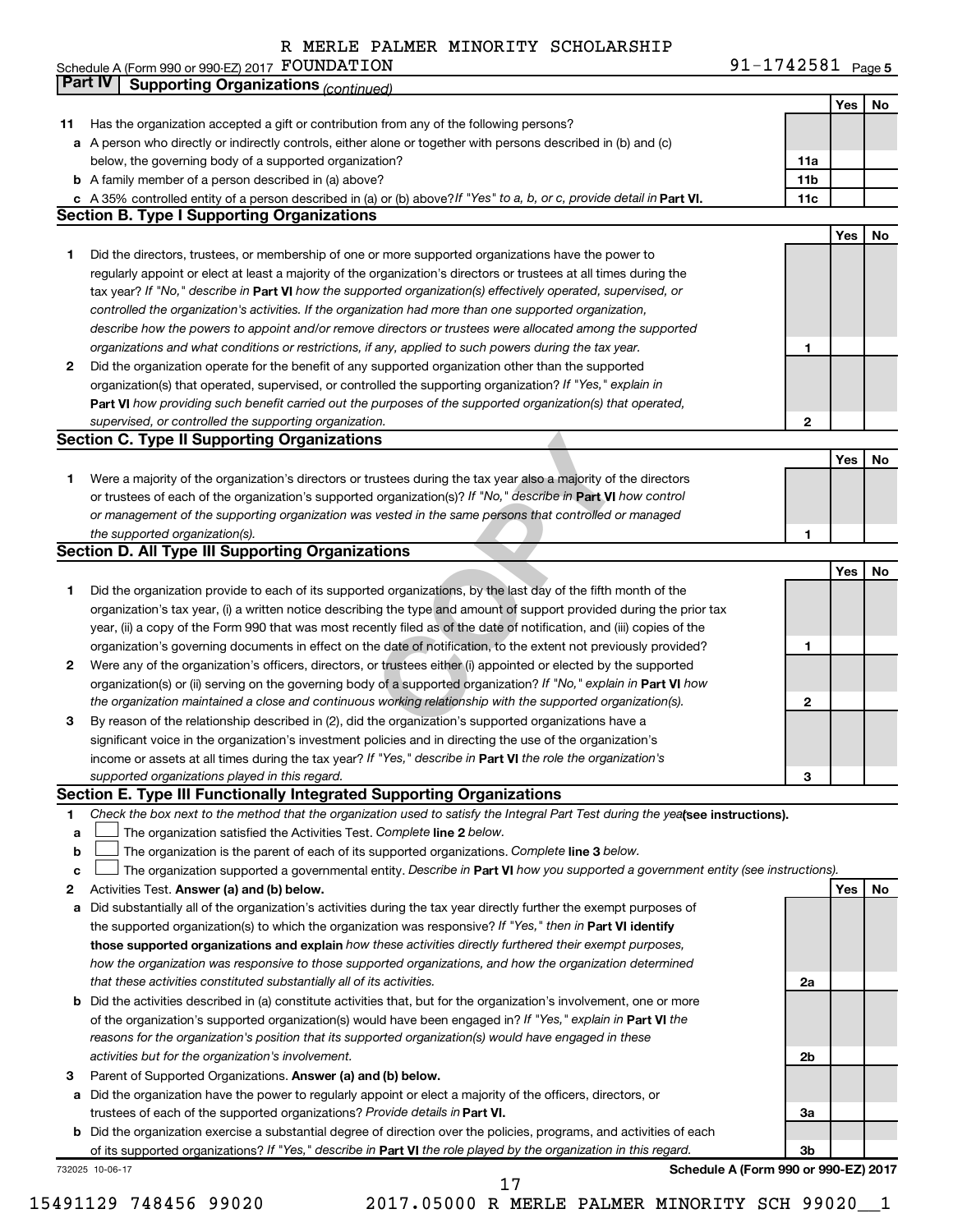Schedule A (Form 990 or 990-EZ) 2017 FOUNDATION

**FOUNDATION** 91-1742581  $_{\text{Page 5}}$ 

|    | Part IV<br><b>Supporting Organizations (continued)</b>                                                                          |                 |     |    |
|----|---------------------------------------------------------------------------------------------------------------------------------|-----------------|-----|----|
|    |                                                                                                                                 |                 | Yes | No |
| 11 | Has the organization accepted a gift or contribution from any of the following persons?                                         |                 |     |    |
|    | a A person who directly or indirectly controls, either alone or together with persons described in (b) and (c)                  |                 |     |    |
|    | below, the governing body of a supported organization?                                                                          | 11a             |     |    |
|    | <b>b</b> A family member of a person described in (a) above?                                                                    | 11 <sub>b</sub> |     |    |
|    | c A 35% controlled entity of a person described in (a) or (b) above? If "Yes" to a, b, or c, provide detail in Part VI.         | 11c             |     |    |
|    | <b>Section B. Type I Supporting Organizations</b>                                                                               |                 |     |    |
|    |                                                                                                                                 |                 | Yes | No |
| 1  | Did the directors, trustees, or membership of one or more supported organizations have the power to                             |                 |     |    |
|    | regularly appoint or elect at least a majority of the organization's directors or trustees at all times during the              |                 |     |    |
|    | tax year? If "No," describe in Part VI how the supported organization(s) effectively operated, supervised, or                   |                 |     |    |
|    | controlled the organization's activities. If the organization had more than one supported organization,                         |                 |     |    |
|    | describe how the powers to appoint and/or remove directors or trustees were allocated among the supported                       |                 |     |    |
|    | organizations and what conditions or restrictions, if any, applied to such powers during the tax year.                          | 1               |     |    |
| 2  | Did the organization operate for the benefit of any supported organization other than the supported                             |                 |     |    |
|    | organization(s) that operated, supervised, or controlled the supporting organization? If "Yes," explain in                      |                 |     |    |
|    | Part VI how providing such benefit carried out the purposes of the supported organization(s) that operated,                     |                 |     |    |
|    | supervised, or controlled the supporting organization.                                                                          | $\mathbf{2}$    |     |    |
|    | <b>Section C. Type II Supporting Organizations</b>                                                                              |                 |     |    |
|    |                                                                                                                                 |                 | Yes | No |
| 1  | Were a majority of the organization's directors or trustees during the tax year also a majority of the directors                |                 |     |    |
|    | or trustees of each of the organization's supported organization(s)? If "No," describe in Part VI how control                   |                 |     |    |
|    | or management of the supporting organization was vested in the same persons that controlled or managed                          |                 |     |    |
|    | the supported organization(s).                                                                                                  | 1               |     |    |
|    | <b>Section D. All Type III Supporting Organizations</b>                                                                         |                 |     |    |
|    |                                                                                                                                 |                 | Yes | No |
| 1  | Did the organization provide to each of its supported organizations, by the last day of the fifth month of the                  |                 |     |    |
|    | organization's tax year, (i) a written notice describing the type and amount of support provided during the prior tax           |                 |     |    |
|    | year, (ii) a copy of the Form 990 that was most recently filed as of the date of notification, and (iii) copies of the          |                 |     |    |
|    | organization's governing documents in effect on the date of notification, to the extent not previously provided?                | 1               |     |    |
| 2  | Were any of the organization's officers, directors, or trustees either (i) appointed or elected by the supported                |                 |     |    |
|    | organization(s) or (ii) serving on the governing body of a supported organization? If "No," explain in Part VI how              |                 |     |    |
|    | the organization maintained a close and continuous working relationship with the supported organization(s).                     | 2               |     |    |
| 3  | By reason of the relationship described in (2), did the organization's supported organizations have a                           |                 |     |    |
|    | significant voice in the organization's investment policies and in directing the use of the organization's                      |                 |     |    |
|    | income or assets at all times during the tax year? If "Yes," describe in Part VI the role the organization's                    |                 |     |    |
|    | supported organizations played in this regard.                                                                                  | з               |     |    |
|    | Section E. Type III Functionally Integrated Supporting Organizations                                                            |                 |     |    |
| 1  | Check the box next to the method that the organization used to satisfy the Integral Part Test during the yealsee instructions). |                 |     |    |
| a  | The organization satisfied the Activities Test. Complete line 2 below.                                                          |                 |     |    |
| b  | The organization is the parent of each of its supported organizations. Complete line 3 below.                                   |                 |     |    |
| c  | The organization supported a governmental entity. Describe in Part VI how you supported a government entity (see instructions). |                 |     |    |
| 2  | Activities Test. Answer (a) and (b) below.                                                                                      |                 | Yes | No |
| а  | Did substantially all of the organization's activities during the tax year directly further the exempt purposes of              |                 |     |    |
|    | the supported organization(s) to which the organization was responsive? If "Yes," then in Part VI identify                      |                 |     |    |
|    | those supported organizations and explain how these activities directly furthered their exempt purposes,                        |                 |     |    |
|    | how the organization was responsive to those supported organizations, and how the organization determined                       |                 |     |    |
|    | that these activities constituted substantially all of its activities.                                                          | 2a              |     |    |
| b  | Did the activities described in (a) constitute activities that, but for the organization's involvement, one or more             |                 |     |    |
|    | of the organization's supported organization(s) would have been engaged in? If "Yes," explain in Part VI the                    |                 |     |    |
|    | reasons for the organization's position that its supported organization(s) would have engaged in these                          |                 |     |    |
|    | activities but for the organization's involvement.                                                                              | 2b              |     |    |
| з  | Parent of Supported Organizations. Answer (a) and (b) below.                                                                    |                 |     |    |
| а  | Did the organization have the power to regularly appoint or elect a majority of the officers, directors, or                     |                 |     |    |
|    | trustees of each of the supported organizations? Provide details in Part VI.                                                    | За              |     |    |
|    | <b>b</b> Did the organization exercise a substantial degree of direction over the policies, programs, and activities of each    |                 |     |    |
|    | of its supported organizations? If "Yes," describe in Part VI the role played by the organization in this regard.               | Зb              |     |    |
|    | Schedule A (Form 990 or 990-EZ) 2017<br>732025 10-06-17                                                                         |                 |     |    |

15491129 748456 99020 2017.05000 R MERLE PALMER MINORITY SCH 99020\_\_1 17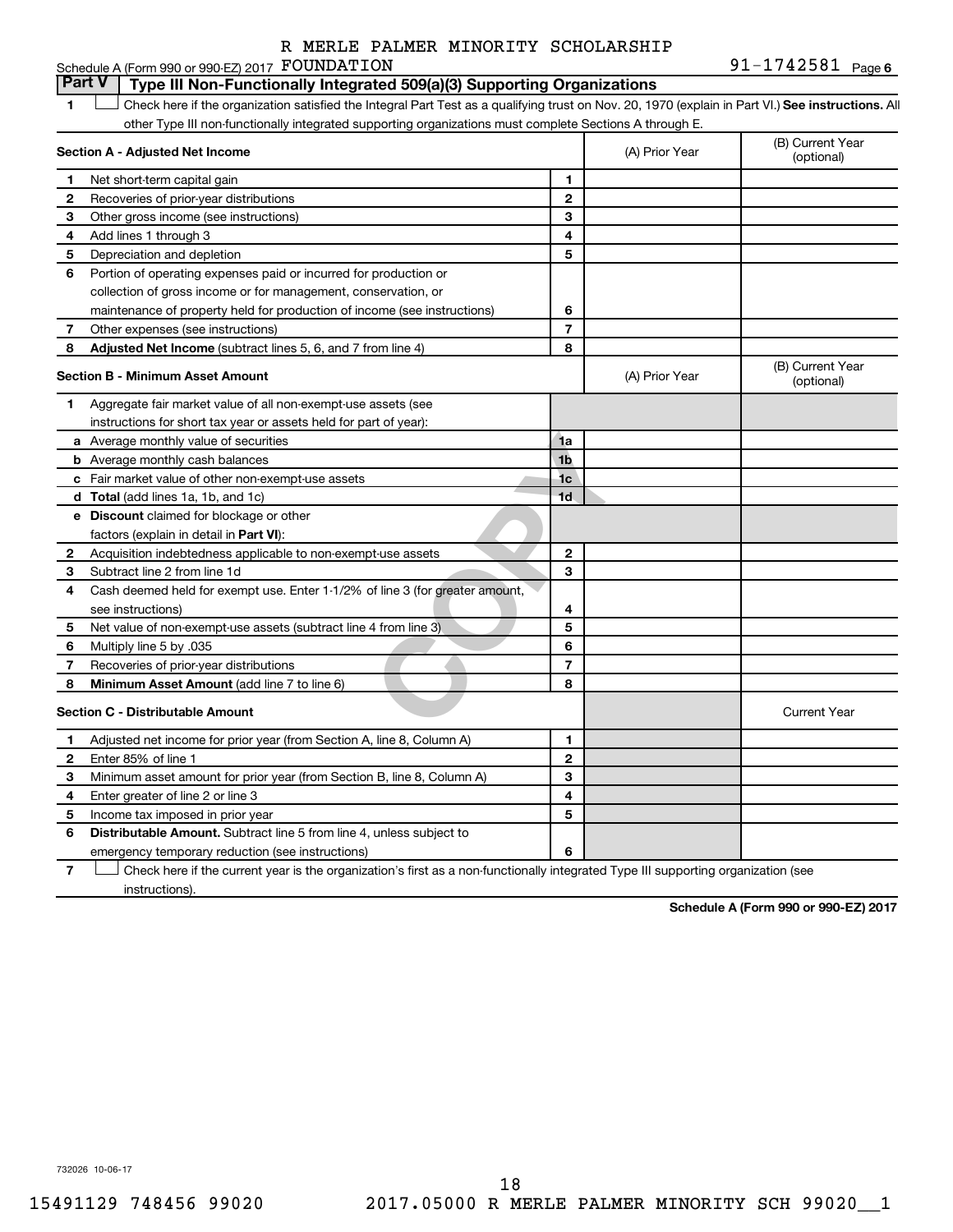#### 91-1742581 Page 6 Schedule A (Form 990 or 990-EZ) 2017  ${\hbox{FOUNDATION}}$   $91-1742581$   ${\hbox{Page}}$

#### 1a<br>
1b<br>
1c<br>
1d<br>
1c<br>
1d<br>
1c<br>
1d<br>
2<br>
2<br>
3<br>
3<br>
2<br>
3<br>
3<br>
5<br>
6<br>
7<br>
8<br>
8 **1 Letter or if the organization satisfied the Integral Part Test as a qualifying trust on Nov. 20, 1970 (explain in Part VI.) See instructions. All Section A - Adjusted Net Income 1 2 3 4 5 6 7 8 1 2 3 4 5 6 7 Adjusted Net Income** (subtract lines 5, 6, and 7 from line 4) **8 8 Section B - Minimum Asset Amount 1 2 3 4 5 6 7 8 a** Average monthly value of securities **b** Average monthly cash balances **c** Fair market value of other non-exempt-use assets **d Total**  (add lines 1a, 1b, and 1c) **e Discount** claimed for blockage or other **1a 1b 1c 1d 2 3 4 5 6 7 8** factors (explain in detail in Part VI): **Minimum Asset Amount**  (add line 7 to line 6) **Section C - Distributable Amount 1 2 3 4 5 6 1 2 3 4 5 6** Distributable Amount. Subtract line 5 from line 4, unless subject to other Type III non-functionally integrated supporting organizations must complete Sections A through E. (B) Current Year (A) Prior Year Net short-term capital gain Recoveries of prior-year distributions Other gross income (see instructions) Add lines 1 through 3 Depreciation and depletion Portion of operating expenses paid or incurred for production or collection of gross income or for management, conservation, or maintenance of property held for production of income (see instructions) Other expenses (see instructions) (B) Current Year  $(A)$  Prior Year  $\left\{\n\begin{array}{ccc}\n\end{array}\n\right\}$  (optional) Aggregate fair market value of all non-exempt-use assets (see instructions for short tax year or assets held for part of year): Acquisition indebtedness applicable to non-exempt-use assets Subtract line 2 from line 1d Cash deemed held for exempt use. Enter 1-1/2% of line 3 (for greater amount, see instructions) Net value of non-exempt-use assets (subtract line 4 from line 3) Multiply line 5 by .035 Recoveries of prior-year distributions Current Year Adjusted net income for prior year (from Section A, line 8, Column A) Enter 85% of line 1 Minimum asset amount for prior year (from Section B, line 8, Column A) Enter greater of line 2 or line 3 Income tax imposed in prior year emergency temporary reduction (see instructions) **Part V Type III Non-Functionally Integrated 509(a)(3) Supporting Organizations**   $\Box$

**7** Check here if the current year is the organization's first as a non-functionally integrated Type III supporting organization (see † instructions).

**Schedule A (Form 990 or 990-EZ) 2017**

732026 10-06-17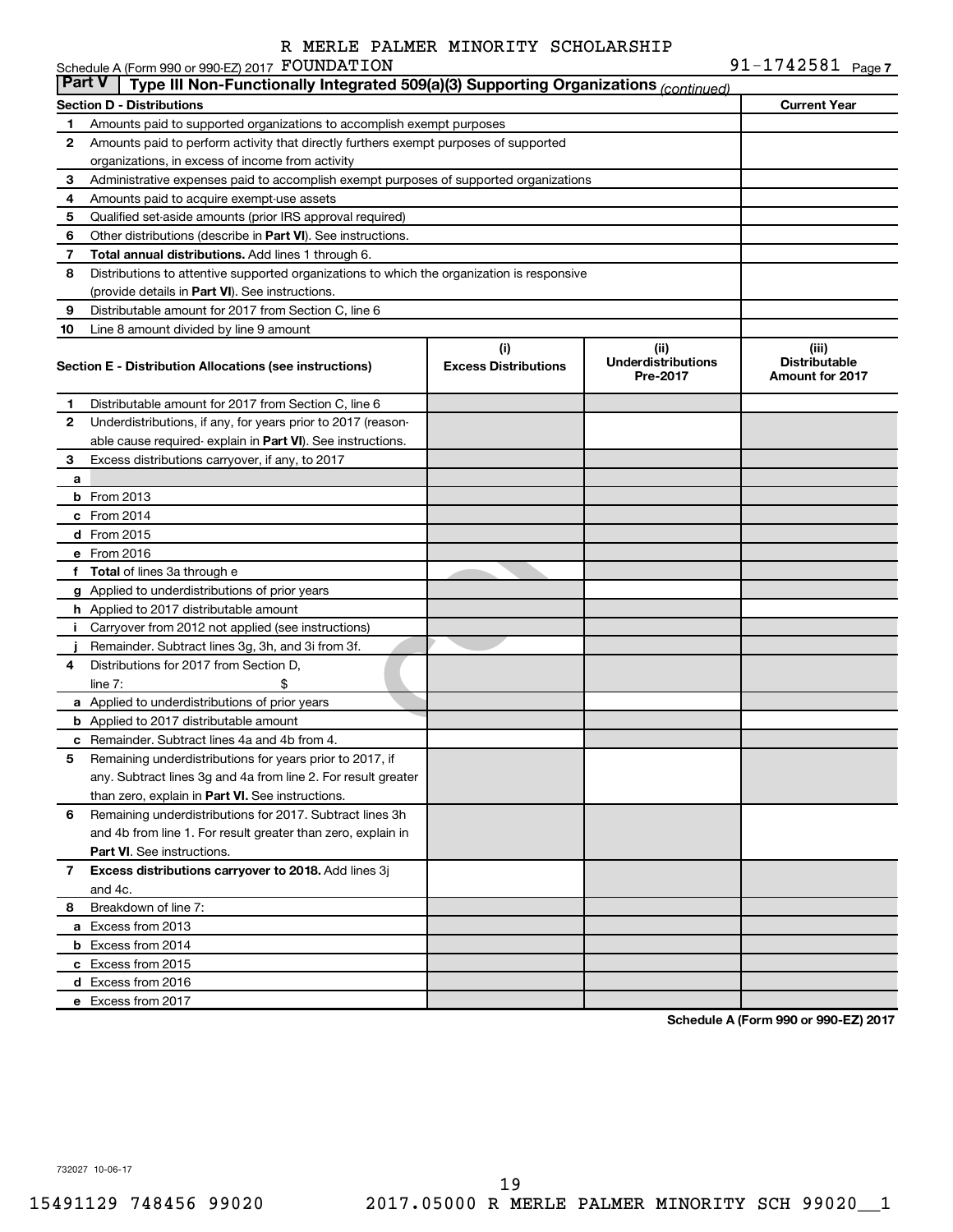91-1742581 Page 7

|               | Schedule A (Form 990 or 990-EZ) 2017 FOUNDATION                                            |                                    |                                               | 91-1742581 $_{Page 7}$                                  |
|---------------|--------------------------------------------------------------------------------------------|------------------------------------|-----------------------------------------------|---------------------------------------------------------|
| <b>Part V</b> | Type III Non-Functionally Integrated 509(a)(3) Supporting Organizations (continued)        |                                    |                                               |                                                         |
|               | <b>Section D - Distributions</b>                                                           |                                    |                                               | <b>Current Year</b>                                     |
| 1             | Amounts paid to supported organizations to accomplish exempt purposes                      |                                    |                                               |                                                         |
| 2             | Amounts paid to perform activity that directly furthers exempt purposes of supported       |                                    |                                               |                                                         |
|               | organizations, in excess of income from activity                                           |                                    |                                               |                                                         |
| 3             | Administrative expenses paid to accomplish exempt purposes of supported organizations      |                                    |                                               |                                                         |
| 4             | Amounts paid to acquire exempt-use assets                                                  |                                    |                                               |                                                         |
| 5             | Qualified set-aside amounts (prior IRS approval required)                                  |                                    |                                               |                                                         |
| 6             | Other distributions (describe in Part VI). See instructions.                               |                                    |                                               |                                                         |
| 7             | Total annual distributions. Add lines 1 through 6.                                         |                                    |                                               |                                                         |
| 8             | Distributions to attentive supported organizations to which the organization is responsive |                                    |                                               |                                                         |
|               | (provide details in Part VI). See instructions.                                            |                                    |                                               |                                                         |
| 9             | Distributable amount for 2017 from Section C, line 6                                       |                                    |                                               |                                                         |
| 10            | Line 8 amount divided by line 9 amount                                                     |                                    |                                               |                                                         |
|               | Section E - Distribution Allocations (see instructions)                                    | (i)<br><b>Excess Distributions</b> | (ii)<br><b>Underdistributions</b><br>Pre-2017 | (iii)<br><b>Distributable</b><br><b>Amount for 2017</b> |
| 1             | Distributable amount for 2017 from Section C, line 6                                       |                                    |                                               |                                                         |
| 2             | Underdistributions, if any, for years prior to 2017 (reason-                               |                                    |                                               |                                                         |
|               | able cause required- explain in Part VI). See instructions.                                |                                    |                                               |                                                         |
| 3             | Excess distributions carryover, if any, to 2017                                            |                                    |                                               |                                                         |
| a             |                                                                                            |                                    |                                               |                                                         |
|               | <b>b</b> From 2013                                                                         |                                    |                                               |                                                         |
|               | c From 2014                                                                                |                                    |                                               |                                                         |
|               | d From 2015                                                                                |                                    |                                               |                                                         |
|               | e From 2016                                                                                |                                    |                                               |                                                         |
|               | f Total of lines 3a through e                                                              |                                    |                                               |                                                         |
|               | g Applied to underdistributions of prior years                                             |                                    |                                               |                                                         |
|               | <b>h</b> Applied to 2017 distributable amount                                              |                                    |                                               |                                                         |
| Ť.            | Carryover from 2012 not applied (see instructions)                                         |                                    |                                               |                                                         |
|               | Remainder. Subtract lines 3g, 3h, and 3i from 3f.                                          |                                    |                                               |                                                         |
| 4             | Distributions for 2017 from Section D,                                                     |                                    |                                               |                                                         |
|               | $line 7$ :                                                                                 |                                    |                                               |                                                         |
|               | a Applied to underdistributions of prior years                                             |                                    |                                               |                                                         |
|               | <b>b</b> Applied to 2017 distributable amount                                              |                                    |                                               |                                                         |
|               | c Remainder. Subtract lines 4a and 4b from 4.                                              |                                    |                                               |                                                         |
|               | 5 Remaining underdistributions for years prior to 2017, if                                 |                                    |                                               |                                                         |
|               | any. Subtract lines 3g and 4a from line 2. For result greater                              |                                    |                                               |                                                         |
|               | than zero, explain in Part VI. See instructions.                                           |                                    |                                               |                                                         |
| 6             | Remaining underdistributions for 2017. Subtract lines 3h                                   |                                    |                                               |                                                         |
|               | and 4b from line 1. For result greater than zero, explain in                               |                                    |                                               |                                                         |
|               | <b>Part VI.</b> See instructions.                                                          |                                    |                                               |                                                         |
| 7             | Excess distributions carryover to 2018. Add lines 3j                                       |                                    |                                               |                                                         |
|               | and 4c.                                                                                    |                                    |                                               |                                                         |
| 8             | Breakdown of line 7:                                                                       |                                    |                                               |                                                         |
|               | a Excess from 2013                                                                         |                                    |                                               |                                                         |
|               | <b>b</b> Excess from 2014                                                                  |                                    |                                               |                                                         |
|               | c Excess from 2015                                                                         |                                    |                                               |                                                         |
|               | d Excess from 2016                                                                         |                                    |                                               |                                                         |
|               | e Excess from 2017                                                                         |                                    |                                               |                                                         |
|               |                                                                                            |                                    |                                               |                                                         |

**Schedule A (Form 990 or 990-EZ) 2017**

732027 10-06-17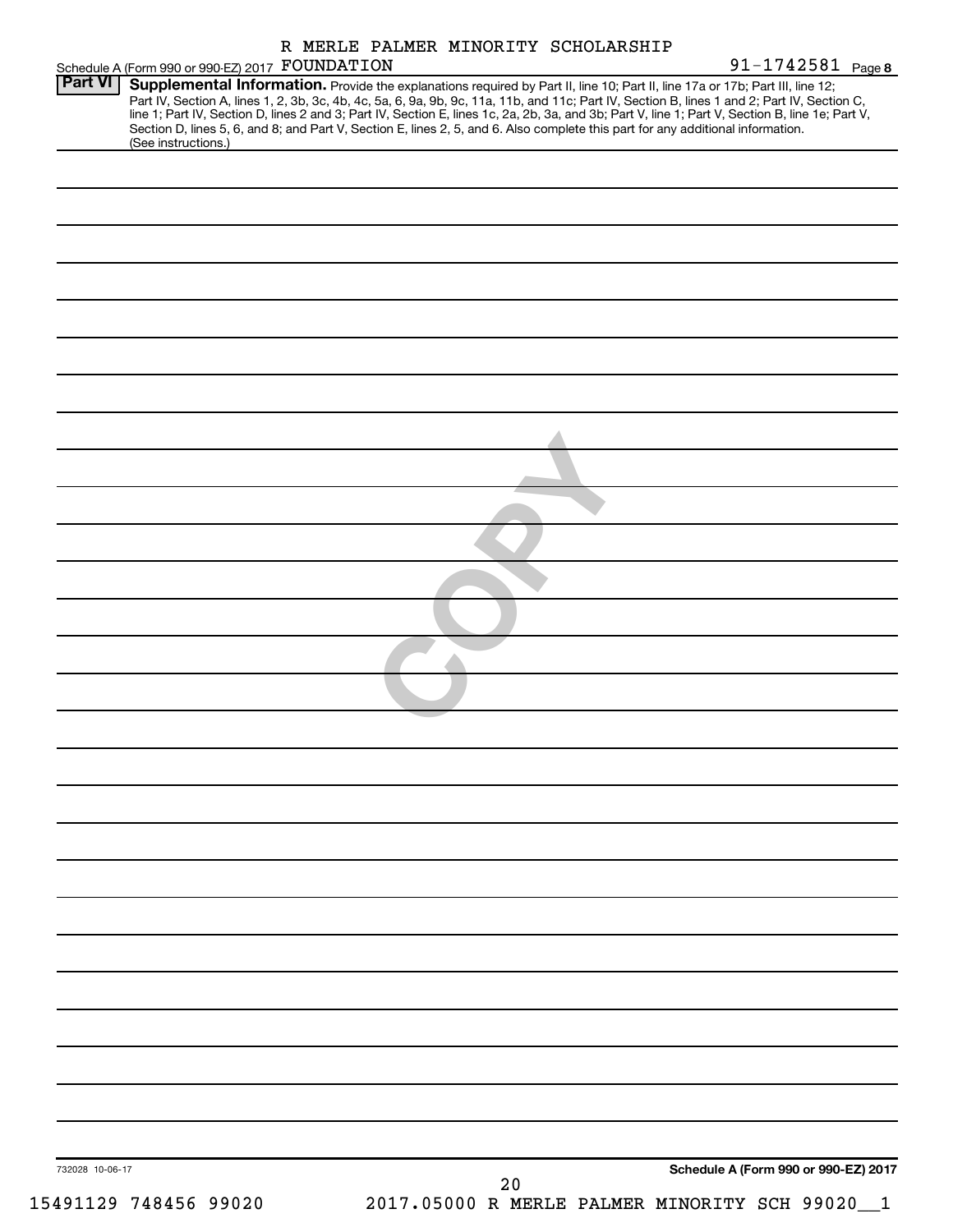|         | Schedule A (Form 990 or 990-EZ) 2017 FOUNDATION |  |  | R MERLE PALMER MINORITY SCHOLARSHIP                                                                                             | 91-1742581 Page 8                                                                                                                                                                                                                                                                                                                                                                                                                 |
|---------|-------------------------------------------------|--|--|---------------------------------------------------------------------------------------------------------------------------------|-----------------------------------------------------------------------------------------------------------------------------------------------------------------------------------------------------------------------------------------------------------------------------------------------------------------------------------------------------------------------------------------------------------------------------------|
| Part VI | (See instructions.)                             |  |  | Section D, lines 5, 6, and 8; and Part V, Section E, lines 2, 5, and 6. Also complete this part for any additional information. | Supplemental Information. Provide the explanations required by Part II, line 10; Part II, line 17a or 17b; Part III, line 12;<br>Part IV, Section A, lines 1, 2, 3b, 3c, 4b, 4c, 5a, 6, 9a, 9b, 9c, 11a, 11b, and 11c; Part IV, Section B, lines 1 and 2; Part IV, Section C,<br>line 1; Part IV, Section D, lines 2 and 3; Part IV, Section E, lines 1c, 2a, 2b, 3a, and 3b; Part V, line 1; Part V, Section B, line 1e; Part V, |
|         |                                                 |  |  |                                                                                                                                 |                                                                                                                                                                                                                                                                                                                                                                                                                                   |
|         |                                                 |  |  |                                                                                                                                 |                                                                                                                                                                                                                                                                                                                                                                                                                                   |
|         |                                                 |  |  |                                                                                                                                 |                                                                                                                                                                                                                                                                                                                                                                                                                                   |
|         |                                                 |  |  |                                                                                                                                 |                                                                                                                                                                                                                                                                                                                                                                                                                                   |
|         |                                                 |  |  |                                                                                                                                 |                                                                                                                                                                                                                                                                                                                                                                                                                                   |
|         |                                                 |  |  |                                                                                                                                 |                                                                                                                                                                                                                                                                                                                                                                                                                                   |
|         |                                                 |  |  |                                                                                                                                 |                                                                                                                                                                                                                                                                                                                                                                                                                                   |
|         |                                                 |  |  |                                                                                                                                 |                                                                                                                                                                                                                                                                                                                                                                                                                                   |
|         |                                                 |  |  |                                                                                                                                 |                                                                                                                                                                                                                                                                                                                                                                                                                                   |
|         |                                                 |  |  |                                                                                                                                 |                                                                                                                                                                                                                                                                                                                                                                                                                                   |
|         |                                                 |  |  |                                                                                                                                 |                                                                                                                                                                                                                                                                                                                                                                                                                                   |
|         |                                                 |  |  |                                                                                                                                 |                                                                                                                                                                                                                                                                                                                                                                                                                                   |
|         |                                                 |  |  |                                                                                                                                 |                                                                                                                                                                                                                                                                                                                                                                                                                                   |
|         |                                                 |  |  |                                                                                                                                 |                                                                                                                                                                                                                                                                                                                                                                                                                                   |
|         |                                                 |  |  |                                                                                                                                 |                                                                                                                                                                                                                                                                                                                                                                                                                                   |
|         |                                                 |  |  |                                                                                                                                 |                                                                                                                                                                                                                                                                                                                                                                                                                                   |
|         |                                                 |  |  |                                                                                                                                 |                                                                                                                                                                                                                                                                                                                                                                                                                                   |
|         |                                                 |  |  |                                                                                                                                 |                                                                                                                                                                                                                                                                                                                                                                                                                                   |
|         |                                                 |  |  |                                                                                                                                 |                                                                                                                                                                                                                                                                                                                                                                                                                                   |
|         |                                                 |  |  |                                                                                                                                 |                                                                                                                                                                                                                                                                                                                                                                                                                                   |
|         |                                                 |  |  |                                                                                                                                 |                                                                                                                                                                                                                                                                                                                                                                                                                                   |
|         |                                                 |  |  |                                                                                                                                 |                                                                                                                                                                                                                                                                                                                                                                                                                                   |
|         |                                                 |  |  |                                                                                                                                 |                                                                                                                                                                                                                                                                                                                                                                                                                                   |
|         |                                                 |  |  |                                                                                                                                 |                                                                                                                                                                                                                                                                                                                                                                                                                                   |
|         |                                                 |  |  |                                                                                                                                 |                                                                                                                                                                                                                                                                                                                                                                                                                                   |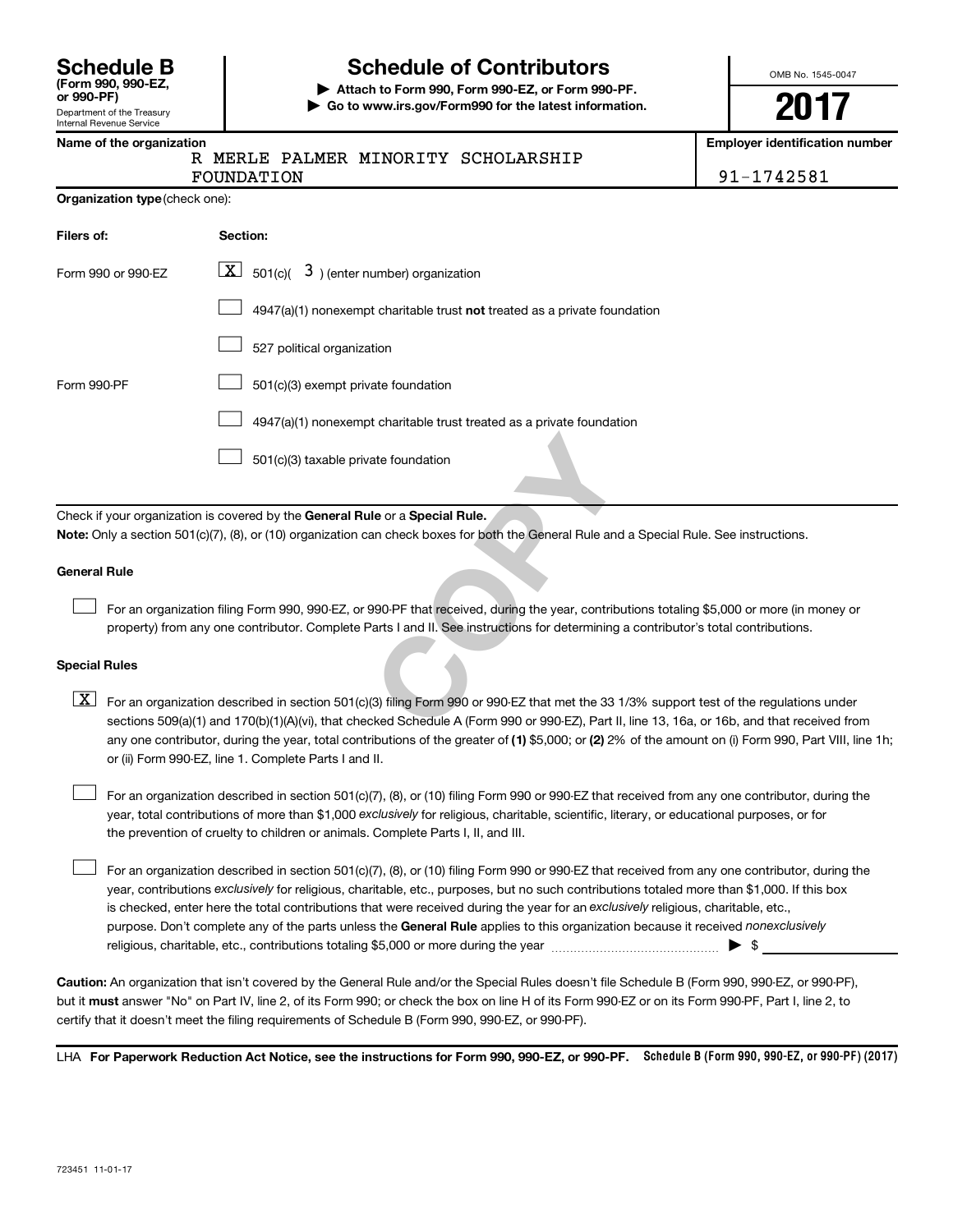| <b>Schedule B</b><br>(Form 990, 990-EZ,<br>or 990-PF) |
|-------------------------------------------------------|
|                                                       |
| Department of the Treesury                            |

## Department of the Treasury Internal Revenue Service

## **Schedule of Contributors**

**or 990-PF) | Attach to Form 990, Form 990-EZ, or Form 990-PF. | Go to www.irs.gov/Form990 for the latest information.** OMB No. 1545-0047

# **2017**

**Employer identification number** 

|  |  | Name of the organization |
|--|--|--------------------------|
|  |  |                          |

|  |  | R MERLE PALMER MINORITY SCHOLARSHIP |
|--|--|-------------------------------------|
|  |  |                                     |

FOUNDATION 91-1742581

| <b>Organization type (check one):</b> |                                                                           |
|---------------------------------------|---------------------------------------------------------------------------|
| Filers of:                            | Section:                                                                  |
| Form 990 or 990-FZ                    | $\lfloor \mathbf{X} \rfloor$ 501(c)( 3) (enter number) organization       |
|                                       | 4947(a)(1) nonexempt charitable trust not treated as a private foundation |
|                                       | 527 political organization                                                |
| Form 990-PF                           | 501(c)(3) exempt private foundation                                       |
|                                       | 4947(a)(1) nonexempt charitable trust treated as a private foundation     |

501(c)(3) taxable private foundation  $\Box$ 

Check if your organization is covered by the General Rule or a Special Rule. **Note:**  Only a section 501(c)(7), (8), or (10) organization can check boxes for both the General Rule and a Special Rule. See instructions.

### **General Rule**

 $\Box$ 

For an organization filing Form 990, 990-EZ, or 990-PF that received, during the year, contributions totaling \$5,000 or more (in money or property) from any one contributor. Complete Parts I and II. See instructions for determining a contributor's total contributions.

### **Special Rules**

ate foundation<br> **COPY COPY THEOTE:**<br>
The General Rule and a Special<br>
By the General Rule and a Special<br>
Parts I and II. See instructions for determining a contributions<br>
COPY COPY COPY COPY THEOTER (3)<br>
COPY COPY COPY COPY any one contributor, during the year, total contributions of the greater of (1) \$5,000; or (2) 2% of the amount on (i) Form 990, Part VIII, line 1h;  $\boxed{\text{X}}$  For an organization described in section 501(c)(3) filing Form 990 or 990-EZ that met the 33 1/3% support test of the regulations under sections 509(a)(1) and 170(b)(1)(A)(vi), that checked Schedule A (Form 990 or 990-EZ), Part II, line 13, 16a, or 16b, and that received from or (ii) Form 990-EZ, line 1. Complete Parts I and II.

year, total contributions of more than \$1,000 *exclusively* for religious, charitable, scientific, literary, or educational purposes, or for For an organization described in section 501(c)(7), (8), or (10) filing Form 990 or 990-EZ that received from any one contributor, during the the prevention of cruelty to children or animals. Complete Parts I, II, and III.  $\Box$ 

purpose. Don't complete any of the parts unless the General Rule applies to this organization because it received nonexclusively year, contributions exclusively for religious, charitable, etc., purposes, but no such contributions totaled more than \$1,000. If this box is checked, enter here the total contributions that were received during the year for an exclusively religious, charitable, etc., For an organization described in section 501(c)(7), (8), or (10) filing Form 990 or 990-EZ that received from any one contributor, during the religious, charitable, etc., contributions totaling \$5,000 or more during the year  $\ldots$  $\ldots$  $\ldots$  $\ldots$  $\ldots$  $\ldots$  $\Box$ 

**Caution:**  An organization that isn't covered by the General Rule and/or the Special Rules doesn't file Schedule B (Form 990, 990-EZ, or 990-PF),  **must** but it answer "No" on Part IV, line 2, of its Form 990; or check the box on line H of its Form 990-EZ or on its Form 990-PF, Part I, line 2, to certify that it doesn't meet the filing requirements of Schedule B (Form 990, 990-EZ, or 990-PF).

LHA For Paperwork Reduction Act Notice, see the instructions for Form 990, 990-EZ, or 990-PF. Schedule B (Form 990, 990-EZ, or 990-PF) (2017)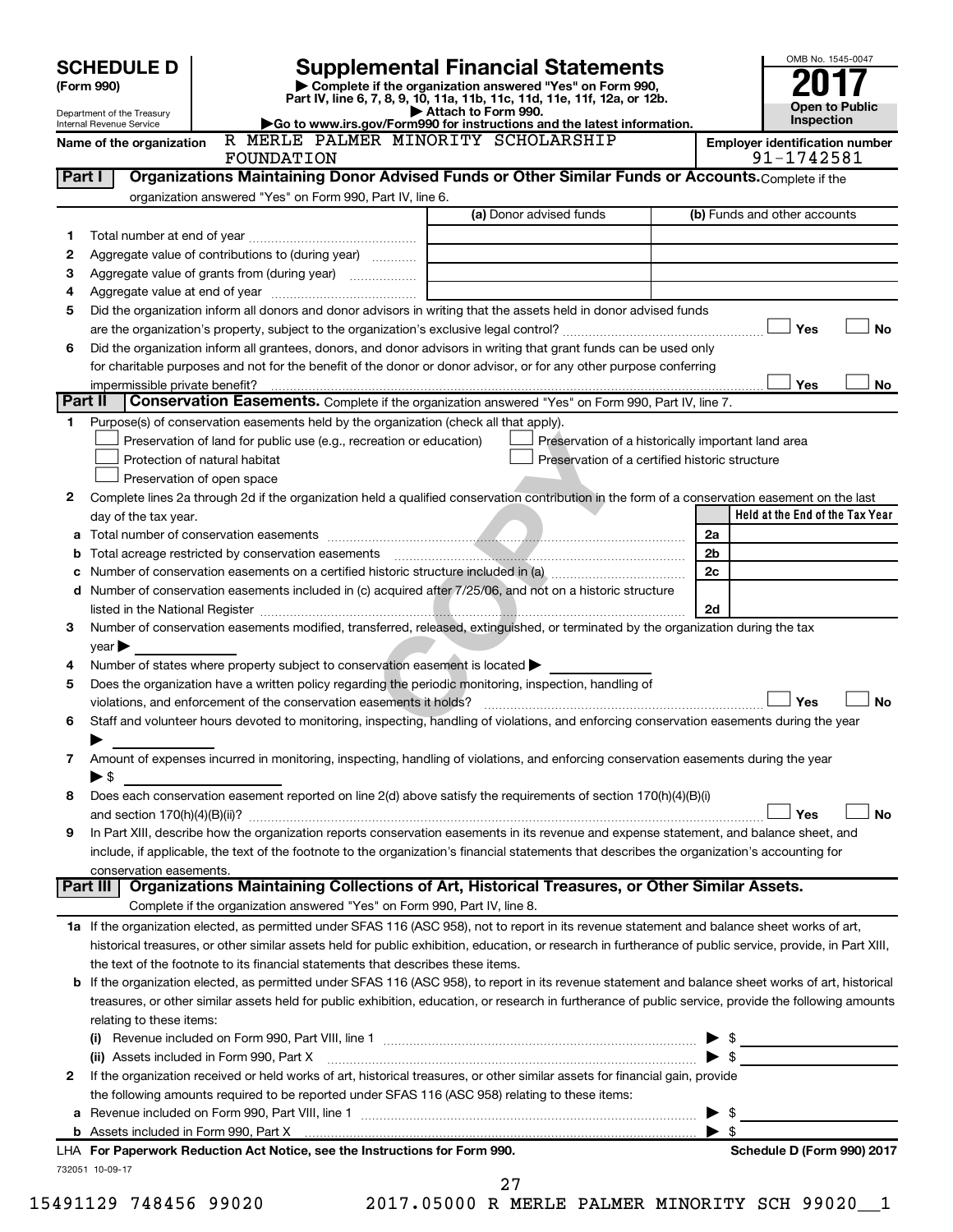|         |                                                        |                                                                                                        |                                                                                                                                                                                                                                                                                                            | OMB No. 1545-0047                                   |
|---------|--------------------------------------------------------|--------------------------------------------------------------------------------------------------------|------------------------------------------------------------------------------------------------------------------------------------------------------------------------------------------------------------------------------------------------------------------------------------------------------------|-----------------------------------------------------|
|         | <b>SCHEDULE D</b><br>(Form 990)                        |                                                                                                        | <b>Supplemental Financial Statements</b><br>Complete if the organization answered "Yes" on Form 990,                                                                                                                                                                                                       |                                                     |
|         |                                                        |                                                                                                        | Part IV, line 6, 7, 8, 9, 10, 11a, 11b, 11c, 11d, 11e, 11f, 12a, or 12b.                                                                                                                                                                                                                                   | <b>Open to Public</b>                               |
|         | Department of the Treasury<br>Internal Revenue Service |                                                                                                        | Attach to Form 990.<br>Go to www.irs.gov/Form990 for instructions and the latest information.                                                                                                                                                                                                              | Inspection                                          |
|         | Name of the organization                               | R MERLE PALMER MINORITY SCHOLARSHIP<br>FOUNDATION                                                      |                                                                                                                                                                                                                                                                                                            | <b>Employer identification number</b><br>91-1742581 |
| Part I  |                                                        |                                                                                                        | Organizations Maintaining Donor Advised Funds or Other Similar Funds or Accounts. Complete if the                                                                                                                                                                                                          |                                                     |
|         |                                                        | organization answered "Yes" on Form 990, Part IV, line 6.                                              |                                                                                                                                                                                                                                                                                                            |                                                     |
|         |                                                        |                                                                                                        | (a) Donor advised funds                                                                                                                                                                                                                                                                                    | (b) Funds and other accounts                        |
| 1       |                                                        |                                                                                                        |                                                                                                                                                                                                                                                                                                            |                                                     |
| 2       |                                                        | Aggregate value of contributions to (during year)                                                      |                                                                                                                                                                                                                                                                                                            |                                                     |
| 3       |                                                        | Aggregate value of grants from (during year)                                                           |                                                                                                                                                                                                                                                                                                            |                                                     |
| 4       |                                                        |                                                                                                        | Did the organization inform all donors and donor advisors in writing that the assets held in donor advised funds                                                                                                                                                                                           |                                                     |
| 5       |                                                        |                                                                                                        |                                                                                                                                                                                                                                                                                                            | Yes<br>No                                           |
| 6       |                                                        |                                                                                                        | Did the organization inform all grantees, donors, and donor advisors in writing that grant funds can be used only                                                                                                                                                                                          |                                                     |
|         |                                                        |                                                                                                        | for charitable purposes and not for the benefit of the donor or donor advisor, or for any other purpose conferring                                                                                                                                                                                         |                                                     |
|         | impermissible private benefit?                         |                                                                                                        |                                                                                                                                                                                                                                                                                                            | Yes<br>No                                           |
| Part II |                                                        |                                                                                                        | Conservation Easements. Complete if the organization answered "Yes" on Form 990, Part IV, line 7.                                                                                                                                                                                                          |                                                     |
| 1.      |                                                        | Purpose(s) of conservation easements held by the organization (check all that apply).                  |                                                                                                                                                                                                                                                                                                            |                                                     |
|         |                                                        | Preservation of land for public use (e.g., recreation or education)                                    | Preservation of a historically important land area                                                                                                                                                                                                                                                         |                                                     |
|         |                                                        | Protection of natural habitat                                                                          | Preservation of a certified historic structure                                                                                                                                                                                                                                                             |                                                     |
|         |                                                        | Preservation of open space                                                                             |                                                                                                                                                                                                                                                                                                            |                                                     |
| 2       |                                                        |                                                                                                        | Complete lines 2a through 2d if the organization held a qualified conservation contribution in the form of a conservation easement on the last                                                                                                                                                             | Held at the End of the Tax Year                     |
|         | day of the tax year.                                   |                                                                                                        |                                                                                                                                                                                                                                                                                                            | 2a                                                  |
| b       |                                                        | Total acreage restricted by conservation easements                                                     |                                                                                                                                                                                                                                                                                                            | 2 <sub>b</sub>                                      |
| с       |                                                        |                                                                                                        |                                                                                                                                                                                                                                                                                                            | 2c                                                  |
| d       |                                                        |                                                                                                        | Number of conservation easements included in (c) acquired after 7/25/06, and not on a historic structure                                                                                                                                                                                                   |                                                     |
|         |                                                        |                                                                                                        |                                                                                                                                                                                                                                                                                                            | 2d                                                  |
| 3       |                                                        |                                                                                                        | Number of conservation easements modified, transferred, released, extinguished, or terminated by the organization during the tax                                                                                                                                                                           |                                                     |
|         | $year \triangleright$                                  |                                                                                                        |                                                                                                                                                                                                                                                                                                            |                                                     |
| 4       |                                                        | Number of states where property subject to conservation easement is located >                          |                                                                                                                                                                                                                                                                                                            |                                                     |
| 5       |                                                        | Does the organization have a written policy regarding the periodic monitoring, inspection, handling of |                                                                                                                                                                                                                                                                                                            |                                                     |
|         |                                                        | violations, and enforcement of the conservation easements it holds?                                    |                                                                                                                                                                                                                                                                                                            | No<br>Yes                                           |
| 6       |                                                        |                                                                                                        | Staff and volunteer hours devoted to monitoring, inspecting, handling of violations, and enforcing conservation easements during the year                                                                                                                                                                  |                                                     |
| 7       |                                                        |                                                                                                        | Amount of expenses incurred in monitoring, inspecting, handling of violations, and enforcing conservation easements during the year                                                                                                                                                                        |                                                     |
|         | $\blacktriangleright$ \$                               |                                                                                                        |                                                                                                                                                                                                                                                                                                            |                                                     |
| 8       |                                                        |                                                                                                        | Does each conservation easement reported on line 2(d) above satisfy the requirements of section 170(h)(4)(B)(i)                                                                                                                                                                                            |                                                     |
|         |                                                        |                                                                                                        |                                                                                                                                                                                                                                                                                                            | Yes<br>No                                           |
| 9       |                                                        |                                                                                                        | In Part XIII, describe how the organization reports conservation easements in its revenue and expense statement, and balance sheet, and                                                                                                                                                                    |                                                     |
|         |                                                        |                                                                                                        | include, if applicable, the text of the footnote to the organization's financial statements that describes the organization's accounting for                                                                                                                                                               |                                                     |
|         | conservation easements.                                |                                                                                                        |                                                                                                                                                                                                                                                                                                            |                                                     |
|         | Part III                                               | Complete if the organization answered "Yes" on Form 990, Part IV, line 8.                              | Organizations Maintaining Collections of Art, Historical Treasures, or Other Similar Assets.                                                                                                                                                                                                               |                                                     |
|         |                                                        |                                                                                                        |                                                                                                                                                                                                                                                                                                            |                                                     |
|         |                                                        |                                                                                                        | 1a If the organization elected, as permitted under SFAS 116 (ASC 958), not to report in its revenue statement and balance sheet works of art,<br>historical treasures, or other similar assets held for public exhibition, education, or research in furtherance of public service, provide, in Part XIII, |                                                     |
|         |                                                        | the text of the footnote to its financial statements that describes these items.                       |                                                                                                                                                                                                                                                                                                            |                                                     |
| b       |                                                        |                                                                                                        | If the organization elected, as permitted under SFAS 116 (ASC 958), to report in its revenue statement and balance sheet works of art, historical                                                                                                                                                          |                                                     |
|         |                                                        |                                                                                                        | treasures, or other similar assets held for public exhibition, education, or research in furtherance of public service, provide the following amounts                                                                                                                                                      |                                                     |
|         | relating to these items:                               |                                                                                                        |                                                                                                                                                                                                                                                                                                            |                                                     |
|         |                                                        |                                                                                                        |                                                                                                                                                                                                                                                                                                            |                                                     |
|         |                                                        | (ii) Assets included in Form 990, Part X                                                               |                                                                                                                                                                                                                                                                                                            |                                                     |
| 2       |                                                        |                                                                                                        | If the organization received or held works of art, historical treasures, or other similar assets for financial gain, provide                                                                                                                                                                               |                                                     |
|         |                                                        | the following amounts required to be reported under SFAS 116 (ASC 958) relating to these items:        |                                                                                                                                                                                                                                                                                                            |                                                     |
| а       |                                                        |                                                                                                        |                                                                                                                                                                                                                                                                                                            | - \$                                                |
|         |                                                        |                                                                                                        |                                                                                                                                                                                                                                                                                                            | $\blacktriangleright$ \$                            |

| LHA For Paperwork Reduction Act Notice, see the Instructions for Form 9 |  |  |
|-------------------------------------------------------------------------|--|--|
| 732051 10-09-17                                                         |  |  |

27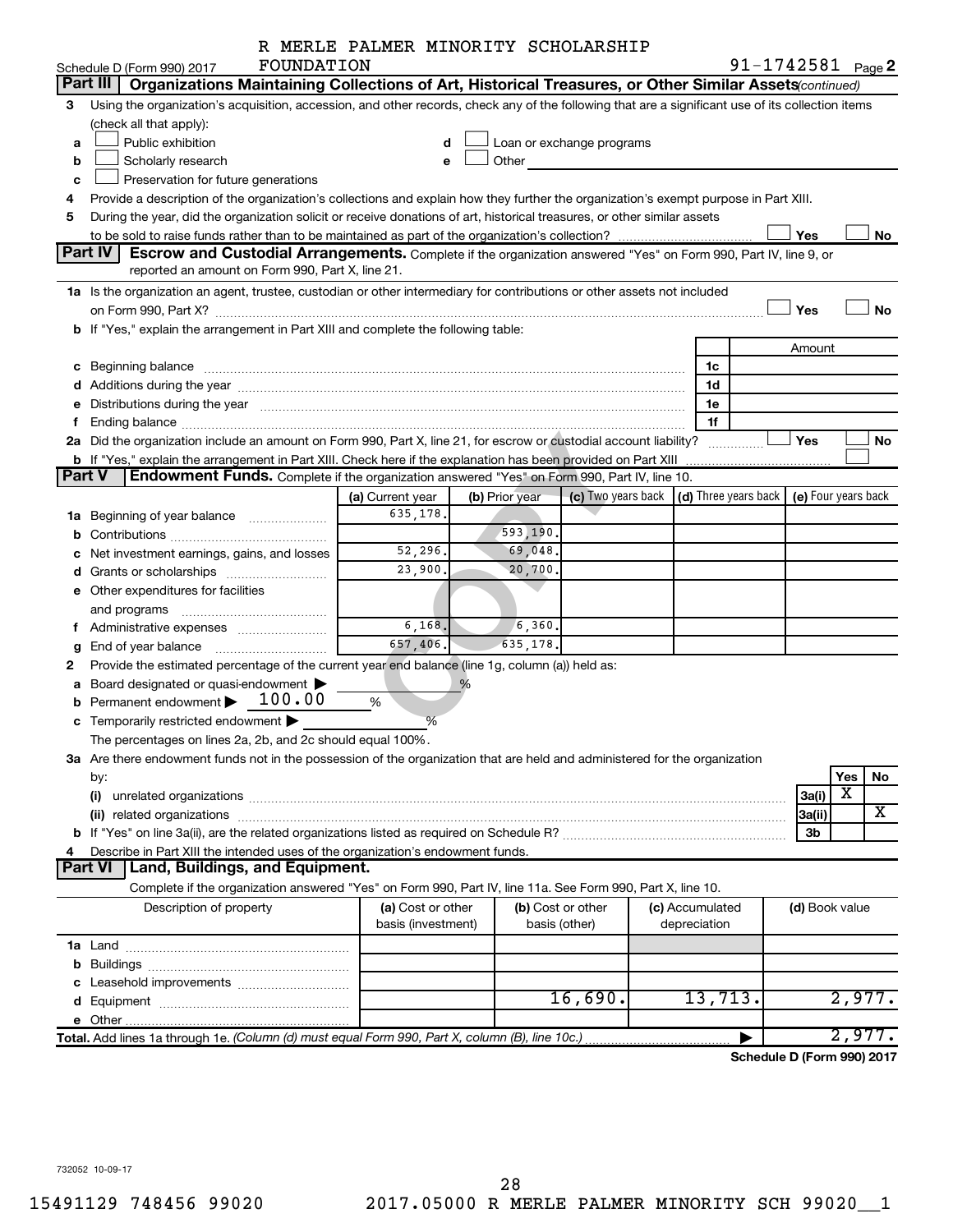| R MERLE PALMER MINORITY SCHOLARSHIP |
|-------------------------------------|
|-------------------------------------|

|               |                                                                                                                                                                                                                                | R MERLE PALMER MINORITY SCHOLARSHIP |                                                                                                                                                                                                                                      |                           |                                      |                     |     |           |
|---------------|--------------------------------------------------------------------------------------------------------------------------------------------------------------------------------------------------------------------------------|-------------------------------------|--------------------------------------------------------------------------------------------------------------------------------------------------------------------------------------------------------------------------------------|---------------------------|--------------------------------------|---------------------|-----|-----------|
|               | FOUNDATION<br>Schedule D (Form 990) 2017                                                                                                                                                                                       |                                     |                                                                                                                                                                                                                                      |                           |                                      | 91-1742581 Page 2   |     |           |
|               | Part III<br>Organizations Maintaining Collections of Art, Historical Treasures, or Other Similar Assets (continued)                                                                                                            |                                     |                                                                                                                                                                                                                                      |                           |                                      |                     |     |           |
| 3             | Using the organization's acquisition, accession, and other records, check any of the following that are a significant use of its collection items                                                                              |                                     |                                                                                                                                                                                                                                      |                           |                                      |                     |     |           |
|               | (check all that apply):                                                                                                                                                                                                        |                                     |                                                                                                                                                                                                                                      |                           |                                      |                     |     |           |
| a             | Public exhibition                                                                                                                                                                                                              | d                                   |                                                                                                                                                                                                                                      | Loan or exchange programs |                                      |                     |     |           |
| b             | Scholarly research                                                                                                                                                                                                             | e                                   | Other <u>with the state of the state of the state of the state of the state of the state of the state of the state of the state of the state of the state of the state of the state of the state of the state of the state of th</u> |                           |                                      |                     |     |           |
| c             | Preservation for future generations                                                                                                                                                                                            |                                     |                                                                                                                                                                                                                                      |                           |                                      |                     |     |           |
| 4             | Provide a description of the organization's collections and explain how they further the organization's exempt purpose in Part XIII.                                                                                           |                                     |                                                                                                                                                                                                                                      |                           |                                      |                     |     |           |
| 5             | During the year, did the organization solicit or receive donations of art, historical treasures, or other similar assets                                                                                                       |                                     |                                                                                                                                                                                                                                      |                           |                                      |                     |     |           |
|               |                                                                                                                                                                                                                                |                                     |                                                                                                                                                                                                                                      |                           |                                      | Yes                 |     | No        |
|               | Part IV<br>Escrow and Custodial Arrangements. Complete if the organization answered "Yes" on Form 990, Part IV, line 9, or                                                                                                     |                                     |                                                                                                                                                                                                                                      |                           |                                      |                     |     |           |
|               | reported an amount on Form 990, Part X, line 21.                                                                                                                                                                               |                                     |                                                                                                                                                                                                                                      |                           |                                      |                     |     |           |
|               | 1a Is the organization an agent, trustee, custodian or other intermediary for contributions or other assets not included                                                                                                       |                                     |                                                                                                                                                                                                                                      |                           |                                      |                     |     |           |
|               | on Form 990, Part X? [11] The Content of The Content of The Content of The Content of The Content of The Content of The Content of The Content of The Content of The Content of The Content of The Content of The Content of T |                                     |                                                                                                                                                                                                                                      |                           |                                      | Yes                 |     | <b>No</b> |
|               | b If "Yes," explain the arrangement in Part XIII and complete the following table:                                                                                                                                             |                                     |                                                                                                                                                                                                                                      |                           |                                      |                     |     |           |
|               |                                                                                                                                                                                                                                |                                     |                                                                                                                                                                                                                                      |                           |                                      | Amount              |     |           |
|               | c Beginning balance                                                                                                                                                                                                            |                                     |                                                                                                                                                                                                                                      |                           | 1c                                   |                     |     |           |
|               |                                                                                                                                                                                                                                |                                     |                                                                                                                                                                                                                                      |                           | 1d                                   |                     |     |           |
| е             | Distributions during the year manufactured and an account of the year manufactured and account of the year manufactured and account of the year manufactured and account of the year manufactured and account of the year manu |                                     |                                                                                                                                                                                                                                      |                           | 1е                                   |                     |     |           |
| f             |                                                                                                                                                                                                                                |                                     |                                                                                                                                                                                                                                      |                           | 1f                                   |                     |     |           |
|               | 2a Did the organization include an amount on Form 990, Part X, line 21, for escrow or custodial account liability?                                                                                                             |                                     |                                                                                                                                                                                                                                      |                           |                                      | Yes                 |     | No        |
| <b>Part V</b> | b If "Yes," explain the arrangement in Part XIII. Check here if the explanation has been provided on Part XIII<br>Endowment Funds. Complete if the organization answered "Yes" on Form 990, Part IV, line 10.                  |                                     |                                                                                                                                                                                                                                      |                           |                                      |                     |     |           |
|               |                                                                                                                                                                                                                                |                                     |                                                                                                                                                                                                                                      |                           |                                      |                     |     |           |
|               |                                                                                                                                                                                                                                | (a) Current year                    | (b) Prior year                                                                                                                                                                                                                       | (c) Two years back        | $\vert$ (d) Three years back $\vert$ | (e) Four years back |     |           |
|               | 1a Beginning of year balance                                                                                                                                                                                                   | 635,178.                            |                                                                                                                                                                                                                                      |                           |                                      |                     |     |           |
|               |                                                                                                                                                                                                                                |                                     | 593,190.                                                                                                                                                                                                                             |                           |                                      |                     |     |           |
| с             | Net investment earnings, gains, and losses                                                                                                                                                                                     | 52,296.                             | 69,048.                                                                                                                                                                                                                              |                           |                                      |                     |     |           |
|               |                                                                                                                                                                                                                                | 23,900.                             | 20,700.                                                                                                                                                                                                                              |                           |                                      |                     |     |           |
|               | e Other expenditures for facilities                                                                                                                                                                                            |                                     |                                                                                                                                                                                                                                      |                           |                                      |                     |     |           |
|               |                                                                                                                                                                                                                                |                                     |                                                                                                                                                                                                                                      |                           |                                      |                     |     |           |
|               | f Administrative expenses                                                                                                                                                                                                      | 6,168.                              | $\sqrt{6}$ , 360.                                                                                                                                                                                                                    |                           |                                      |                     |     |           |
| g             |                                                                                                                                                                                                                                | 657,406.                            | 635,178.                                                                                                                                                                                                                             |                           |                                      |                     |     |           |
| 2             | Provide the estimated percentage of the current year end balance (line 1g, column (a)) held as:                                                                                                                                |                                     |                                                                                                                                                                                                                                      |                           |                                      |                     |     |           |
|               | a Board designated or quasi-endowment >                                                                                                                                                                                        |                                     | $\%$                                                                                                                                                                                                                                 |                           |                                      |                     |     |           |
|               | 100.00<br><b>b</b> Permanent endowment $\blacktriangleright$                                                                                                                                                                   | %                                   |                                                                                                                                                                                                                                      |                           |                                      |                     |     |           |
| c             | Temporarily restricted endowment                                                                                                                                                                                               | %                                   |                                                                                                                                                                                                                                      |                           |                                      |                     |     |           |
|               | The percentages on lines 2a, 2b, and 2c should equal 100%                                                                                                                                                                      |                                     |                                                                                                                                                                                                                                      |                           |                                      |                     |     |           |
|               | 3a Are there endowment funds not in the possession of the organization that are held and administered for the organization                                                                                                     |                                     |                                                                                                                                                                                                                                      |                           |                                      |                     |     |           |
|               | by:                                                                                                                                                                                                                            |                                     |                                                                                                                                                                                                                                      |                           |                                      |                     | Yes | No        |
|               | (i)                                                                                                                                                                                                                            |                                     |                                                                                                                                                                                                                                      |                           |                                      | 3a(i)               | X   |           |
|               |                                                                                                                                                                                                                                |                                     |                                                                                                                                                                                                                                      |                           |                                      | 3a(ii)              |     | x         |
|               |                                                                                                                                                                                                                                |                                     |                                                                                                                                                                                                                                      |                           |                                      | 3 <sub>b</sub>      |     |           |
| 4             | Describe in Part XIII the intended uses of the organization's endowment funds.                                                                                                                                                 |                                     |                                                                                                                                                                                                                                      |                           |                                      |                     |     |           |
|               | Land, Buildings, and Equipment.<br><b>Part VI</b>                                                                                                                                                                              |                                     |                                                                                                                                                                                                                                      |                           |                                      |                     |     |           |
|               | Complete if the organization answered "Yes" on Form 990, Part IV, line 11a. See Form 990, Part X, line 10.                                                                                                                     |                                     |                                                                                                                                                                                                                                      |                           |                                      |                     |     |           |
|               | Description of property                                                                                                                                                                                                        | (a) Cost or other                   |                                                                                                                                                                                                                                      | (b) Cost or other         | (c) Accumulated                      | (d) Book value      |     |           |
|               |                                                                                                                                                                                                                                | basis (investment)                  |                                                                                                                                                                                                                                      | basis (other)             | depreciation                         |                     |     |           |
|               |                                                                                                                                                                                                                                |                                     |                                                                                                                                                                                                                                      |                           |                                      |                     |     |           |
|               |                                                                                                                                                                                                                                |                                     |                                                                                                                                                                                                                                      |                           |                                      |                     |     |           |
|               |                                                                                                                                                                                                                                |                                     |                                                                                                                                                                                                                                      |                           |                                      |                     |     |           |
|               |                                                                                                                                                                                                                                |                                     |                                                                                                                                                                                                                                      | 16,690.                   | 13,713.                              |                     |     | 2,977.    |
|               |                                                                                                                                                                                                                                |                                     |                                                                                                                                                                                                                                      |                           |                                      |                     |     |           |
|               |                                                                                                                                                                                                                                |                                     |                                                                                                                                                                                                                                      |                           |                                      |                     |     | 2,977.    |

**Schedule D (Form 990) 2017**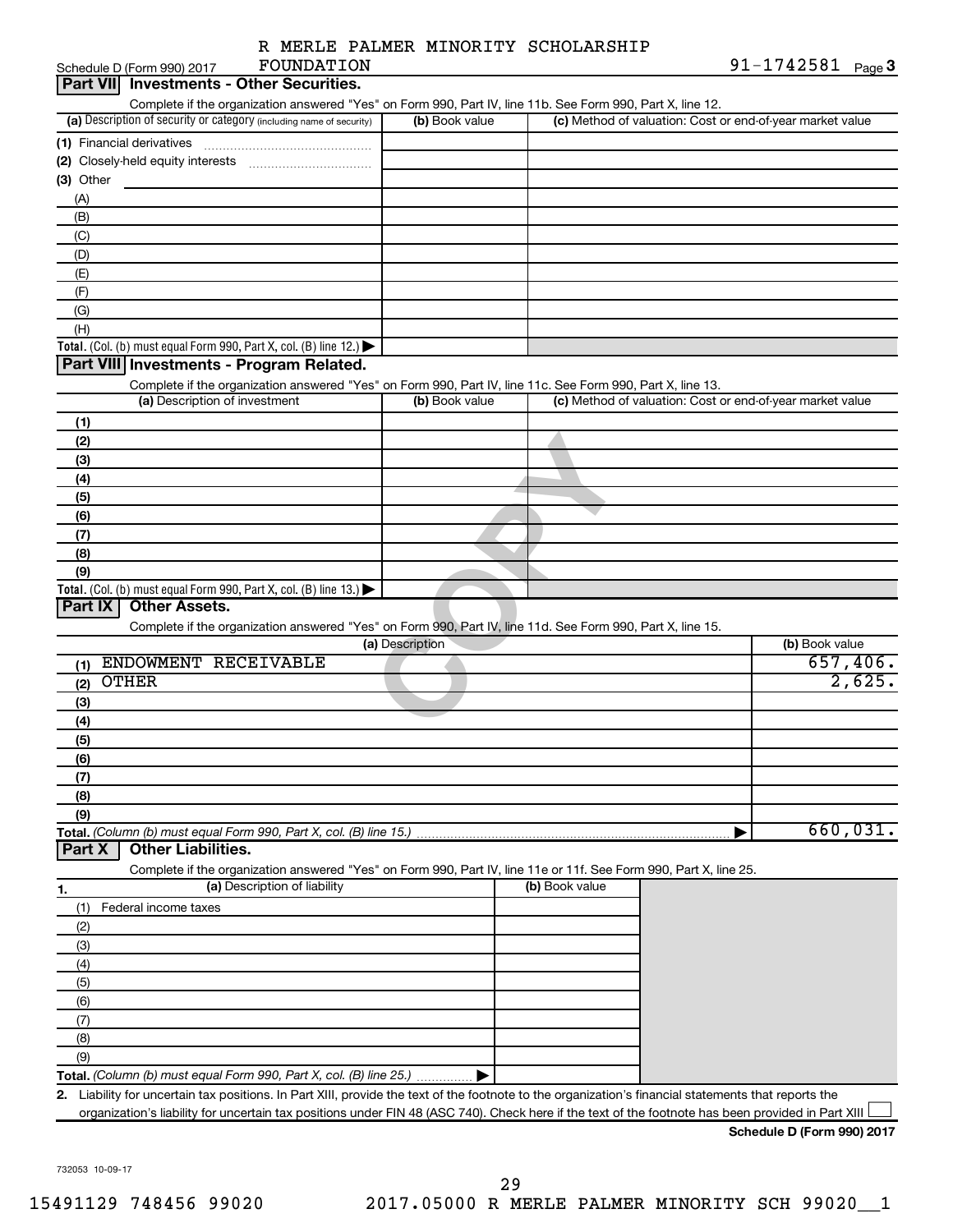| R MERLE PALMER MINORITY SCHOLARSHIP |  |  |  |  |  |
|-------------------------------------|--|--|--|--|--|
|-------------------------------------|--|--|--|--|--|

|                           | Schedule D (Form 990) 2017    | FOUNDATION                                                                                                                                         |                 |                |                                                           | $91 - 1742581$ Page 3      |
|---------------------------|-------------------------------|----------------------------------------------------------------------------------------------------------------------------------------------------|-----------------|----------------|-----------------------------------------------------------|----------------------------|
| <b>Part VIII</b>          |                               | <b>Investments - Other Securities.</b>                                                                                                             |                 |                |                                                           |                            |
|                           |                               | Complete if the organization answered "Yes" on Form 990, Part IV, line 11b. See Form 990, Part X, line 12.                                         |                 |                |                                                           |                            |
|                           |                               | (a) Description of security or category (including name of security)                                                                               | (b) Book value  |                | (c) Method of valuation: Cost or end-of-year market value |                            |
| (1) Financial derivatives |                               |                                                                                                                                                    |                 |                |                                                           |                            |
|                           |                               |                                                                                                                                                    |                 |                |                                                           |                            |
| (3) Other                 |                               |                                                                                                                                                    |                 |                |                                                           |                            |
| (A)                       |                               |                                                                                                                                                    |                 |                |                                                           |                            |
| (B)                       |                               |                                                                                                                                                    |                 |                |                                                           |                            |
| (C)                       |                               |                                                                                                                                                    |                 |                |                                                           |                            |
| (D)                       |                               |                                                                                                                                                    |                 |                |                                                           |                            |
| (E)                       |                               |                                                                                                                                                    |                 |                |                                                           |                            |
| (F)                       |                               |                                                                                                                                                    |                 |                |                                                           |                            |
| (G)                       |                               |                                                                                                                                                    |                 |                |                                                           |                            |
| (H)                       |                               |                                                                                                                                                    |                 |                |                                                           |                            |
|                           |                               | Total. (Col. (b) must equal Form 990, Part X, col. (B) line 12.)                                                                                   |                 |                |                                                           |                            |
|                           |                               | Part VIII Investments - Program Related.                                                                                                           |                 |                |                                                           |                            |
|                           |                               | Complete if the organization answered "Yes" on Form 990, Part IV, line 11c. See Form 990, Part X, line 13.                                         |                 |                |                                                           |                            |
|                           | (a) Description of investment |                                                                                                                                                    | (b) Book value  |                | (c) Method of valuation: Cost or end-of-year market value |                            |
|                           |                               |                                                                                                                                                    |                 |                |                                                           |                            |
| (1)                       |                               |                                                                                                                                                    |                 |                |                                                           |                            |
| (2)                       |                               |                                                                                                                                                    |                 |                |                                                           |                            |
| (3)                       |                               |                                                                                                                                                    |                 |                |                                                           |                            |
| (4)                       |                               |                                                                                                                                                    |                 |                |                                                           |                            |
| (5)                       |                               |                                                                                                                                                    |                 |                |                                                           |                            |
| (6)                       |                               |                                                                                                                                                    |                 |                |                                                           |                            |
| (7)                       |                               |                                                                                                                                                    |                 |                |                                                           |                            |
| (8)                       |                               |                                                                                                                                                    |                 |                |                                                           |                            |
| (9)                       |                               |                                                                                                                                                    |                 |                |                                                           |                            |
|                           |                               | Total. (Col. (b) must equal Form 990, Part X, col. (B) line 13.)                                                                                   |                 |                |                                                           |                            |
| Part IX                   | <b>Other Assets.</b>          |                                                                                                                                                    |                 |                |                                                           |                            |
|                           |                               | Complete if the organization answered "Yes" on Form 990, Part IV, line 11d. See Form 990, Part X, line 15.                                         |                 |                |                                                           |                            |
|                           |                               |                                                                                                                                                    | (a) Description |                |                                                           | (b) Book value             |
| (1)                       | ENDOWMENT RECEIVABLE          |                                                                                                                                                    |                 |                |                                                           | 657,406.                   |
| <b>OTHER</b><br>(2)       |                               |                                                                                                                                                    |                 |                |                                                           | 2,625.                     |
| (3)                       |                               |                                                                                                                                                    |                 |                |                                                           |                            |
| (4)                       |                               |                                                                                                                                                    |                 |                |                                                           |                            |
| (5)                       |                               |                                                                                                                                                    |                 |                |                                                           |                            |
| (6)                       |                               |                                                                                                                                                    |                 |                |                                                           |                            |
| (7)                       |                               |                                                                                                                                                    |                 |                |                                                           |                            |
| (8)                       |                               |                                                                                                                                                    |                 |                |                                                           |                            |
| (9)                       |                               |                                                                                                                                                    |                 |                |                                                           |                            |
|                           |                               | Total. (Column (b) must equal Form 990, Part X, col. (B) line 15.)                                                                                 |                 |                |                                                           | 660,031.                   |
| Part X                    | <b>Other Liabilities.</b>     |                                                                                                                                                    |                 |                |                                                           |                            |
|                           |                               | Complete if the organization answered "Yes" on Form 990, Part IV, line 11e or 11f. See Form 990, Part X, line 25.                                  |                 |                |                                                           |                            |
| 1.                        |                               | (a) Description of liability                                                                                                                       |                 | (b) Book value |                                                           |                            |
| (1)                       | Federal income taxes          |                                                                                                                                                    |                 |                |                                                           |                            |
| (2)                       |                               |                                                                                                                                                    |                 |                |                                                           |                            |
| (3)                       |                               |                                                                                                                                                    |                 |                |                                                           |                            |
| (4)                       |                               |                                                                                                                                                    |                 |                |                                                           |                            |
| (5)                       |                               |                                                                                                                                                    |                 |                |                                                           |                            |
| (6)                       |                               |                                                                                                                                                    |                 |                |                                                           |                            |
| (7)                       |                               |                                                                                                                                                    |                 |                |                                                           |                            |
| (8)                       |                               |                                                                                                                                                    |                 |                |                                                           |                            |
|                           |                               |                                                                                                                                                    |                 |                |                                                           |                            |
| (9)                       |                               |                                                                                                                                                    |                 |                |                                                           |                            |
|                           |                               | Total. (Column (b) must equal Form 990, Part X, col. (B) line 25.)                                                                                 |                 |                |                                                           |                            |
| 2.                        |                               | Liability for uncertain tax positions. In Part XIII, provide the text of the footnote to the organization's financial statements that reports the  |                 |                |                                                           |                            |
|                           |                               | organization's liability for uncertain tax positions under FIN 48 (ASC 740). Check here if the text of the footnote has been provided in Part XIII |                 |                |                                                           |                            |
|                           |                               |                                                                                                                                                    |                 |                |                                                           | Schedule D (Form 990) 2017 |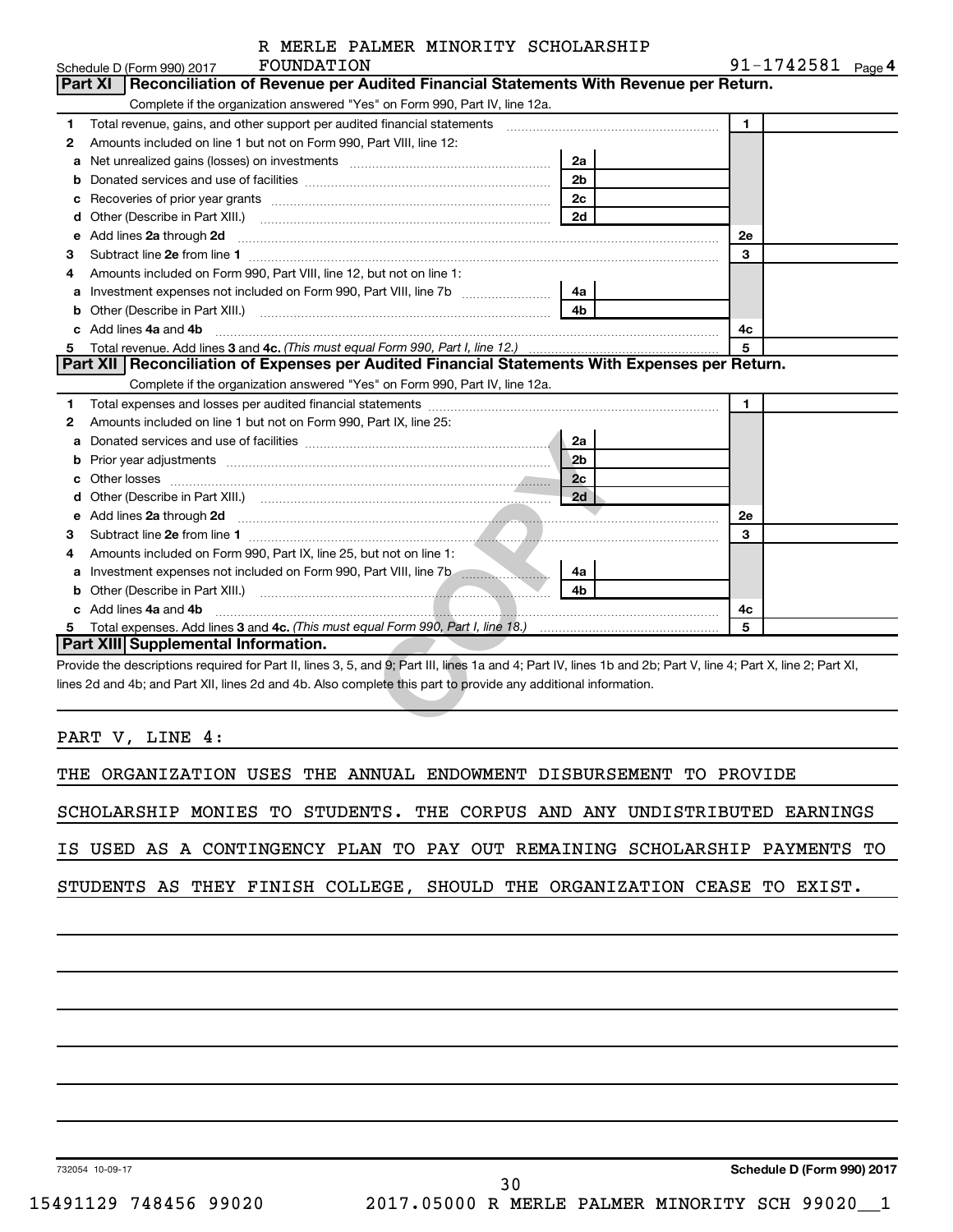|  |  | R MERLE PALMER MINORITY SCHOLARSHIP |
|--|--|-------------------------------------|
|  |  |                                     |

|                                                                                                                          |                | $91 - 1742581$ Page 4 |
|--------------------------------------------------------------------------------------------------------------------------|----------------|-----------------------|
| Reconciliation of Revenue per Audited Financial Statements With Revenue per Return.<br><b>Part XI</b>                    |                |                       |
| Complete if the organization answered "Yes" on Form 990, Part IV, line 12a.                                              |                |                       |
|                                                                                                                          |                | 1                     |
| Amounts included on line 1 but not on Form 990, Part VIII, line 12:                                                      |                |                       |
| Net unrealized gains (losses) on investments [11] matter than the unrealized cains (losses) on investments<br>a          | 2a             |                       |
| b                                                                                                                        | 2 <sub>b</sub> |                       |
| с                                                                                                                        | 2 <sub>c</sub> |                       |
| d                                                                                                                        | 2d             |                       |
| Add lines 2a through 2d<br>е                                                                                             |                | 2e                    |
|                                                                                                                          |                | 3                     |
| Amounts included on Form 990, Part VIII, line 12, but not on line 1:                                                     |                |                       |
| a                                                                                                                        | 4a             |                       |
| b                                                                                                                        | 4 <sub>b</sub> |                       |
| Add lines 4a and 4b<br>C.                                                                                                |                | 4c                    |
| Total revenue. Add lines 3 and 4c. (This must equal Form 990, Part I, line 12.)                                          |                | 5                     |
| Part XII   Reconciliation of Expenses per Audited Financial Statements With Expenses per Return.                         |                |                       |
| Complete if the organization answered "Yes" on Form 990, Part IV, line 12a.                                              |                |                       |
|                                                                                                                          |                | 1                     |
| Amounts included on line 1 but not on Form 990, Part IX, line 25:                                                        |                |                       |
|                                                                                                                          | 2a             |                       |
|                                                                                                                          |                |                       |
| Prior year adjustments <i>communically contained and all examples the contained and all examples the contained and a</i> | 2 <sub>b</sub> |                       |
|                                                                                                                          | 2c             |                       |
|                                                                                                                          | 2d             |                       |
| Add lines 2a through 2d                                                                                                  |                | <b>2e</b>             |
|                                                                                                                          |                | 3                     |
| a<br>b<br>c<br>d<br>е<br>Amounts included on Form 990, Part IX, line 25, but not on line 1:                              |                |                       |
| a                                                                                                                        | 4a             |                       |
| b                                                                                                                        | 4 <sub>h</sub> |                       |
| Add lines 4a and 4b                                                                                                      |                | 4с                    |
|                                                                                                                          |                | 5                     |

PART V, LINE 4:

THE ORGANIZATION USES THE ANNUAL ENDOWMENT DISBURSEMENT TO PROVIDE

SCHOLARSHIP MONIES TO STUDENTS. THE CORPUS AND ANY UNDISTRIBUTED EARNINGS

IS USED AS A CONTINGENCY PLAN TO PAY OUT REMAINING SCHOLARSHIP PAYMENTS TO

30

STUDENTS AS THEY FINISH COLLEGE, SHOULD THE ORGANIZATION CEASE TO EXIST.

732054 10-09-17

**Schedule D (Form 990) 2017**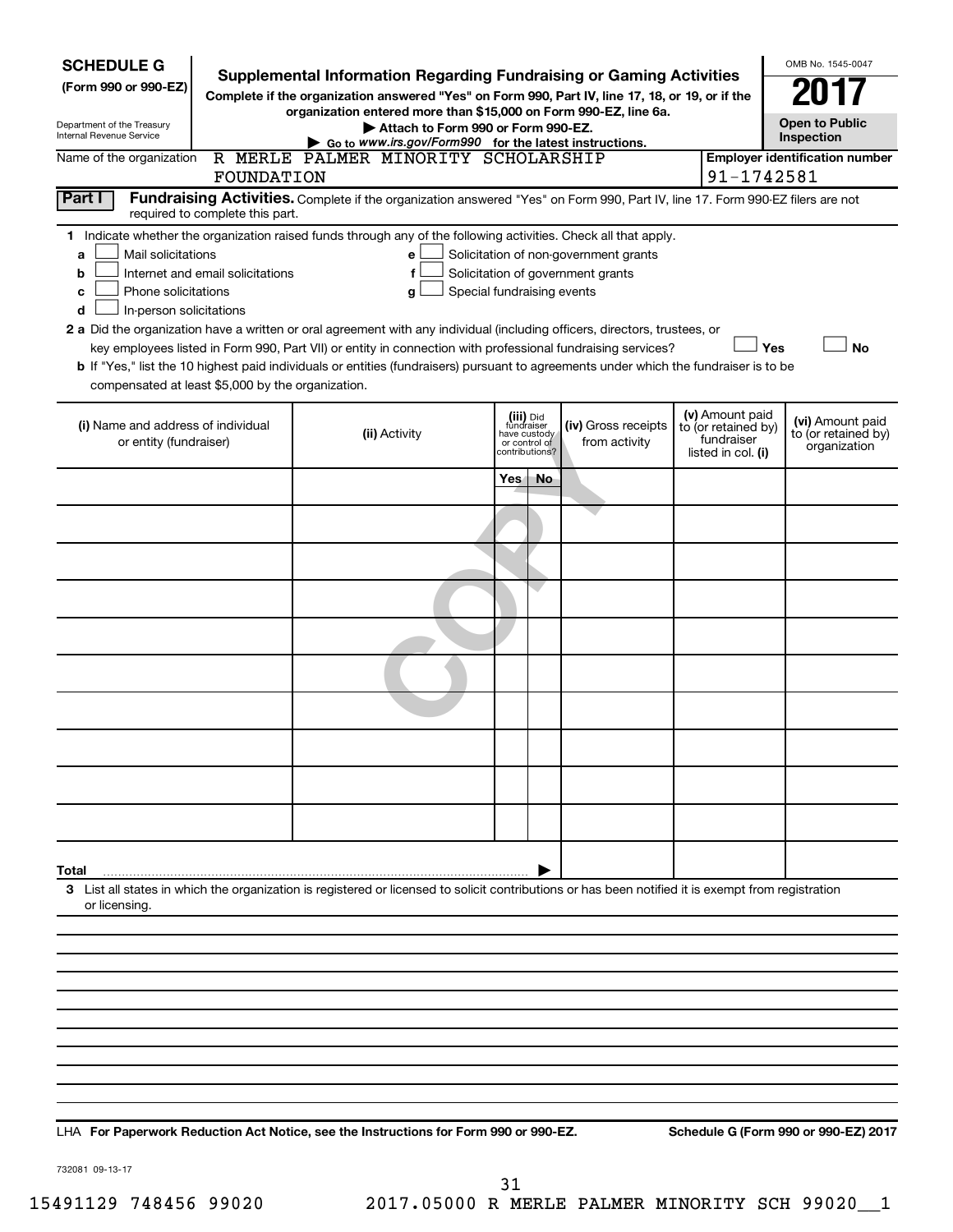| <b>SCHEDULE G</b><br>(Form 990 or 990-EZ)<br>Department of the Treasury<br>Internal Revenue Service                                                                                                                                                                                                                                                                                                                                                                                                                                                                                                                                                                                                                                                                                                                                       | <b>Supplemental Information Regarding Fundraising or Gaming Activities</b><br>Complete if the organization answered "Yes" on Form 990, Part IV, line 17, 18, or 19, or if the | OMB No. 1545-0047<br><b>Open to Public</b><br>Inspection                                                                                           |                                                                            |    |                                      |  |                                                                            |                                                         |  |  |
|-------------------------------------------------------------------------------------------------------------------------------------------------------------------------------------------------------------------------------------------------------------------------------------------------------------------------------------------------------------------------------------------------------------------------------------------------------------------------------------------------------------------------------------------------------------------------------------------------------------------------------------------------------------------------------------------------------------------------------------------------------------------------------------------------------------------------------------------|-------------------------------------------------------------------------------------------------------------------------------------------------------------------------------|----------------------------------------------------------------------------------------------------------------------------------------------------|----------------------------------------------------------------------------|----|--------------------------------------|--|----------------------------------------------------------------------------|---------------------------------------------------------|--|--|
| Name of the organization                                                                                                                                                                                                                                                                                                                                                                                                                                                                                                                                                                                                                                                                                                                                                                                                                  | FOUNDATION                                                                                                                                                                    | R MERLE PALMER MINORITY SCHOLARSHIP                                                                                                                |                                                                            |    |                                      |  | 91-1742581                                                                 | <b>Employer identification number</b>                   |  |  |
| Part I<br>Fundraising Activities. Complete if the organization answered "Yes" on Form 990, Part IV, line 17. Form 990-EZ filers are not<br>required to complete this part.                                                                                                                                                                                                                                                                                                                                                                                                                                                                                                                                                                                                                                                                |                                                                                                                                                                               |                                                                                                                                                    |                                                                            |    |                                      |  |                                                                            |                                                         |  |  |
| 1 Indicate whether the organization raised funds through any of the following activities. Check all that apply.<br>Mail solicitations<br>Solicitation of non-government grants<br>a<br>е<br>Internet and email solicitations<br>Solicitation of government grants<br>f<br>b<br>Phone solicitations<br>Special fundraising events<br>с<br>g<br>In-person solicitations<br>d<br>2 a Did the organization have a written or oral agreement with any individual (including officers, directors, trustees, or<br>Yes<br><b>No</b><br>key employees listed in Form 990, Part VII) or entity in connection with professional fundraising services?<br>b If "Yes," list the 10 highest paid individuals or entities (fundraisers) pursuant to agreements under which the fundraiser is to be<br>compensated at least \$5,000 by the organization. |                                                                                                                                                                               |                                                                                                                                                    |                                                                            |    |                                      |  |                                                                            |                                                         |  |  |
| (i) Name and address of individual<br>or entity (fundraiser)                                                                                                                                                                                                                                                                                                                                                                                                                                                                                                                                                                                                                                                                                                                                                                              |                                                                                                                                                                               | (ii) Activity                                                                                                                                      | (iii) Did<br>fundraiser<br>have custody<br>or control of<br>contributions? |    | (iv) Gross receipts<br>from activity |  | (v) Amount paid<br>to (or retained by)<br>fundraiser<br>listed in col. (i) | (vi) Amount paid<br>to (or retained by)<br>organization |  |  |
|                                                                                                                                                                                                                                                                                                                                                                                                                                                                                                                                                                                                                                                                                                                                                                                                                                           |                                                                                                                                                                               |                                                                                                                                                    | Yes                                                                        | No |                                      |  |                                                                            |                                                         |  |  |
|                                                                                                                                                                                                                                                                                                                                                                                                                                                                                                                                                                                                                                                                                                                                                                                                                                           |                                                                                                                                                                               |                                                                                                                                                    |                                                                            |    |                                      |  |                                                                            |                                                         |  |  |
|                                                                                                                                                                                                                                                                                                                                                                                                                                                                                                                                                                                                                                                                                                                                                                                                                                           |                                                                                                                                                                               |                                                                                                                                                    |                                                                            |    |                                      |  |                                                                            |                                                         |  |  |
|                                                                                                                                                                                                                                                                                                                                                                                                                                                                                                                                                                                                                                                                                                                                                                                                                                           |                                                                                                                                                                               |                                                                                                                                                    |                                                                            |    |                                      |  |                                                                            |                                                         |  |  |
|                                                                                                                                                                                                                                                                                                                                                                                                                                                                                                                                                                                                                                                                                                                                                                                                                                           |                                                                                                                                                                               |                                                                                                                                                    |                                                                            |    |                                      |  |                                                                            |                                                         |  |  |
|                                                                                                                                                                                                                                                                                                                                                                                                                                                                                                                                                                                                                                                                                                                                                                                                                                           |                                                                                                                                                                               |                                                                                                                                                    |                                                                            |    |                                      |  |                                                                            |                                                         |  |  |
|                                                                                                                                                                                                                                                                                                                                                                                                                                                                                                                                                                                                                                                                                                                                                                                                                                           |                                                                                                                                                                               |                                                                                                                                                    |                                                                            |    |                                      |  |                                                                            |                                                         |  |  |
|                                                                                                                                                                                                                                                                                                                                                                                                                                                                                                                                                                                                                                                                                                                                                                                                                                           |                                                                                                                                                                               |                                                                                                                                                    |                                                                            |    |                                      |  |                                                                            |                                                         |  |  |
|                                                                                                                                                                                                                                                                                                                                                                                                                                                                                                                                                                                                                                                                                                                                                                                                                                           |                                                                                                                                                                               |                                                                                                                                                    |                                                                            |    |                                      |  |                                                                            |                                                         |  |  |
|                                                                                                                                                                                                                                                                                                                                                                                                                                                                                                                                                                                                                                                                                                                                                                                                                                           |                                                                                                                                                                               |                                                                                                                                                    |                                                                            |    |                                      |  |                                                                            |                                                         |  |  |
| Total                                                                                                                                                                                                                                                                                                                                                                                                                                                                                                                                                                                                                                                                                                                                                                                                                                     |                                                                                                                                                                               |                                                                                                                                                    |                                                                            |    |                                      |  |                                                                            |                                                         |  |  |
| or licensing.                                                                                                                                                                                                                                                                                                                                                                                                                                                                                                                                                                                                                                                                                                                                                                                                                             |                                                                                                                                                                               | 3 List all states in which the organization is registered or licensed to solicit contributions or has been notified it is exempt from registration |                                                                            |    |                                      |  |                                                                            |                                                         |  |  |
|                                                                                                                                                                                                                                                                                                                                                                                                                                                                                                                                                                                                                                                                                                                                                                                                                                           |                                                                                                                                                                               |                                                                                                                                                    |                                                                            |    |                                      |  |                                                                            |                                                         |  |  |
|                                                                                                                                                                                                                                                                                                                                                                                                                                                                                                                                                                                                                                                                                                                                                                                                                                           |                                                                                                                                                                               |                                                                                                                                                    |                                                                            |    |                                      |  |                                                                            |                                                         |  |  |
|                                                                                                                                                                                                                                                                                                                                                                                                                                                                                                                                                                                                                                                                                                                                                                                                                                           |                                                                                                                                                                               |                                                                                                                                                    |                                                                            |    |                                      |  |                                                                            |                                                         |  |  |
|                                                                                                                                                                                                                                                                                                                                                                                                                                                                                                                                                                                                                                                                                                                                                                                                                                           |                                                                                                                                                                               |                                                                                                                                                    |                                                                            |    |                                      |  |                                                                            |                                                         |  |  |
|                                                                                                                                                                                                                                                                                                                                                                                                                                                                                                                                                                                                                                                                                                                                                                                                                                           |                                                                                                                                                                               |                                                                                                                                                    |                                                                            |    |                                      |  |                                                                            |                                                         |  |  |
|                                                                                                                                                                                                                                                                                                                                                                                                                                                                                                                                                                                                                                                                                                                                                                                                                                           |                                                                                                                                                                               |                                                                                                                                                    |                                                                            |    |                                      |  |                                                                            |                                                         |  |  |
|                                                                                                                                                                                                                                                                                                                                                                                                                                                                                                                                                                                                                                                                                                                                                                                                                                           |                                                                                                                                                                               |                                                                                                                                                    |                                                                            |    |                                      |  |                                                                            |                                                         |  |  |
|                                                                                                                                                                                                                                                                                                                                                                                                                                                                                                                                                                                                                                                                                                                                                                                                                                           |                                                                                                                                                                               |                                                                                                                                                    |                                                                            |    |                                      |  |                                                                            |                                                         |  |  |
|                                                                                                                                                                                                                                                                                                                                                                                                                                                                                                                                                                                                                                                                                                                                                                                                                                           |                                                                                                                                                                               |                                                                                                                                                    |                                                                            |    |                                      |  |                                                                            |                                                         |  |  |

**For Paperwork Reduction Act Notice, see the Instructions for Form 990 or 990-EZ. Schedule G (Form 990 or 990-EZ) 2017** LHA

732081 09-13-17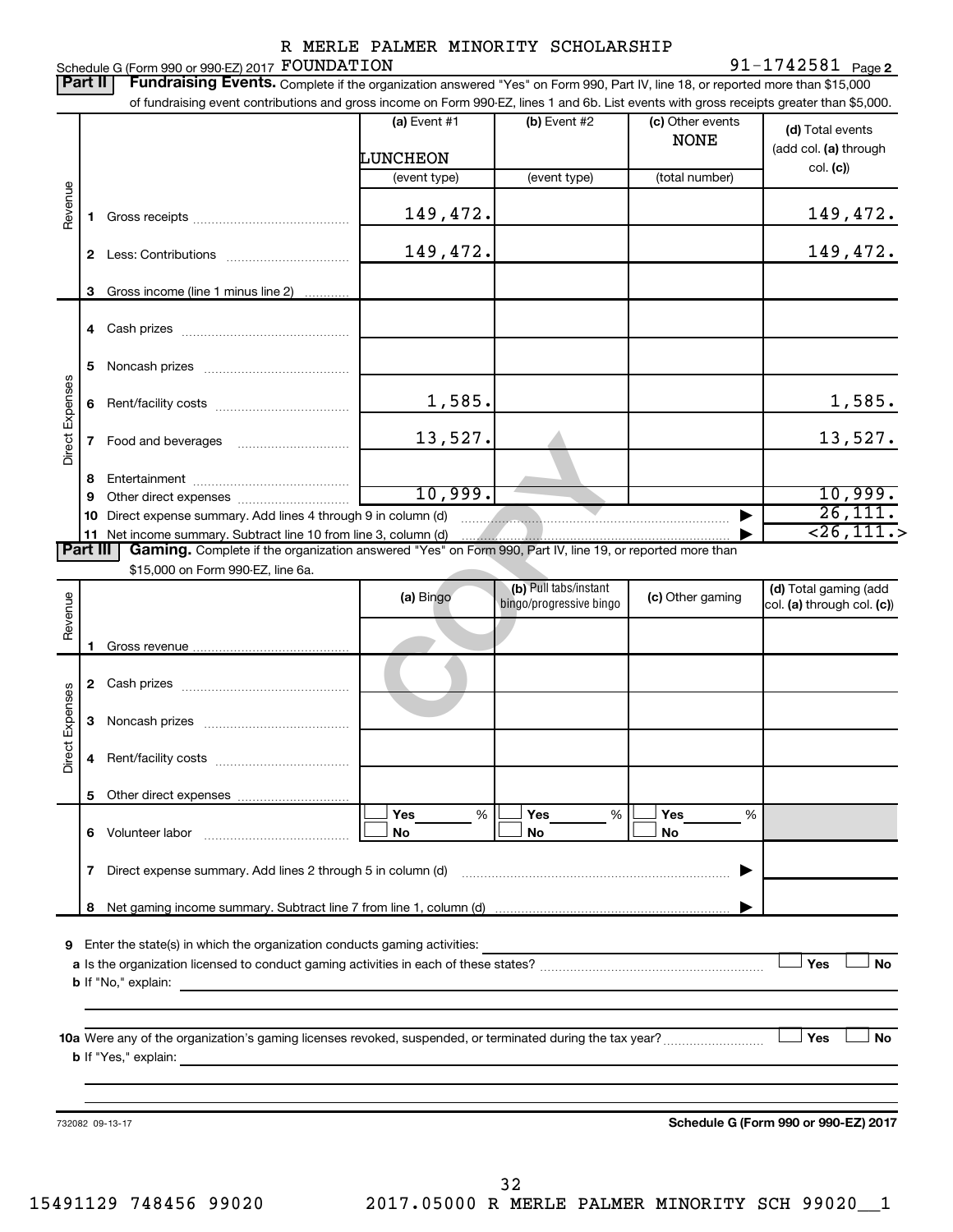91-1742581 Page 2

| <b>Part II</b>  |    | Schedule G (Form 990 or 990-EZ) 2017 FOUNDATION<br>Fundraising Events. Complete if the organization answered "Yes" on Form 990, Part IV, line 18, or reported more than \$15,000                                                                                                                                                                                                                                                                                                                                                                                                                    |                          |                         |                                 | 91-1742581 $_{Page 2}$                                |
|-----------------|----|-----------------------------------------------------------------------------------------------------------------------------------------------------------------------------------------------------------------------------------------------------------------------------------------------------------------------------------------------------------------------------------------------------------------------------------------------------------------------------------------------------------------------------------------------------------------------------------------------------|--------------------------|-------------------------|---------------------------------|-------------------------------------------------------|
|                 |    | of fundraising event contributions and gross income on Form 990-EZ, lines 1 and 6b. List events with gross receipts greater than \$5,000.                                                                                                                                                                                                                                                                                                                                                                                                                                                           |                          |                         |                                 |                                                       |
|                 |    |                                                                                                                                                                                                                                                                                                                                                                                                                                                                                                                                                                                                     | (a) Event #1<br>LUNCHEON | (b) Event #2            | (c) Other events<br><b>NONE</b> | (d) Total events<br>(add col. (a) through<br>col. (c) |
|                 |    |                                                                                                                                                                                                                                                                                                                                                                                                                                                                                                                                                                                                     | (event type)             | (event type)            | (total number)                  |                                                       |
| Revenue         | 1  |                                                                                                                                                                                                                                                                                                                                                                                                                                                                                                                                                                                                     | 149,472.                 |                         |                                 | 149,472.                                              |
|                 |    |                                                                                                                                                                                                                                                                                                                                                                                                                                                                                                                                                                                                     | 149,472.                 |                         |                                 | 149,472.                                              |
|                 | 3  | Gross income (line 1 minus line 2)                                                                                                                                                                                                                                                                                                                                                                                                                                                                                                                                                                  |                          |                         |                                 |                                                       |
|                 |    |                                                                                                                                                                                                                                                                                                                                                                                                                                                                                                                                                                                                     |                          |                         |                                 |                                                       |
|                 | 5  |                                                                                                                                                                                                                                                                                                                                                                                                                                                                                                                                                                                                     |                          |                         |                                 |                                                       |
|                 | 6  |                                                                                                                                                                                                                                                                                                                                                                                                                                                                                                                                                                                                     | 1,585.                   |                         |                                 | 1,585.                                                |
| Direct Expenses | 7  |                                                                                                                                                                                                                                                                                                                                                                                                                                                                                                                                                                                                     | 13,527.                  |                         |                                 | 13,527.                                               |
|                 | 8  |                                                                                                                                                                                                                                                                                                                                                                                                                                                                                                                                                                                                     |                          |                         |                                 |                                                       |
|                 | 9  |                                                                                                                                                                                                                                                                                                                                                                                                                                                                                                                                                                                                     | 10,999.                  |                         |                                 | 10,999.                                               |
|                 | 10 | Direct expense summary. Add lines 4 through 9 in column (d)                                                                                                                                                                                                                                                                                                                                                                                                                                                                                                                                         |                          |                         |                                 | $\overline{26,111.}$                                  |
| <b>Part III</b> |    | 11 Net income summary. Subtract line 10 from line 3, column (d)<br>Gaming. Complete if the organization answered "Yes" on Form 990, Part IV, line 19, or reported more than                                                                                                                                                                                                                                                                                                                                                                                                                         |                          |                         |                                 | $\overline{26,111.}$                                  |
|                 |    | \$15,000 on Form 990-EZ, line 6a.                                                                                                                                                                                                                                                                                                                                                                                                                                                                                                                                                                   |                          |                         |                                 |                                                       |
|                 |    |                                                                                                                                                                                                                                                                                                                                                                                                                                                                                                                                                                                                     |                          | (b) Pull tabs/instant   |                                 | (d) Total gaming (add                                 |
| Revenue         |    |                                                                                                                                                                                                                                                                                                                                                                                                                                                                                                                                                                                                     | (a) Bingo                | bingo/progressive bingo | (c) Other gaming                | col. (a) through col. (c))                            |
|                 |    |                                                                                                                                                                                                                                                                                                                                                                                                                                                                                                                                                                                                     |                          |                         |                                 |                                                       |
|                 |    |                                                                                                                                                                                                                                                                                                                                                                                                                                                                                                                                                                                                     |                          |                         |                                 |                                                       |
| Expenses        | 3  |                                                                                                                                                                                                                                                                                                                                                                                                                                                                                                                                                                                                     |                          |                         |                                 |                                                       |
| ect<br>à        |    |                                                                                                                                                                                                                                                                                                                                                                                                                                                                                                                                                                                                     |                          |                         |                                 |                                                       |
|                 |    |                                                                                                                                                                                                                                                                                                                                                                                                                                                                                                                                                                                                     | Yes<br>%                 | Yes<br>%                | Yes<br>%                        |                                                       |
|                 |    |                                                                                                                                                                                                                                                                                                                                                                                                                                                                                                                                                                                                     | No                       | No                      | No                              |                                                       |
|                 | 7  | Direct expense summary. Add lines 2 through 5 in column (d)                                                                                                                                                                                                                                                                                                                                                                                                                                                                                                                                         |                          |                         | ▶                               |                                                       |
|                 | 8  |                                                                                                                                                                                                                                                                                                                                                                                                                                                                                                                                                                                                     |                          |                         |                                 |                                                       |
| 9               |    | <b>b</b> If "No," explain: <u>contract and a set of the set of the set of the set of the set of the set of the set of the set of the set of the set of the set of the set of the set of the set of the set of the set of the set of t</u><br>10a Were any of the organization's gaming licenses revoked, suspended, or terminated during the tax year?<br><b>b</b> If "Yes," explain: <b>contract to the contract of the contract of the contract of the contract of the contract of the contract of the contract of the contract of the contract of the contract of the contract of the contra</b> |                          |                         |                                 | Yes<br><b>No</b><br>Yes<br><b>No</b>                  |
|                 |    |                                                                                                                                                                                                                                                                                                                                                                                                                                                                                                                                                                                                     |                          |                         |                                 |                                                       |
|                 |    |                                                                                                                                                                                                                                                                                                                                                                                                                                                                                                                                                                                                     |                          |                         |                                 |                                                       |
|                 |    | 732082 09-13-17                                                                                                                                                                                                                                                                                                                                                                                                                                                                                                                                                                                     |                          |                         |                                 | Schedule G (Form 990 or 990-EZ) 2017                  |
|                 |    |                                                                                                                                                                                                                                                                                                                                                                                                                                                                                                                                                                                                     |                          |                         |                                 |                                                       |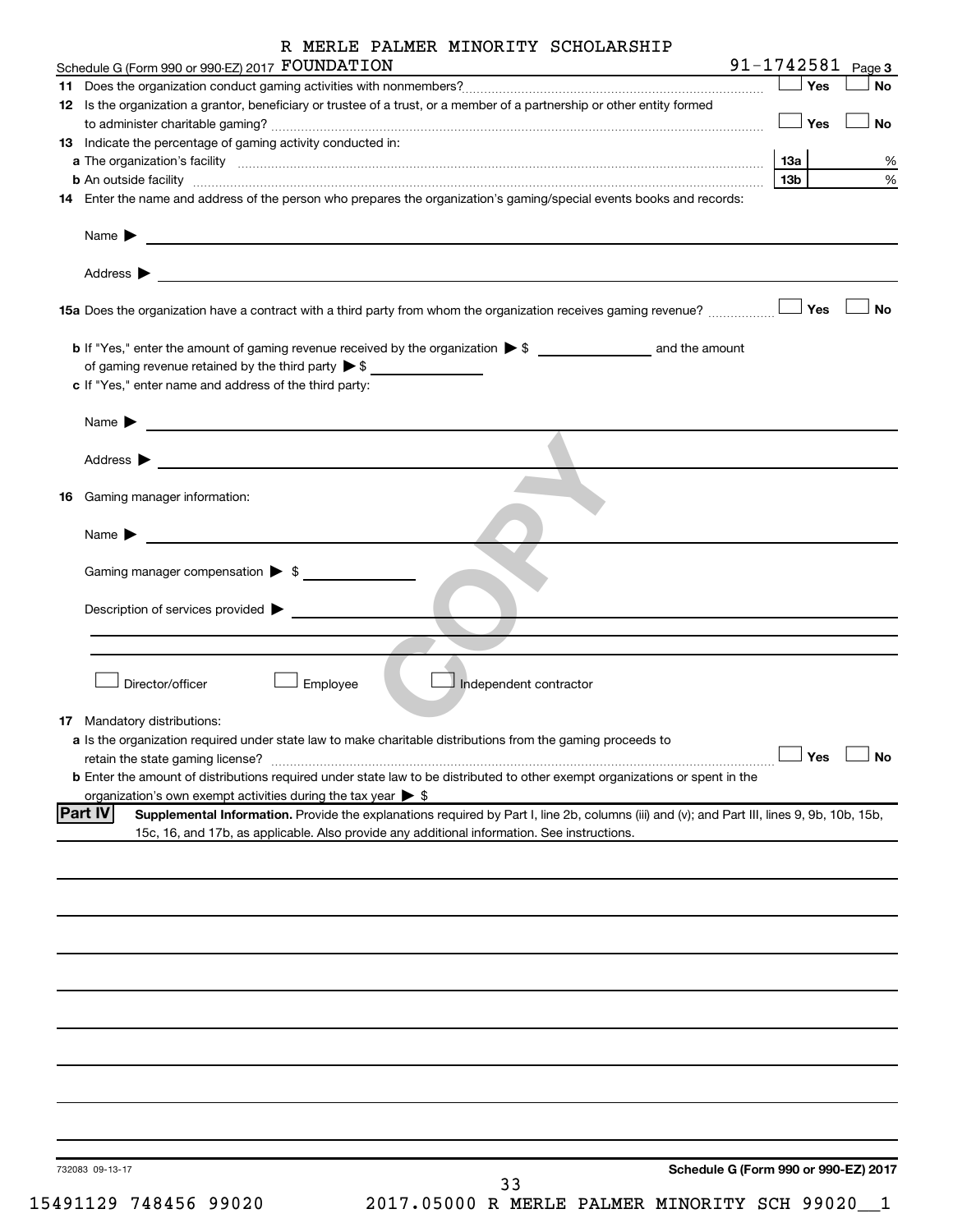| R MERLE PALMER MINORITY SCHOLARSHIP                                                                                                                                                                                                                                   |                 |     |                   |
|-----------------------------------------------------------------------------------------------------------------------------------------------------------------------------------------------------------------------------------------------------------------------|-----------------|-----|-------------------|
| Schedule G (Form 990 or 990-EZ) 2017 FOUNDATION                                                                                                                                                                                                                       |                 |     | 91-1742581 Page 3 |
|                                                                                                                                                                                                                                                                       |                 | Yes | <b>No</b>         |
| 12 Is the organization a grantor, beneficiary or trustee of a trust, or a member of a partnership or other entity formed                                                                                                                                              |                 | Yes | No                |
| <b>13</b> Indicate the percentage of gaming activity conducted in:                                                                                                                                                                                                    |                 |     |                   |
|                                                                                                                                                                                                                                                                       | <b>13a</b>      |     | %                 |
|                                                                                                                                                                                                                                                                       | 13 <sub>b</sub> |     | %                 |
| 14 Enter the name and address of the person who prepares the organization's gaming/special events books and records:                                                                                                                                                  |                 |     |                   |
| Name $\blacktriangleright$<br><u> 1989 - Johann Harry Harry Harry Harry Harry Harry Harry Harry Harry Harry Harry Harry Harry Harry Harry Harry</u>                                                                                                                   |                 |     |                   |
| Address $\blacktriangleright$<br>and the control of the control of the control of the control of the control of the control of the control of the                                                                                                                     |                 |     |                   |
|                                                                                                                                                                                                                                                                       |                 |     | No                |
|                                                                                                                                                                                                                                                                       |                 |     |                   |
| of gaming revenue retained by the third party $\triangleright$ \$                                                                                                                                                                                                     |                 |     |                   |
| c If "Yes," enter name and address of the third party:                                                                                                                                                                                                                |                 |     |                   |
| Name $\blacktriangleright$<br><u> 1980 - Johann Stein, marwolaethau a bhann an t-</u>                                                                                                                                                                                 |                 |     |                   |
| Address $\blacktriangleright$<br><u>and the state of the state of the state of the state of the state of the state of the state of the state of the state of the state of the state of the state of the state of the state of the state of the state of the state</u> |                 |     |                   |
| <b>16</b> Gaming manager information:                                                                                                                                                                                                                                 |                 |     |                   |
| Name $\blacktriangleright$<br><u> 1990 - Johann Barbara, martin a</u>                                                                                                                                                                                                 |                 |     |                   |
| Gaming manager compensation > \$                                                                                                                                                                                                                                      |                 |     |                   |
| Description of services provided $\blacktriangleright$                                                                                                                                                                                                                |                 |     |                   |
|                                                                                                                                                                                                                                                                       |                 |     |                   |
|                                                                                                                                                                                                                                                                       |                 |     |                   |
| Director/officer<br>Employee<br>Independent contractor                                                                                                                                                                                                                |                 |     |                   |
| <b>17</b> Mandatory distributions:                                                                                                                                                                                                                                    |                 |     |                   |
| a Is the organization required under state law to make charitable distributions from the gaming proceeds to                                                                                                                                                           |                 |     |                   |
| retain the state gaming license?                                                                                                                                                                                                                                      |                 | Yes | No                |
| b Enter the amount of distributions required under state law to be distributed to other exempt organizations or spent in the                                                                                                                                          |                 |     |                   |
| organization's own exempt activities during the tax year $\triangleright$ \$<br><b>Part IV</b><br>Supplemental Information. Provide the explanations required by Part I, line 2b, columns (iii) and (v); and Part III, lines 9, 9b, 10b, 15b,                         |                 |     |                   |
| 15c, 16, and 17b, as applicable. Also provide any additional information. See instructions.                                                                                                                                                                           |                 |     |                   |
|                                                                                                                                                                                                                                                                       |                 |     |                   |
|                                                                                                                                                                                                                                                                       |                 |     |                   |
|                                                                                                                                                                                                                                                                       |                 |     |                   |
|                                                                                                                                                                                                                                                                       |                 |     |                   |
|                                                                                                                                                                                                                                                                       |                 |     |                   |
|                                                                                                                                                                                                                                                                       |                 |     |                   |
|                                                                                                                                                                                                                                                                       |                 |     |                   |
|                                                                                                                                                                                                                                                                       |                 |     |                   |
|                                                                                                                                                                                                                                                                       |                 |     |                   |
| Schedule G (Form 990 or 990-EZ) 2017<br>732083 09-13-17                                                                                                                                                                                                               |                 |     |                   |
| 33                                                                                                                                                                                                                                                                    |                 |     |                   |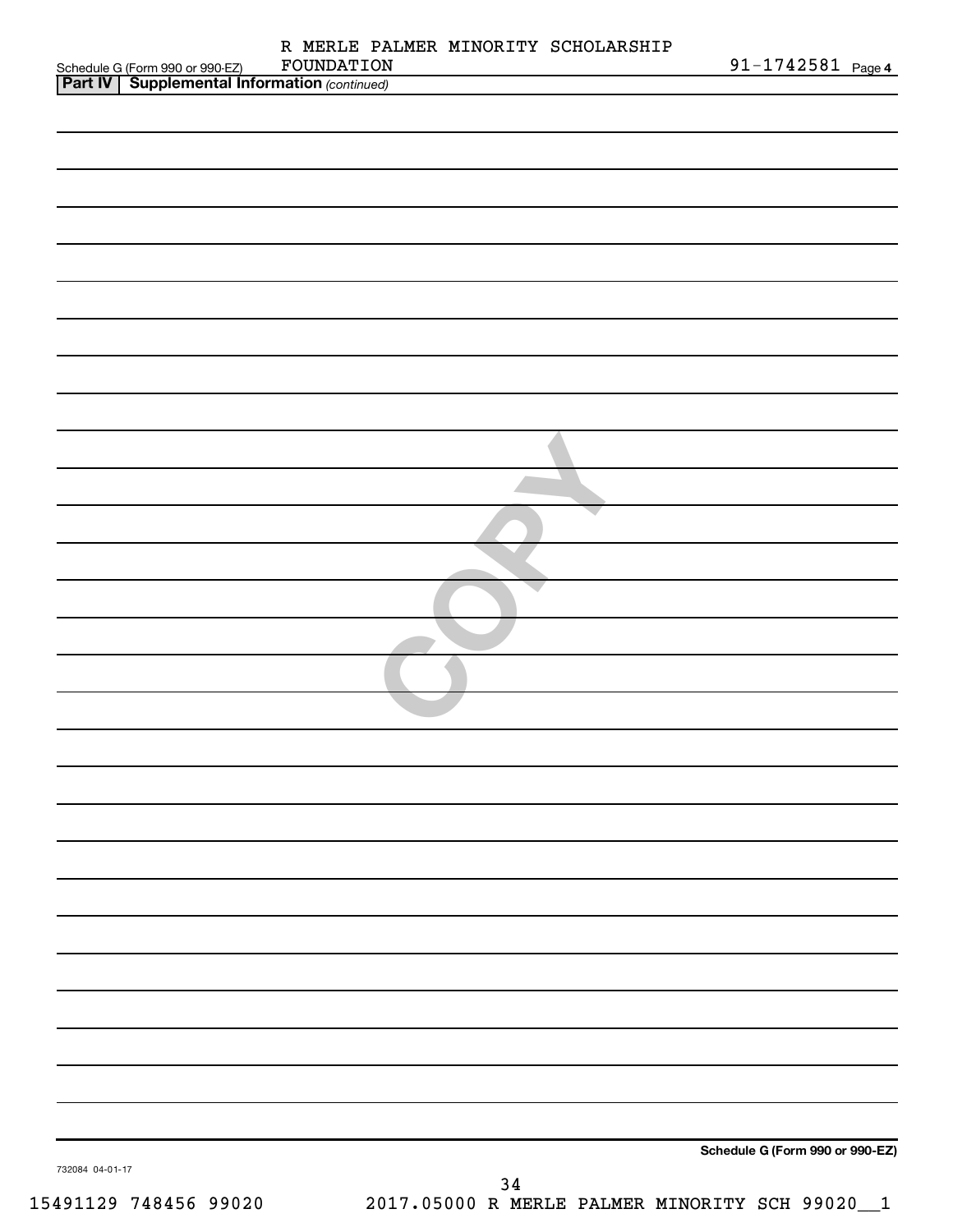|                 |                                                                                                     | R MERLE PALMER MINORITY SCHOLARSHIP<br>FOUNDATION | $91 - 1742581$ Page 4           |
|-----------------|-----------------------------------------------------------------------------------------------------|---------------------------------------------------|---------------------------------|
|                 | Schedule G (Form 990 or 990-EZ) FOUNDATION<br><b>Part IV   Supplemental Information</b> (continued) |                                                   |                                 |
|                 |                                                                                                     |                                                   |                                 |
|                 |                                                                                                     |                                                   |                                 |
|                 |                                                                                                     |                                                   |                                 |
|                 |                                                                                                     |                                                   |                                 |
|                 |                                                                                                     |                                                   |                                 |
|                 |                                                                                                     |                                                   |                                 |
|                 |                                                                                                     |                                                   |                                 |
|                 |                                                                                                     |                                                   |                                 |
|                 |                                                                                                     |                                                   |                                 |
|                 |                                                                                                     |                                                   |                                 |
|                 |                                                                                                     |                                                   |                                 |
|                 |                                                                                                     |                                                   |                                 |
|                 |                                                                                                     |                                                   |                                 |
|                 |                                                                                                     |                                                   |                                 |
|                 |                                                                                                     |                                                   |                                 |
|                 |                                                                                                     |                                                   |                                 |
|                 |                                                                                                     |                                                   |                                 |
|                 |                                                                                                     |                                                   |                                 |
|                 |                                                                                                     |                                                   |                                 |
|                 |                                                                                                     |                                                   |                                 |
|                 |                                                                                                     |                                                   |                                 |
|                 |                                                                                                     |                                                   |                                 |
|                 |                                                                                                     |                                                   |                                 |
|                 |                                                                                                     |                                                   |                                 |
|                 |                                                                                                     |                                                   |                                 |
|                 |                                                                                                     |                                                   |                                 |
|                 |                                                                                                     |                                                   |                                 |
|                 |                                                                                                     |                                                   |                                 |
|                 |                                                                                                     |                                                   |                                 |
|                 |                                                                                                     |                                                   |                                 |
|                 |                                                                                                     |                                                   |                                 |
|                 |                                                                                                     |                                                   |                                 |
|                 |                                                                                                     |                                                   |                                 |
|                 |                                                                                                     |                                                   |                                 |
|                 |                                                                                                     |                                                   |                                 |
|                 |                                                                                                     |                                                   |                                 |
|                 |                                                                                                     |                                                   |                                 |
|                 |                                                                                                     |                                                   |                                 |
|                 |                                                                                                     |                                                   |                                 |
|                 |                                                                                                     |                                                   | Schedule G (Form 990 or 990-EZ) |
| 732084 04-01-17 |                                                                                                     |                                                   |                                 |
|                 |                                                                                                     | 34                                                |                                 |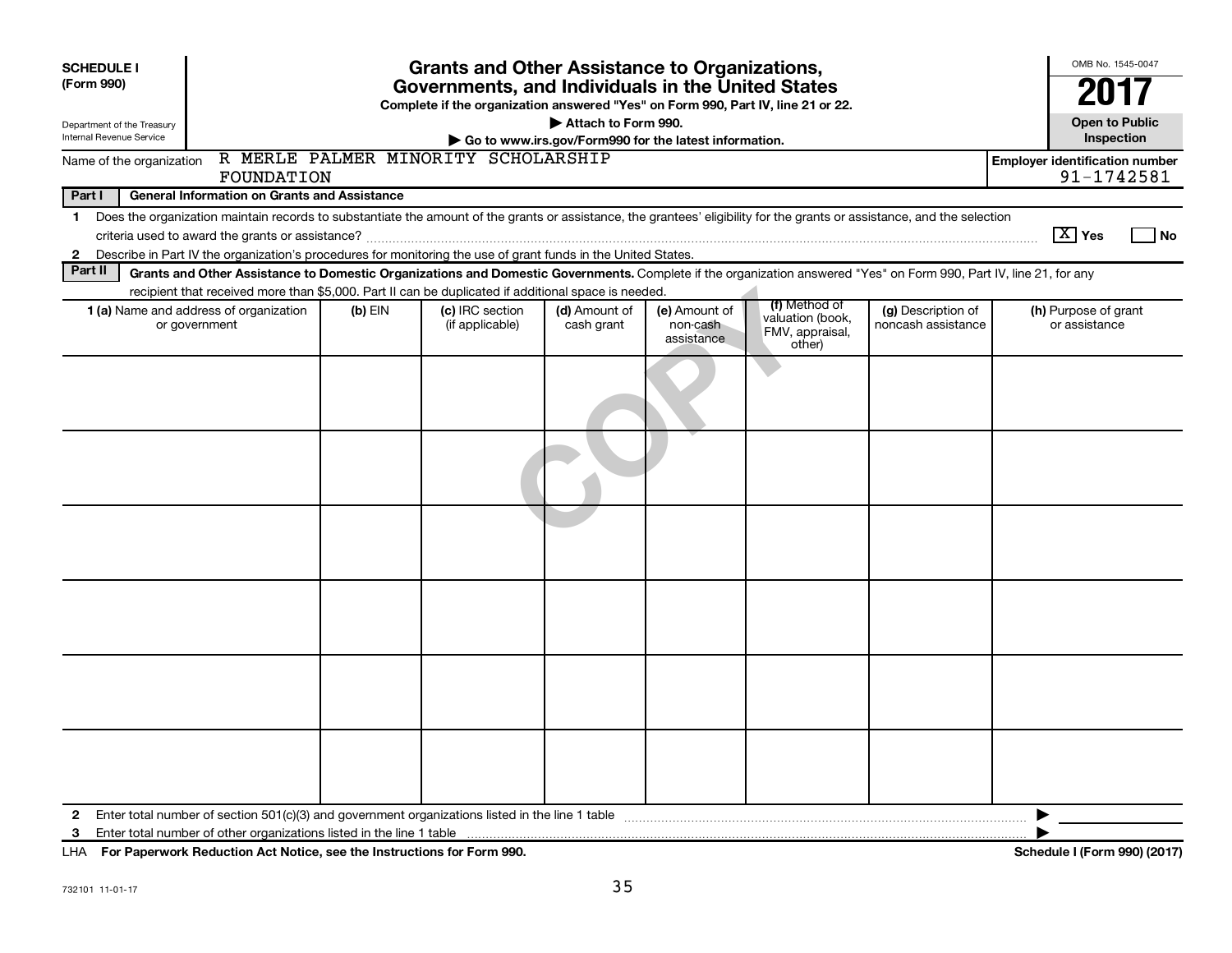| <b>SCHEDULE I</b><br>(Form 990)<br>Department of the Treasury                                                                                                                                                                                                                                                                        | <b>Grants and Other Assistance to Organizations,</b><br>Governments, and Individuals in the United States<br>Complete if the organization answered "Yes" on Form 990, Part IV, line 21 or 22.<br>Attach to Form 990. |           |                                     |                                                       |                                         |                                               |                                          |                                                     |  |  |
|--------------------------------------------------------------------------------------------------------------------------------------------------------------------------------------------------------------------------------------------------------------------------------------------------------------------------------------|----------------------------------------------------------------------------------------------------------------------------------------------------------------------------------------------------------------------|-----------|-------------------------------------|-------------------------------------------------------|-----------------------------------------|-----------------------------------------------|------------------------------------------|-----------------------------------------------------|--|--|
| Internal Revenue Service                                                                                                                                                                                                                                                                                                             |                                                                                                                                                                                                                      |           |                                     | Go to www.irs.gov/Form990 for the latest information. |                                         |                                               |                                          | <b>Open to Public</b><br>Inspection                 |  |  |
| Name of the organization                                                                                                                                                                                                                                                                                                             | FOUNDATION                                                                                                                                                                                                           |           | R MERLE PALMER MINORITY SCHOLARSHIP |                                                       |                                         |                                               |                                          | <b>Employer identification number</b><br>91-1742581 |  |  |
| Part I<br><b>General Information on Grants and Assistance</b>                                                                                                                                                                                                                                                                        |                                                                                                                                                                                                                      |           |                                     |                                                       |                                         |                                               |                                          |                                                     |  |  |
| Does the organization maintain records to substantiate the amount of the grants or assistance, the grantees' eligibility for the grants or assistance, and the selection<br>1<br>$ \mathbf{X} $ Yes<br>Describe in Part IV the organization's procedures for monitoring the use of grant funds in the United States.<br>$\mathbf{2}$ |                                                                                                                                                                                                                      |           |                                     |                                                       |                                         |                                               |                                          |                                                     |  |  |
| Part II                                                                                                                                                                                                                                                                                                                              | Grants and Other Assistance to Domestic Organizations and Domestic Governments. Complete if the organization answered "Yes" on Form 990, Part IV, line 21, for any                                                   |           |                                     |                                                       |                                         |                                               |                                          |                                                     |  |  |
|                                                                                                                                                                                                                                                                                                                                      | recipient that received more than \$5,000. Part II can be duplicated if additional space is needed.                                                                                                                  |           |                                     |                                                       |                                         | (f) Method of                                 |                                          |                                                     |  |  |
|                                                                                                                                                                                                                                                                                                                                      | 1 (a) Name and address of organization<br>or government                                                                                                                                                              | $(b)$ EIN | (c) IRC section<br>(if applicable)  | (d) Amount of<br>cash grant                           | (e) Amount of<br>non-cash<br>assistance | valuation (book,<br>FMV, appraisal,<br>other) | (g) Description of<br>noncash assistance | (h) Purpose of grant<br>or assistance               |  |  |
|                                                                                                                                                                                                                                                                                                                                      |                                                                                                                                                                                                                      |           |                                     |                                                       |                                         |                                               |                                          |                                                     |  |  |
|                                                                                                                                                                                                                                                                                                                                      |                                                                                                                                                                                                                      |           |                                     |                                                       |                                         |                                               |                                          |                                                     |  |  |
|                                                                                                                                                                                                                                                                                                                                      |                                                                                                                                                                                                                      |           |                                     |                                                       |                                         |                                               |                                          |                                                     |  |  |
|                                                                                                                                                                                                                                                                                                                                      |                                                                                                                                                                                                                      |           |                                     |                                                       |                                         |                                               |                                          |                                                     |  |  |
|                                                                                                                                                                                                                                                                                                                                      |                                                                                                                                                                                                                      |           |                                     |                                                       |                                         |                                               |                                          |                                                     |  |  |
|                                                                                                                                                                                                                                                                                                                                      |                                                                                                                                                                                                                      |           |                                     |                                                       |                                         |                                               |                                          |                                                     |  |  |
| $\mathbf{2}$<br>3                                                                                                                                                                                                                                                                                                                    |                                                                                                                                                                                                                      |           |                                     |                                                       |                                         |                                               |                                          |                                                     |  |  |

**For Paperwork Reduction Act Notice, see the Instructions for Form 990. Schedule I (Form 990) (2017)** LHA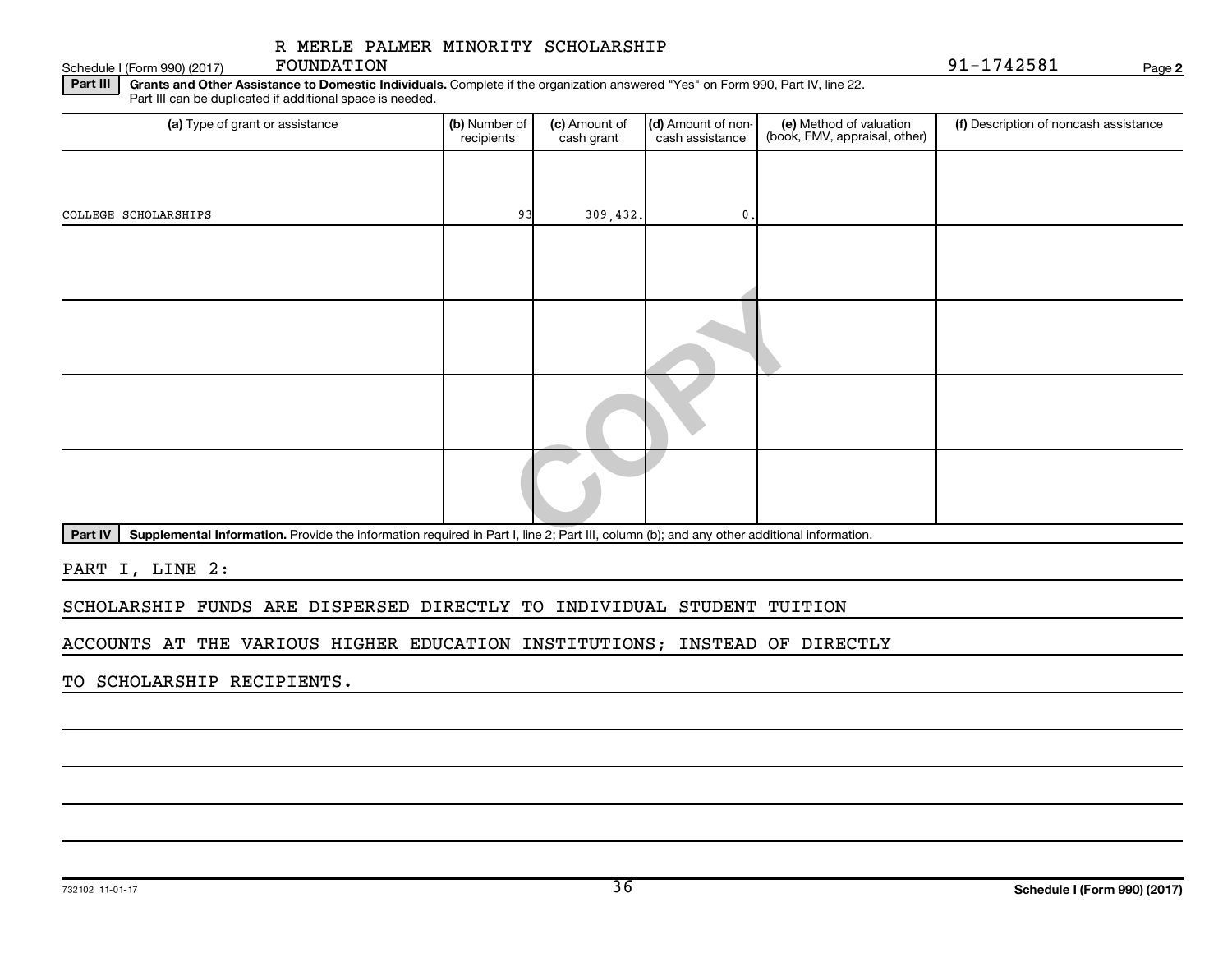Schedule I (Form 990) (2017)  $\qquad \qquad$  **FOUNDATION**  $\qquad \qquad$ FOUNDATION

**2**

Part III | Grants and Other Assistance to Domestic Individuals. Complete if the organization answered "Yes" on Form 990, Part IV, line 22. Part III can be duplicated if additional space is needed.

| (a) Type of grant or assistance                                                                                                                      | (b) Number of<br>recipients | (c) Amount of<br>cash grant | (d) Amount of non-<br>cash assistance | (e) Method of valuation<br>(book, FMV, appraisal, other) | (f) Description of noncash assistance |
|------------------------------------------------------------------------------------------------------------------------------------------------------|-----------------------------|-----------------------------|---------------------------------------|----------------------------------------------------------|---------------------------------------|
|                                                                                                                                                      |                             |                             |                                       |                                                          |                                       |
| COLLEGE SCHOLARSHIPS                                                                                                                                 | 93                          | 309,432.                    | $\mathbf{0}$ .                        |                                                          |                                       |
|                                                                                                                                                      |                             |                             |                                       |                                                          |                                       |
|                                                                                                                                                      |                             |                             |                                       |                                                          |                                       |
|                                                                                                                                                      |                             |                             |                                       |                                                          |                                       |
|                                                                                                                                                      |                             |                             |                                       |                                                          |                                       |
|                                                                                                                                                      |                             |                             |                                       |                                                          |                                       |
|                                                                                                                                                      |                             |                             |                                       |                                                          |                                       |
| Part IV<br>Supplemental Information. Provide the information required in Part I, line 2; Part III, column (b); and any other additional information. |                             |                             |                                       |                                                          |                                       |

PART I, LINE 2:

SCHOLARSHIP FUNDS ARE DISPERSED DIRECTLY TO INDIVIDUAL STUDENT TUITION

ACCOUNTS AT THE VARIOUS HIGHER EDUCATION INSTITUTIONS; INSTEAD OF DIRECTLY

TO SCHOLARSHIP RECIPIENTS.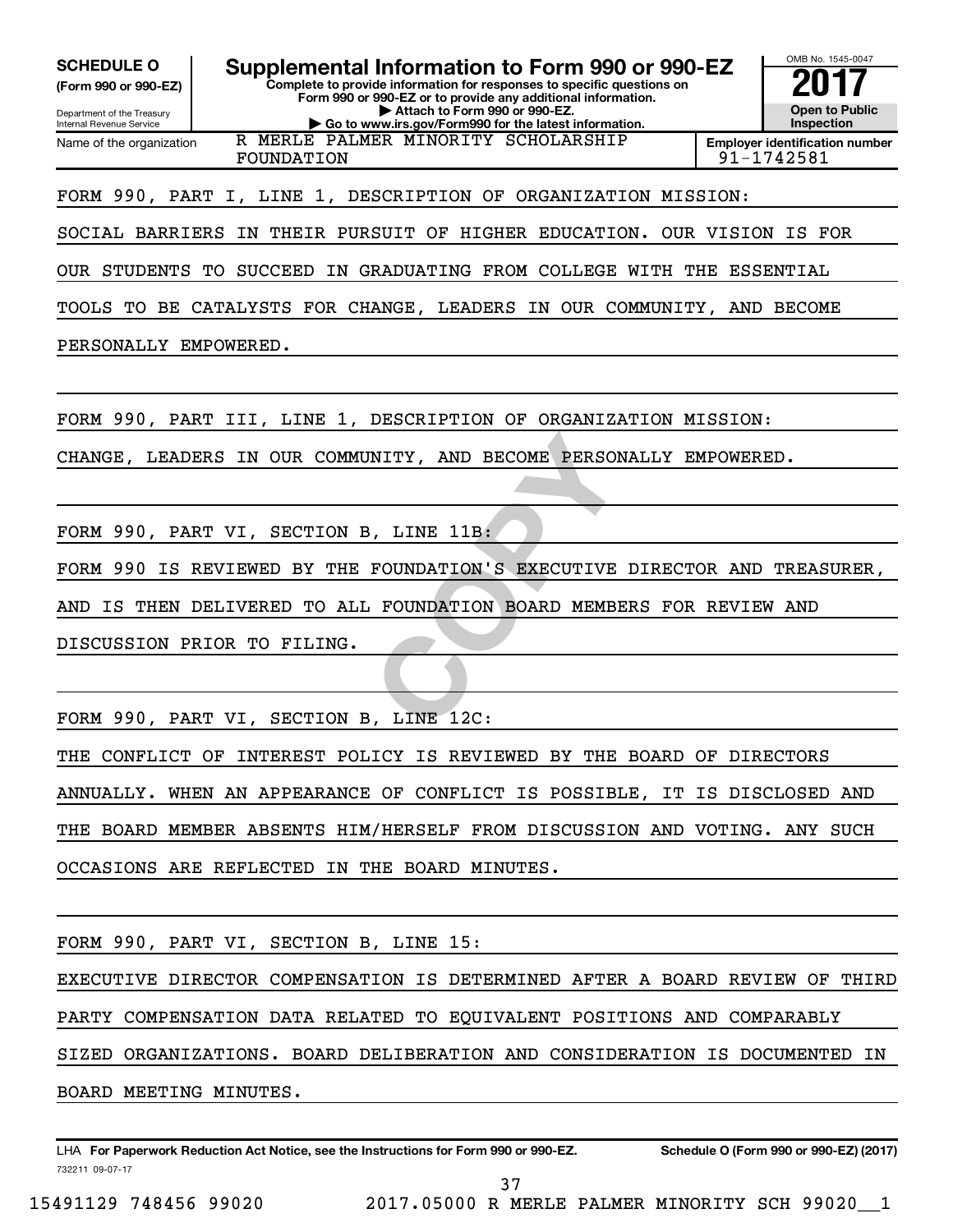**(Form 990 or 990-EZ)**

Department of the Treasury Internal Revenue Service Name of the organization

**Complete to provide information for responses to specific questions on Form 990 or 990-EZ or to provide any additional information. | Attach to Form 990 or 990-EZ. | Go to www.irs.gov/Form990 for the latest information. SCHEDULE O Supplemental Information to Form 990 or 990-EZ** <br>(Form 990 or 990-EZ) Complete to provide information for responses to specific questions on R MERLE PALMER MINORITY SCHOLARSHIP

FOUNDATION 91-1742581

**Open to Public Inspection Employer identification number**

OMB No. 1545-0047

FORM 990, PART I, LINE 1, DESCRIPTION OF ORGANIZATION MISSION:

SOCIAL BARRIERS IN THEIR PURSUIT OF HIGHER EDUCATION. OUR VISION IS FOR

OUR STUDENTS TO SUCCEED IN GRADUATING FROM COLLEGE WITH THE ESSENTIAL

TOOLS TO BE CATALYSTS FOR CHANGE, LEADERS IN OUR COMMUNITY, AND BECOME

PERSONALLY EMPOWERED.

FORM 990, PART III, LINE 1, DESCRIPTION OF ORGANIZATION MISSION:

CHANGE, LEADERS IN OUR COMMUNITY, AND BECOME PERSONALLY EMPOWERED.

FORM 990, PART VI, SECTION B, LINE 11B:

NITY, AND BECOME PERSONALLY<br>
FOUNDATION'S EXECUTIVE DIRE<br>
FOUNDATION BOARD MEMBERS F FORM 990 IS REVIEWED BY THE FOUNDATION'S EXECUTIVE DIRECTOR AND TREASURER,

AND IS THEN DELIVERED TO ALL FOUNDATION BOARD MEMBERS FOR REVIEW AND

DISCUSSION PRIOR TO FILING.

FORM 990, PART VI, SECTION B, LINE 12C:

THE CONFLICT OF INTEREST POLICY IS REVIEWED BY THE BOARD OF DIRECTORS ANNUALLY. WHEN AN APPEARANCE OF CONFLICT IS POSSIBLE, IT IS DISCLOSED AND THE BOARD MEMBER ABSENTS HIM/HERSELF FROM DISCUSSION AND VOTING. ANY SUCH OCCASIONS ARE REFLECTED IN THE BOARD MINUTES.

FORM 990, PART VI, SECTION B, LINE 15:

EXECUTIVE DIRECTOR COMPENSATION IS DETERMINED AFTER A BOARD REVIEW OF THIRD PARTY COMPENSATION DATA RELATED TO EQUIVALENT POSITIONS AND COMPARABLY

SIZED ORGANIZATIONS. BOARD DELIBERATION AND CONSIDERATION IS DOCUMENTED IN

BOARD MEETING MINUTES.

732211 09-07-17 LHA For Paperwork Reduction Act Notice, see the Instructions for Form 990 or 990-EZ. Schedule O (Form 990 or 990-EZ) (2017)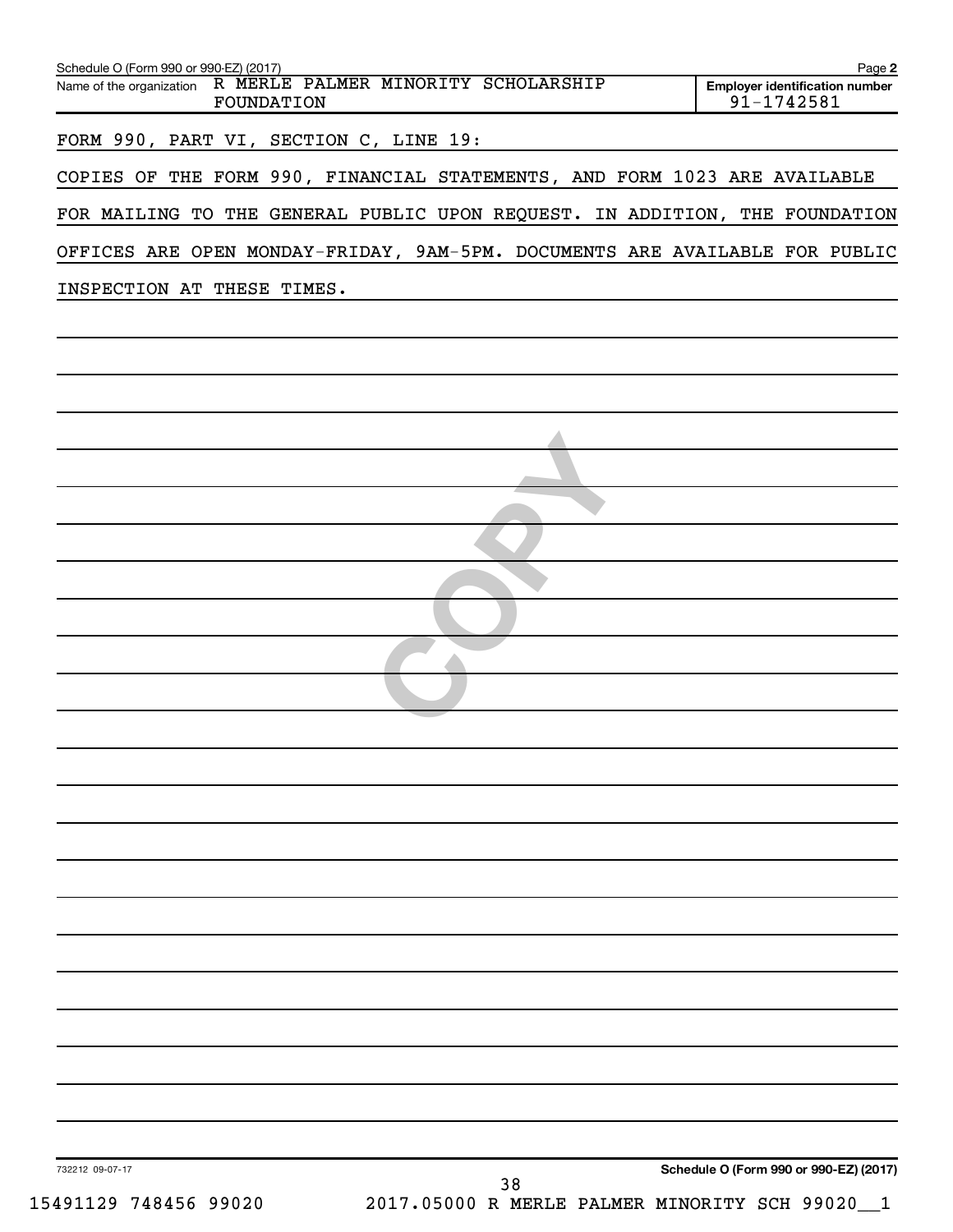| Schedule O (Form 990 or 990-EZ) (2017)<br>Name of the organization R MERLE PALMER MINORITY SCHOLARSHIP<br>FOUNDATION | Page 2<br><b>Employer identification number</b><br>91-1742581 |
|----------------------------------------------------------------------------------------------------------------------|---------------------------------------------------------------|
| FORM 990, PART VI, SECTION C, LINE 19:                                                                               |                                                               |
| COPIES OF THE FORM 990, FINANCIAL STATEMENTS, AND FORM 1023 ARE AVAILABLE                                            |                                                               |
| FOR MAILING TO THE GENERAL PUBLIC UPON REQUEST. IN ADDITION, THE FOUNDATION                                          |                                                               |
| OFFICES ARE OPEN MONDAY-FRIDAY, 9AM-5PM. DOCUMENTS ARE AVAILABLE FOR PUBLIC                                          |                                                               |
| INSPECTION AT THESE TIMES.                                                                                           |                                                               |
|                                                                                                                      |                                                               |
|                                                                                                                      |                                                               |
|                                                                                                                      |                                                               |
|                                                                                                                      |                                                               |
|                                                                                                                      |                                                               |
|                                                                                                                      |                                                               |
|                                                                                                                      |                                                               |
|                                                                                                                      |                                                               |
|                                                                                                                      |                                                               |
|                                                                                                                      |                                                               |
|                                                                                                                      |                                                               |
|                                                                                                                      |                                                               |
|                                                                                                                      |                                                               |
|                                                                                                                      |                                                               |
|                                                                                                                      |                                                               |
|                                                                                                                      |                                                               |
|                                                                                                                      |                                                               |
|                                                                                                                      |                                                               |
|                                                                                                                      |                                                               |
|                                                                                                                      |                                                               |
|                                                                                                                      |                                                               |
|                                                                                                                      |                                                               |
| 732212 09-07-17                                                                                                      | Schedule O (Form 990 or 990-EZ) (2017)                        |
| 38<br>15491129 748456 99020<br>2017.05000 R MERLE PALMER MINORITY SCH 99020                                          | 1                                                             |